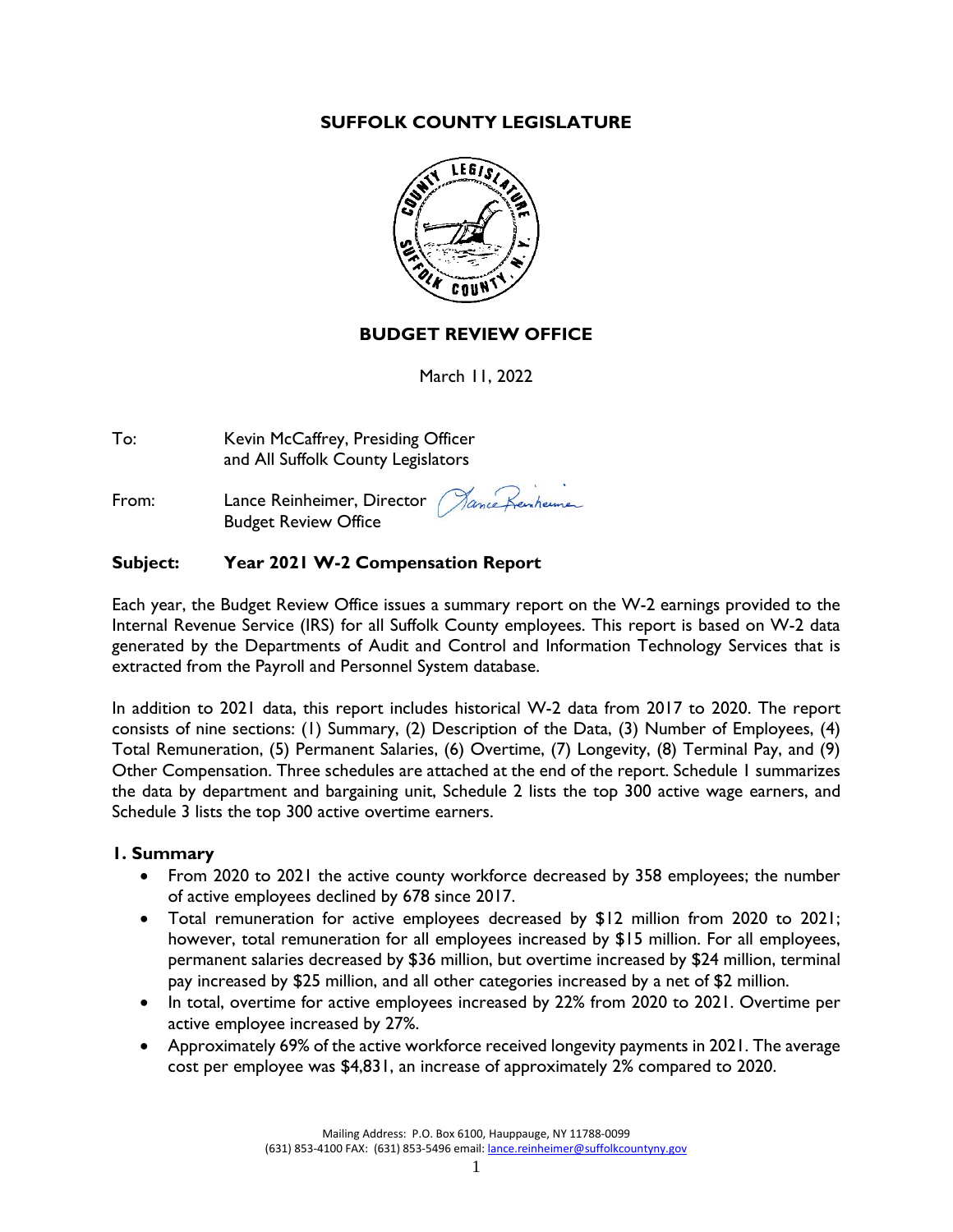### **SUFFOLK COUNTY LEGISLATURE**



### **BUDGET REVIEW OFFICE**

March 11, 2022

To: Kevin McCaffrey, Presiding Officer and All Suffolk County Legislators

ance Keinheimer From: Lance Reinheimer, Director Budget Review Office

### **Subject: Year 2021 W-2 Compensation Report**

Each year, the Budget Review Office issues a summary report on the W-2 earnings provided to the Internal Revenue Service (IRS) for all Suffolk County employees. This report is based on W-2 data generated by the Departments of Audit and Control and Information Technology Services that is extracted from the Payroll and Personnel System database.

In addition to 2021 data, this report includes historical W-2 data from 2017 to 2020. The report consists of nine sections: (1) Summary, (2) Description of the Data, (3) Number of Employees, (4) Total Remuneration, (5) Permanent Salaries, (6) Overtime, (7) Longevity, (8) Terminal Pay, and (9) Other Compensation. Three schedules are attached at the end of the report. Schedule 1 summarizes the data by department and bargaining unit, Schedule 2 lists the top 300 active wage earners, and Schedule 3 lists the top 300 active overtime earners.

#### **1. Summary**

- From 2020 to 2021 the active county workforce decreased by 358 employees; the number of active employees declined by 678 since 2017.
- Total remuneration for active employees decreased by \$12 million from 2020 to 2021; however, total remuneration for all employees increased by \$15 million. For all employees, permanent salaries decreased by \$36 million, but overtime increased by \$24 million, terminal pay increased by \$25 million, and all other categories increased by a net of \$2 million.
- In total, overtime for active employees increased by 22% from 2020 to 2021. Overtime per active employee increased by 27%.
- Approximately 69% of the active workforce received longevity payments in 2021. The average cost per employee was \$4,831, an increase of approximately 2% compared to 2020.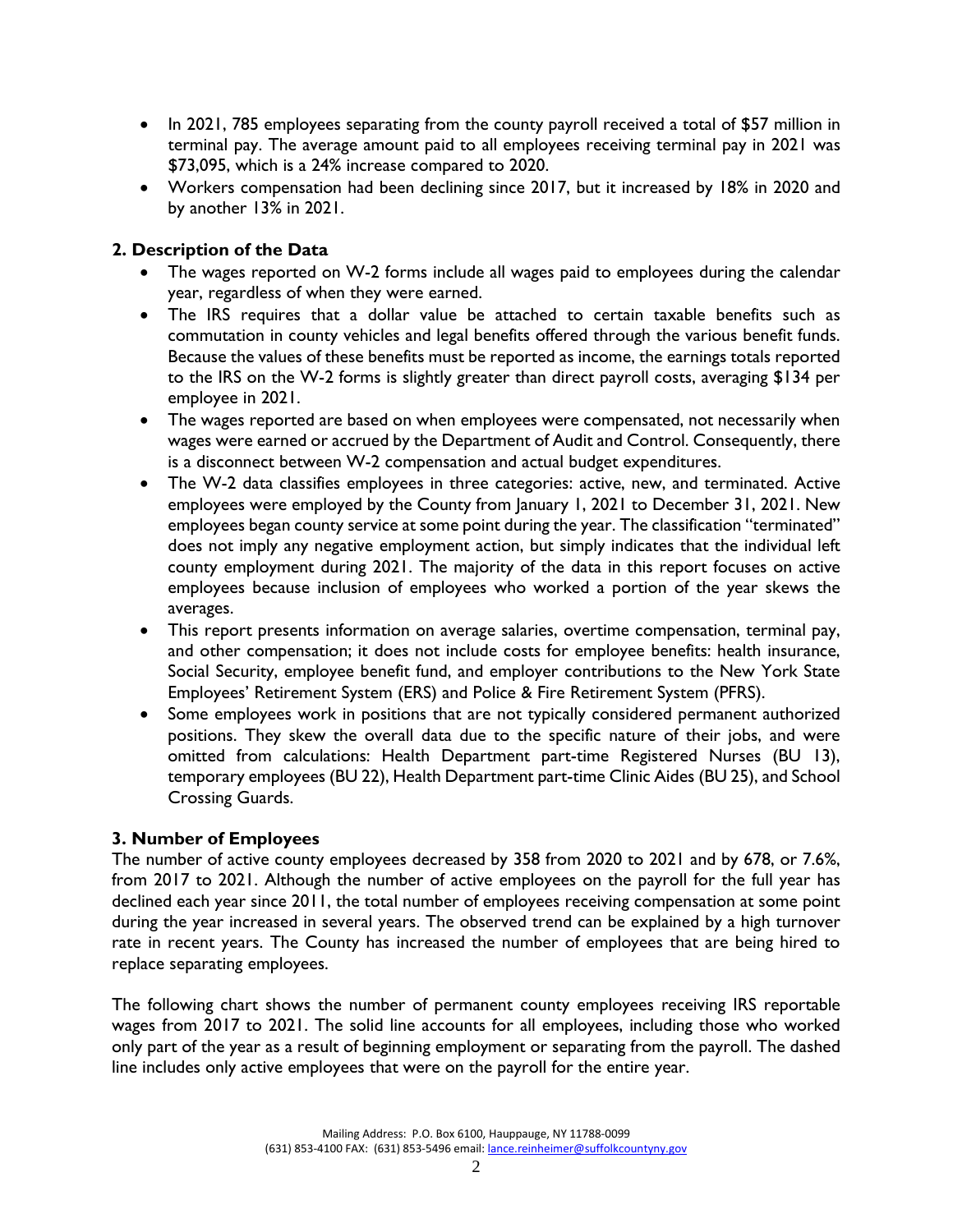- In 2021, 785 employees separating from the county payroll received a total of \$57 million in terminal pay. The average amount paid to all employees receiving terminal pay in 2021 was \$73,095, which is a 24% increase compared to 2020.
- Workers compensation had been declining since 2017, but it increased by 18% in 2020 and by another 13% in 2021.

# **2. Description of the Data**

- The wages reported on W-2 forms include all wages paid to employees during the calendar year, regardless of when they were earned.
- The IRS requires that a dollar value be attached to certain taxable benefits such as commutation in county vehicles and legal benefits offered through the various benefit funds. Because the values of these benefits must be reported as income, the earnings totals reported to the IRS on the W-2 forms is slightly greater than direct payroll costs, averaging \$134 per employee in 2021.
- The wages reported are based on when employees were compensated, not necessarily when wages were earned or accrued by the Department of Audit and Control. Consequently, there is a disconnect between W-2 compensation and actual budget expenditures.
- The W-2 data classifies employees in three categories: active, new, and terminated. Active employees were employed by the County from January 1, 2021 to December 31, 2021. New employees began county service at some point during the year. The classification "terminated" does not imply any negative employment action, but simply indicates that the individual left county employment during 2021. The majority of the data in this report focuses on active employees because inclusion of employees who worked a portion of the year skews the averages.
- This report presents information on average salaries, overtime compensation, terminal pay, and other compensation; it does not include costs for employee benefits: health insurance, Social Security, employee benefit fund, and employer contributions to the New York State Employees' Retirement System (ERS) and Police & Fire Retirement System (PFRS).
- Some employees work in positions that are not typically considered permanent authorized positions. They skew the overall data due to the specific nature of their jobs, and were omitted from calculations: Health Department part-time Registered Nurses (BU 13), temporary employees (BU 22), Health Department part-time Clinic Aides (BU 25), and School Crossing Guards.

# **3. Number of Employees**

The number of active county employees decreased by 358 from 2020 to 2021 and by 678, or 7.6%, from 2017 to 2021. Although the number of active employees on the payroll for the full year has declined each year since 2011, the total number of employees receiving compensation at some point during the year increased in several years. The observed trend can be explained by a high turnover rate in recent years. The County has increased the number of employees that are being hired to replace separating employees.

The following chart shows the number of permanent county employees receiving IRS reportable wages from 2017 to 2021. The solid line accounts for all employees, including those who worked only part of the year as a result of beginning employment or separating from the payroll. The dashed line includes only active employees that were on the payroll for the entire year.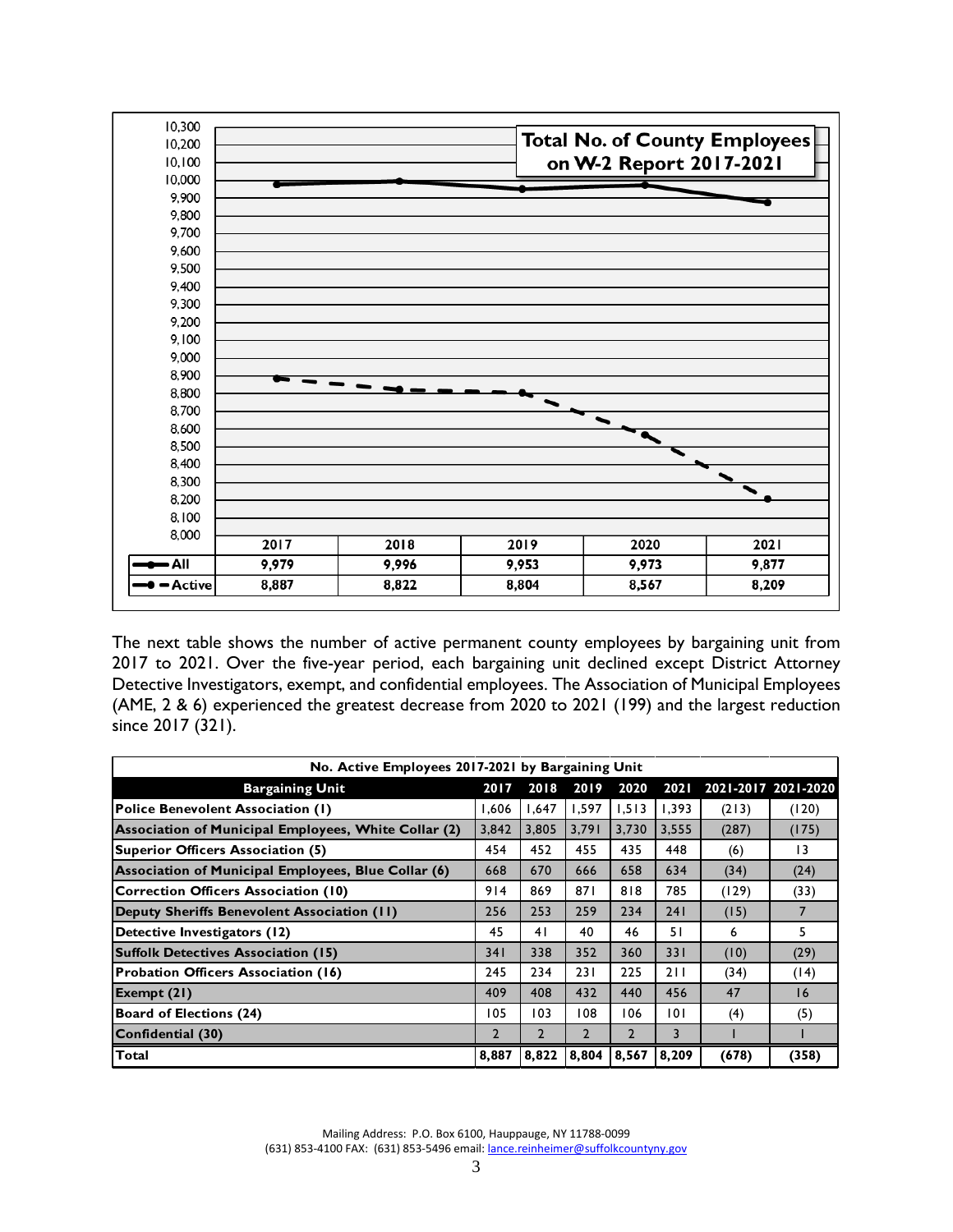

The next table shows the number of active permanent county employees by bargaining unit from 2017 to 2021. Over the five-year period, each bargaining unit declined except District Attorney Detective Investigators, exempt, and confidential employees. The Association of Municipal Employees (AME, 2 & 6) experienced the greatest decrease from 2020 to 2021 (199) and the largest reduction since 2017 (321).

| No. Active Employees 2017-2021 by Bargaining Unit    |                |                |                |                |       |                     |                 |
|------------------------------------------------------|----------------|----------------|----------------|----------------|-------|---------------------|-----------------|
| <b>Bargaining Unit</b>                               | 2017           | 2018           | 2019           | 2020           | 2021  | 2021-2017 2021-2020 |                 |
| <b>Police Benevolent Association (1)</b>             | 1,606          | 1,647          | 1,597          | 1,513          | 1,393 | (213)               | (120)           |
| Association of Municipal Employees, White Collar (2) | 3,842          | 3.805          | 3,791          | 3.730          | 3,555 | (287)               | (175)           |
| Superior Officers Association (5)                    | 454            | 452            | 455            | 435            | 448   | (6)                 | $\overline{13}$ |
| Association of Municipal Employees, Blue Collar (6)  | 668            | 670            | 666            | 658            | 634   | (34)                | (24)            |
| <b>Correction Officers Association (10)</b>          | 914            | 869            | 871            | 818            | 785   | (129)               | (33)            |
| Deputy Sheriffs Benevolent Association (II)          | 256            | 253            | 259            | 234            | 241   | (15)                |                 |
| Detective Investigators (12)                         | 45             | 41             | 40             | 46             | 51    | 6                   | 5               |
| <b>Suffolk Detectives Association (15)</b>           | 34 I           | 338            | 352            | 360            | 331   | (10)                | (29)            |
| <b>Probation Officers Association (16)</b>           | 245            | 234            | 231            | 225            | 211   | (34)                | (14)            |
| Exempt (21)                                          | 409            | 408            | 432            | 440            | 456   | 47                  | 16              |
| <b>Board of Elections (24)</b>                       | 105            | 103            | 108            | 106            | 0     | (4)                 | (5)             |
| Confidential (30)                                    | $\overline{2}$ | $\overline{2}$ | $\overline{2}$ | $\overline{2}$ | 3     |                     |                 |
| Total                                                | 8,887          | 8,822          | 8,804          | 8.567          | 8,209 | (678)               | (358)           |

Mailing Address: P.O. Box 6100, Hauppauge, NY 11788-0099 (631) 853-4100 FAX: (631) 853-5496 email[: lance.reinheimer@suffolkcountyny.gov](mailto:lance.reinheimer@suffolkcountyny.gov)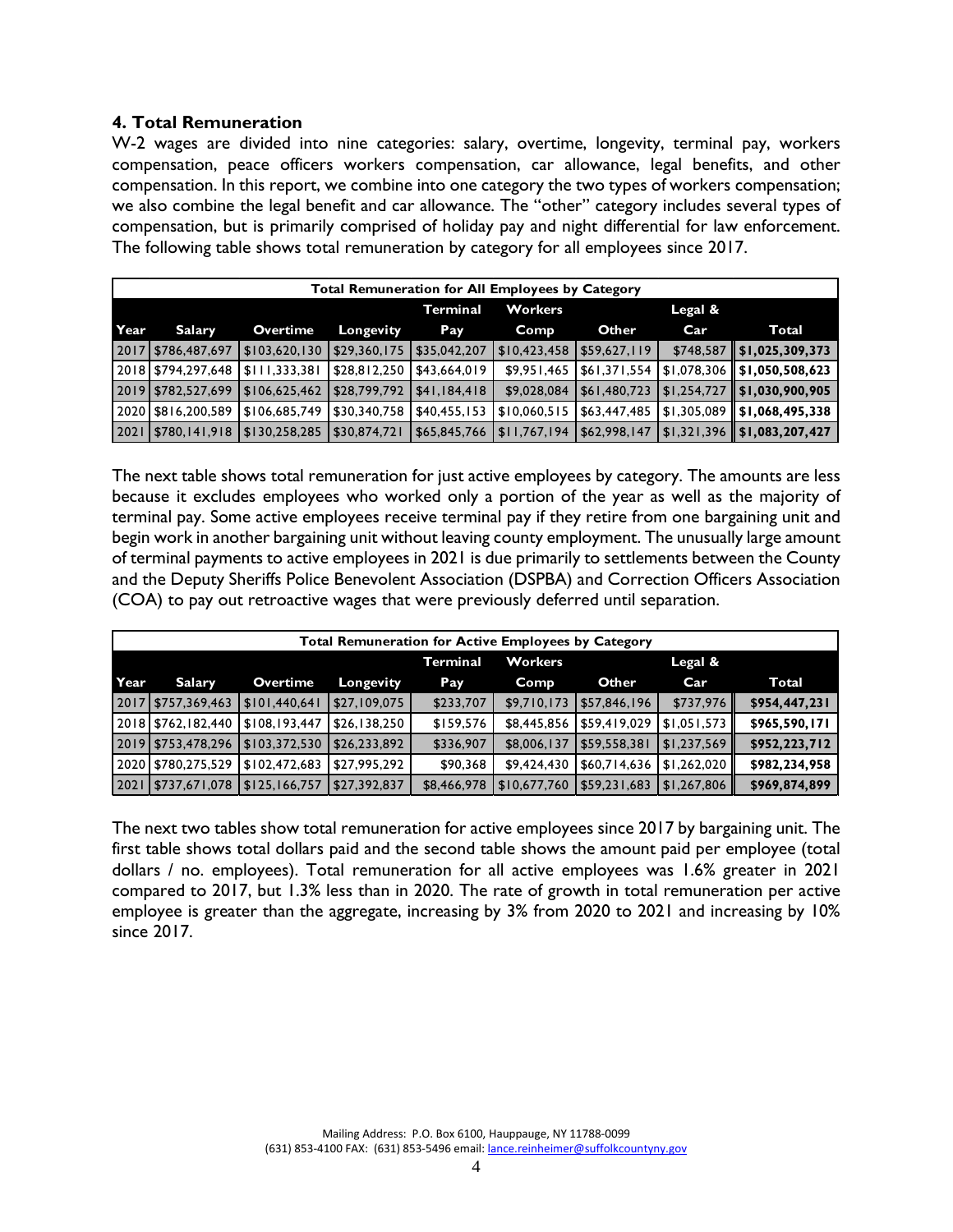### **4. Total Remuneration**

W-2 wages are divided into nine categories: salary, overtime, longevity, terminal pay, workers compensation, peace officers workers compensation, car allowance, legal benefits, and other compensation. In this report, we combine into one category the two types of workers compensation; we also combine the legal benefit and car allowance. The "other" category includes several types of compensation, but is primarily comprised of holiday pay and night differential for law enforcement. The following table shows total remuneration by category for all employees since 2017.

|      | <b>Total Remuneration for All Employees by Category</b> |               |              |                 |              |              |         |                                                             |  |  |  |
|------|---------------------------------------------------------|---------------|--------------|-----------------|--------------|--------------|---------|-------------------------------------------------------------|--|--|--|
|      |                                                         |               |              | <b>Terminal</b> | Workers      |              | Legal & |                                                             |  |  |  |
| Year | Salary                                                  | Overtime      | Longevity    | Pay             | <b>Comp</b>  | Other        | Car     | Total                                                       |  |  |  |
|      | 2017 \$786,487,697                                      | \$103,620,130 | \$29,360,175 | \$35,042,207    | \$10,423,458 | \$59,627,119 |         | $$748,587$   \$1,025,309,373                                |  |  |  |
|      | 2018 \$794,297,648                                      | \$111,333,381 | \$28,812,250 | \$43,664,019    | \$9,951,465  |              |         | \$61,371,554   \$1,078,306    \$1,050,508,623               |  |  |  |
|      | 2019   \$782,527,699                                    | \$106,625,462 | \$28,799,792 | \$41,184,418    | \$9,028,084  |              |         | $$61,480,723$ $$1,254,727$ $$1,030,900,905$                 |  |  |  |
|      | 2020 \$816,200,589                                      | \$106,685,749 | \$30,340,758 | \$40,455,153    | \$10,060,515 |              |         | $$63,447,485$ $$1,305,089$ $$1,068,495,338$                 |  |  |  |
|      | 2021   \$780,141,918                                    | \$130,258,285 | \$30,874,721 | \$65,845,766    | \$11,767,194 |              |         | $\frac{1}{2}$ \$62,998,147   \$1,321,396    \$1,083,207,427 |  |  |  |

The next table shows total remuneration for just active employees by category. The amounts are less because it excludes employees who worked only a portion of the year as well as the majority of terminal pay. Some active employees receive terminal pay if they retire from one bargaining unit and begin work in another bargaining unit without leaving county employment. The unusually large amount of terminal payments to active employees in 2021 is due primarily to settlements between the County and the Deputy Sheriffs Police Benevolent Association (DSPBA) and Correction Officers Association (COA) to pay out retroactive wages that were previously deferred until separation.

|      | Total Remuneration for Active Employees by Category |               |              |                 |              |              |             |               |  |  |  |
|------|-----------------------------------------------------|---------------|--------------|-----------------|--------------|--------------|-------------|---------------|--|--|--|
|      |                                                     |               |              | <b>Terminal</b> | Workers      |              | Legal $\&$  |               |  |  |  |
| Year | Salary                                              | Overtime      | Longevity    | Pay             | Comp         | Other        | Car         | Total         |  |  |  |
|      | 2017 \$757,369,463                                  | \$101,440,641 | \$27,109,075 | \$233,707       | \$9,710,173  | \$57,846,196 | \$737,976   | \$954,447,231 |  |  |  |
|      | 2018   \$762,182,440                                | \$108.193.447 | \$26,138,250 | \$159,576       | \$8,445,856  | 559,419,029  | \$1,051,573 | \$965,590,171 |  |  |  |
|      | 2019 \$753,478,296                                  | \$103,372,530 | \$26,233,892 | \$336,907       | \$8,006,137  | \$59,558,381 | \$1,237,569 | \$952,223,712 |  |  |  |
|      | 2020   \$780,275,529                                | \$102,472,683 | \$27,995,292 | \$90,368        | \$9,424,430  | 560,714,636  | \$1,262,020 | \$982,234,958 |  |  |  |
|      | 2021   \$737,671,078                                | \$125,166,757 | \$27,392,837 | \$8,466,978     | \$10,677,760 | \$59,231,683 | \$1,267,806 | \$969,874,899 |  |  |  |

The next two tables show total remuneration for active employees since 2017 by bargaining unit. The first table shows total dollars paid and the second table shows the amount paid per employee (total dollars / no. employees). Total remuneration for all active employees was 1.6% greater in 2021 compared to 2017, but 1.3% less than in 2020. The rate of growth in total remuneration per active employee is greater than the aggregate, increasing by 3% from 2020 to 2021 and increasing by 10% since 2017.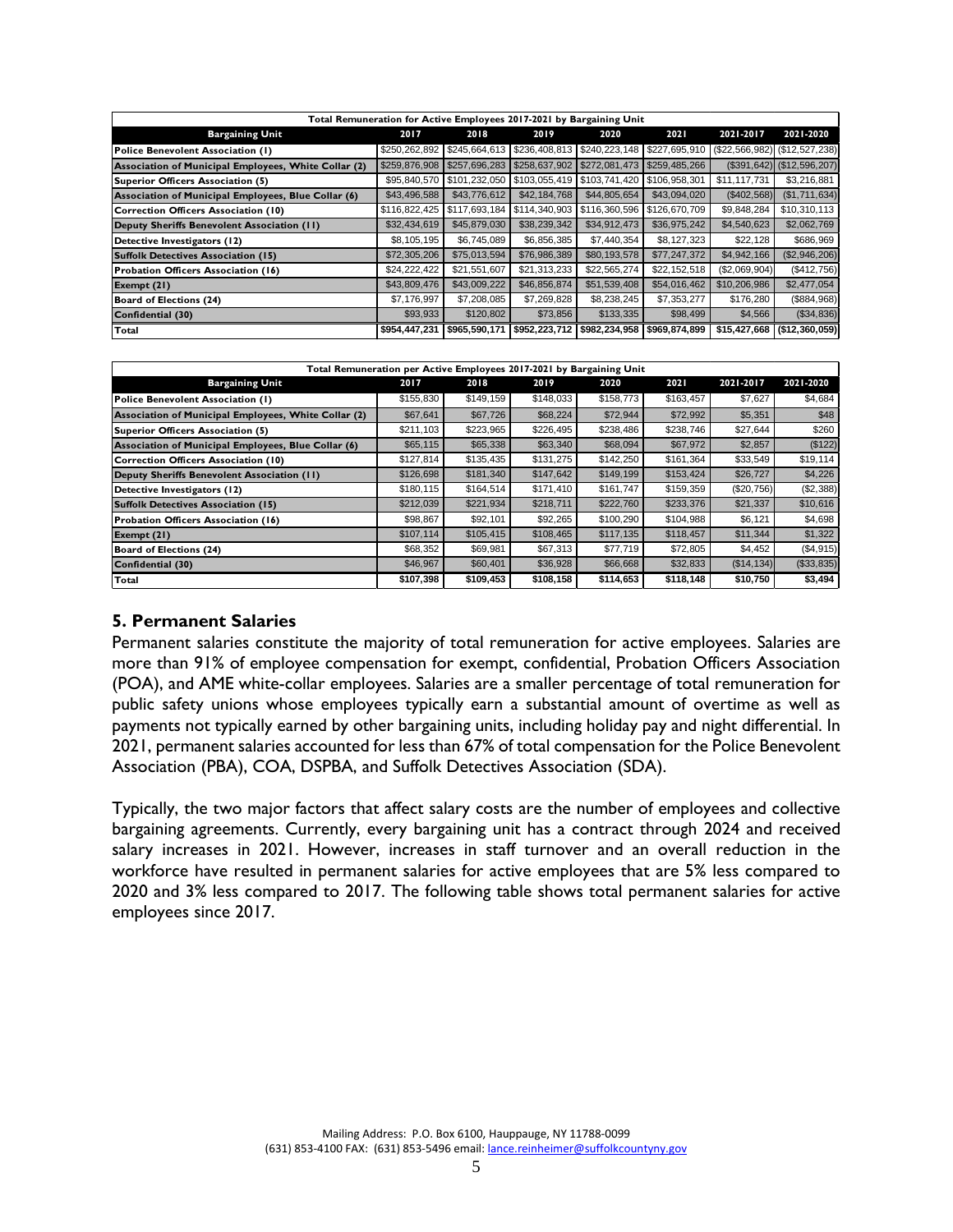| Total Remuneration for Active Employees 2017-2021 by Bargaining Unit |               |               |                                               |               |               |               |                                     |
|----------------------------------------------------------------------|---------------|---------------|-----------------------------------------------|---------------|---------------|---------------|-------------------------------------|
| <b>Bargaining Unit</b>                                               | 2017          | 2018          | 2019                                          | 2020          | 2021          | 2021-2017     | 2021-2020                           |
| Police Benevolent Association (1)                                    | \$250,262,892 |               | \$245,664,613   \$236,408,813   \$240,223,148 |               | \$227,695,910 |               | $(S22, 566, 982)$ $(S12, 527, 238)$ |
| Association of Municipal Employees, White Collar (2)                 | \$259,876,908 | \$257,696,283 | \$258,637,902 \$272,081,473                   |               | \$259,485,266 |               | $($391,642)$ $($12,596,207)$        |
| Superior Officers Association (5)                                    | \$95,840,570  | \$101,232,050 |                                               |               | \$106,958,301 | \$11,117,731  | \$3,216,881                         |
| Association of Municipal Employees, Blue Collar (6)                  | \$43,496,588  | \$43,776,612  | \$42,184,768                                  | \$44,805,654  | \$43,094,020  | (\$402,568)   | (S1, 711, 634)                      |
| Correction Officers Association (10)                                 | \$116,822,425 | \$117,693,184 | \$114,340,903 \$116,360,596                   |               | \$126,670,709 | \$9,848,284   | \$10,310,113                        |
| Deputy Sheriffs Benevolent Association (II)                          | \$32,434,619  | \$45,879,030  | \$38,239,342                                  | \$34,912,473  | \$36,975,242  | \$4,540,623   | \$2,062,769                         |
| Detective Investigators (12)                                         | \$8,105,195   | \$6,745,089   | \$6,856,385                                   | \$7,440,354   | \$8,127,323   | \$22,128      | \$686,969                           |
| <b>Suffolk Detectives Association (15)</b>                           | \$72,305,206  | \$75,013,594  | \$76,986,389                                  | \$80,193,578  | \$77,247,372  | \$4,942,166   | (\$2,946,206)                       |
| Probation Officers Association (16)                                  | \$24,222,422  | \$21,551,607  | \$21,313,233                                  | \$22,565,274  | \$22,152,518  | (\$2,069,904) | (\$412,756)                         |
| Exempt $(21)$                                                        | \$43,809,476  | \$43,009,222  | \$46,856,874                                  | \$51,539,408  | \$54,016,462  | \$10,206,986  | \$2,477,054                         |
| Board of Elections (24)                                              | \$7,176,997   | \$7,208,085   | \$7,269,828                                   | \$8,238,245   | \$7,353,277   | \$176,280     | (S884,968)                          |
| Confidential (30)                                                    | \$93,933      | \$120,802     | \$73,856                                      | \$133,335     | \$98,499      | \$4,566       | ( \$34, 836)                        |
| Total                                                                | \$954,447,231 | \$965,590,171 | \$952,223,712                                 | \$982,234,958 | \$969,874,899 | \$15,427,668  | (\$12,360,059)                      |

| Total Remuneration per Active Employees 2017-2021 by Bargaining Unit |           |           |           |           |           |             |             |
|----------------------------------------------------------------------|-----------|-----------|-----------|-----------|-----------|-------------|-------------|
| <b>Bargaining Unit</b>                                               | 2017      | 2018      | 2019      | 2020      | 2021      | 2021-2017   | 2021-2020   |
| Police Benevolent Association (1)                                    | \$155,830 | \$149,159 | \$148,033 | \$158,773 | \$163,457 | \$7,627     | \$4,684     |
| Association of Municipal Employees, White Collar (2)                 | \$67,641  | \$67,726  | \$68,224  | \$72,944  | \$72,992  | \$5,351     | \$48        |
| Superior Officers Association (5)                                    | \$211,103 | \$223,965 | \$226,495 | \$238,486 | \$238,746 | \$27,644    | \$260       |
| Association of Municipal Employees, Blue Collar (6)                  | \$65,115  | \$65,338  | \$63,340  | \$68,094  | \$67,972  | \$2,857     | (\$122)     |
| Correction Officers Association (10)                                 | \$127,814 | \$135,435 | \$131,275 | \$142,250 | \$161,364 | \$33,549    | \$19,114    |
| Deputy Sheriffs Benevolent Association (11)                          | \$126,698 | \$181,340 | \$147,642 | \$149,199 | \$153,424 | \$26,727    | \$4,226     |
| Detective Investigators (12)                                         | \$180,115 | \$164,514 | \$171,410 | \$161.747 | \$159,359 | (\$20,756)  | (\$2,388)   |
| <b>Suffolk Detectives Association (15)</b>                           | \$212,039 | \$221,934 | \$218,711 | \$222,760 | \$233,376 | \$21,337    | \$10,616    |
| Probation Officers Association (16)                                  | \$98,867  | \$92,101  | \$92,265  | \$100,290 | \$104.988 | \$6,121     | \$4,698     |
| Exempt $(21)$                                                        | \$107,114 | \$105,415 | \$108,465 | \$117,135 | \$118,457 | \$11,344    | \$1,322     |
| Board of Elections (24)                                              | \$68,352  | \$69,981  | \$67,313  | \$77,719  | \$72,805  | \$4,452     | ( \$4, 915) |
| Confidential (30)                                                    | \$46,967  | \$60,401  | \$36,928  | \$66,668  | \$32,833  | (\$14, 134) | (\$33,835)  |
| Total                                                                | \$107,398 | \$109,453 | \$108,158 | \$114,653 | \$118,148 | \$10,750    | \$3,494     |

### **5. Permanent Salaries**

Permanent salaries constitute the majority of total remuneration for active employees. Salaries are more than 91% of employee compensation for exempt, confidential, Probation Officers Association (POA), and AME white-collar employees. Salaries are a smaller percentage of total remuneration for public safety unions whose employees typically earn a substantial amount of overtime as well as payments not typically earned by other bargaining units, including holiday pay and night differential. In 2021, permanent salaries accounted for less than 67% of total compensation for the Police Benevolent Association (PBA), COA, DSPBA, and Suffolk Detectives Association (SDA).

Typically, the two major factors that affect salary costs are the number of employees and collective bargaining agreements. Currently, every bargaining unit has a contract through 2024 and received salary increases in 2021. However, increases in staff turnover and an overall reduction in the workforce have resulted in permanent salaries for active employees that are 5% less compared to 2020 and 3% less compared to 2017. The following table shows total permanent salaries for active employees since 2017.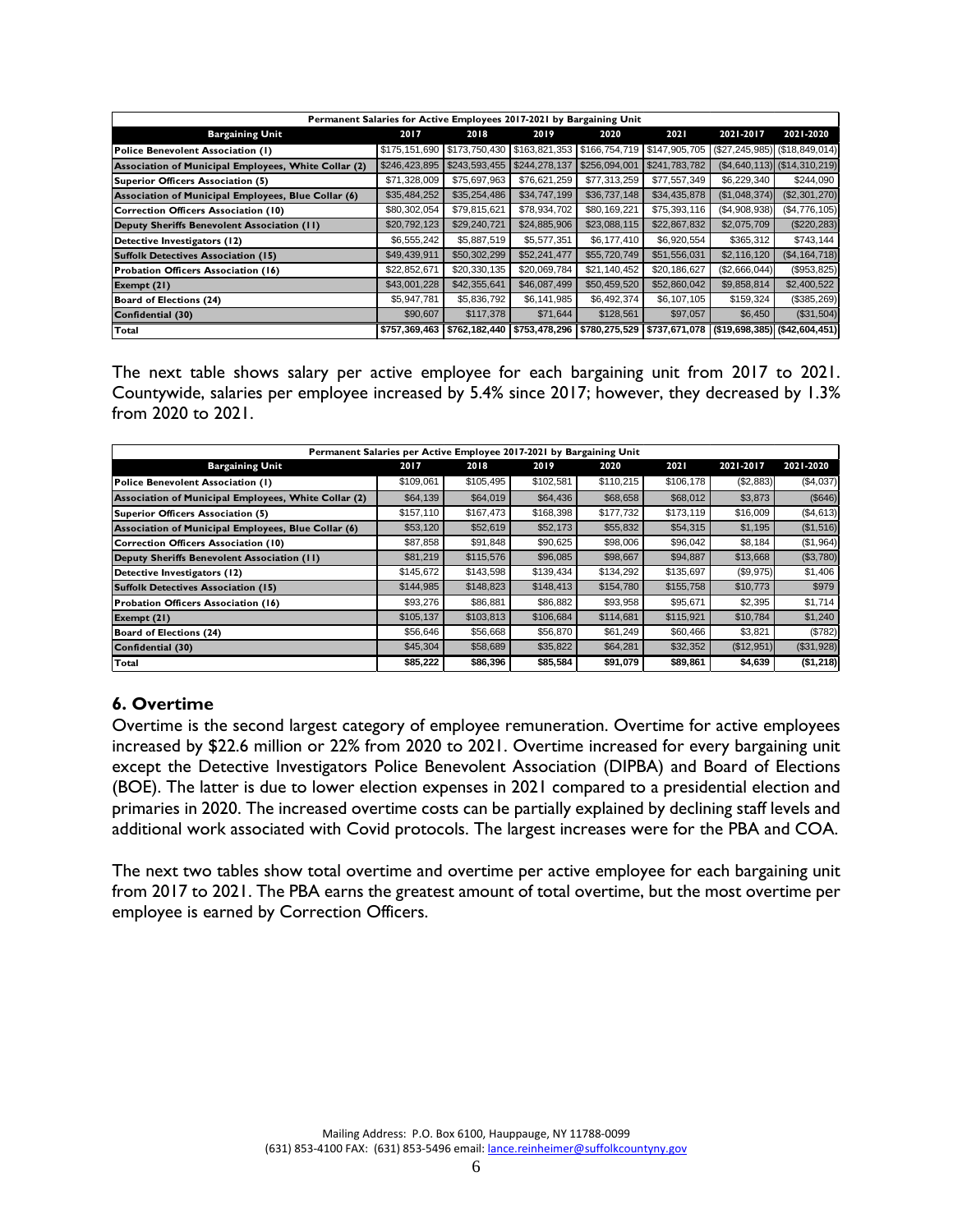| Permanent Salaries for Active Employees 2017-2021 by Bargaining Unit |               |               |                                               |               |               |                               |                                  |
|----------------------------------------------------------------------|---------------|---------------|-----------------------------------------------|---------------|---------------|-------------------------------|----------------------------------|
| <b>Bargaining Unit</b>                                               | 2017          | 2018          | 2019                                          | 2020          | 2021          | 2021-2017                     | 2021-2020                        |
| Police Benevolent Association (1)                                    | \$175,151,690 |               | \$173,750,430 \$163,821,353 \$166,754,719     |               | \$147,905,705 |                               | $($27, 245, 985)$ (\$18,849,014) |
| Association of Municipal Employees, White Collar (2)                 | \$246,423,895 | \$243,593,455 | \$244,278,137                                 | \$256,094,001 | \$241,783,782 |                               | $($4,640,113)$ $($14,310,219)$   |
| Superior Officers Association (5)                                    | \$71,328,009  | \$75,697,963  | \$76,621,259                                  | \$77,313,259  | \$77,557,349  | \$6,229,340                   | \$244,090                        |
| Association of Municipal Employees, Blue Collar (6)                  | \$35,484,252  | \$35,254,486  | \$34,747,199                                  | \$36,737,148  | \$34,435,878  | (\$1,048,374)                 | (\$2,301,270)                    |
| Correction Officers Association (10)                                 | \$80,302,054  | \$79,815,621  | \$78,934,702                                  | \$80,169,221  | \$75,393,116  | (\$4,908,938)                 | (\$4,776,105)                    |
| Deputy Sheriffs Benevolent Association (II)                          | \$20,792,123  | \$29,240,721  | \$24,885,906                                  | \$23,088,115  | \$22,867,832  | \$2,075,709                   | (\$220, 283)                     |
| Detective Investigators (12)                                         | \$6,555,242   | \$5,887,519   | \$5,577,351                                   | \$6,177,410   | \$6,920,554   | \$365,312                     | \$743,144                        |
| Suffolk Detectives Association (15)                                  | \$49,439,911  | \$50,302,299  | \$52,241,477                                  | \$55,720,749  | \$51,556,031  | \$2,116,120                   | (\$4, 164, 718)                  |
| Probation Officers Association (16)                                  | \$22,852,671  | \$20,330,135  | \$20,069,784                                  | \$21,140,452  | \$20,186,627  | (\$2,666,044)                 | (\$953,825)                      |
| Exempt $(21)$                                                        | \$43,001,228  | \$42,355,641  | \$46,087,499                                  | \$50,459,520  | \$52,860,042  | \$9,858,814                   | \$2,400,522                      |
| Board of Elections (24)                                              | \$5,947,781   | \$5,836,792   | \$6,141,985                                   | \$6,492,374   | \$6,107,105   | \$159,324                     | (\$385,269)                      |
| Confidential (30)                                                    | \$90,607      | \$117,378     | \$71,644                                      | \$128,561     | \$97,057      | \$6,450                       | (\$31,504)                       |
| Total                                                                | \$757,369,463 |               | \$762,182,440   \$753,478,296   \$780,275,529 |               | \$737,671,078 | (\$19,698,385) (\$42,604,451) |                                  |

The next table shows salary per active employee for each bargaining unit from 2017 to 2021. Countywide, salaries per employee increased by 5.4% since 2017; however, they decreased by 1.3% from 2020 to 2021.

| Permanent Salaries per Active Employee 2017-2021 by Bargaining Unit |           |           |           |           |           |            |            |
|---------------------------------------------------------------------|-----------|-----------|-----------|-----------|-----------|------------|------------|
| <b>Bargaining Unit</b>                                              | 2017      | 2018      | 2019      | 2020      | 2021      | 2021-2017  | 2021-2020  |
| Police Benevolent Association (1)                                   | \$109,061 | \$105,495 | \$102,581 | \$110,215 | \$106,178 | (\$2,883)  | (\$4,037)  |
| Association of Municipal Employees, White Collar (2)                | \$64,139  | \$64,019  | \$64,436  | \$68,658  | \$68,012  | \$3,873    | (S646)     |
| Superior Officers Association (5)                                   | \$157,110 | \$167,473 | \$168,398 | \$177,732 | \$173,119 | \$16,009   | ( \$4,613) |
| Association of Municipal Employees, Blue Collar (6)                 | \$53,120  | \$52,619  | \$52,173  | \$55,832  | \$54,315  | \$1,195    | (S1, 516)  |
| Correction Officers Association (10)                                | \$87,858  | \$91,848  | \$90,625  | \$98,006  | \$96,042  | \$8,184    | (S1, 964)  |
| Deputy Sheriffs Benevolent Association (II)                         | \$81,219  | \$115,576 | \$96,085  | \$98,667  | \$94,887  | \$13,668   | (S3,780)   |
| Detective Investigators (12)                                        | \$145,672 | \$143,598 | \$139,434 | \$134,292 | \$135,697 | (\$9,975)  | \$1,406    |
| <b>Suffolk Detectives Association (15)</b>                          | \$144,985 | \$148,823 | \$148,413 | \$154,780 | \$155,758 | \$10,773   | \$979      |
| Probation Officers Association (16)                                 | \$93,276  | \$86,881  | \$86,882  | \$93.958  | \$95,671  | \$2,395    | \$1,714    |
| Exempt (21)                                                         | \$105,137 | \$103,813 | \$106,684 | \$114,681 | \$115,921 | \$10,784   | \$1,240    |
| Board of Elections (24)                                             | \$56,646  | \$56,668  | \$56,870  | \$61,249  | \$60,466  | \$3,821    | (\$782)    |
| Confidential (30)                                                   | \$45,304  | \$58,689  | \$35,822  | \$64,281  | \$32,352  | (\$12,951) | (\$31,928) |
| Total                                                               | \$85,222  | \$86,396  | \$85,584  | \$91,079  | \$89,861  | \$4,639    | (\$1,218)  |

# **6. Overtime**

Overtime is the second largest category of employee remuneration. Overtime for active employees increased by \$22.6 million or 22% from 2020 to 2021. Overtime increased for every bargaining unit except the Detective Investigators Police Benevolent Association (DIPBA) and Board of Elections (BOE). The latter is due to lower election expenses in 2021 compared to a presidential election and primaries in 2020. The increased overtime costs can be partially explained by declining staff levels and additional work associated with Covid protocols. The largest increases were for the PBA and COA.

The next two tables show total overtime and overtime per active employee for each bargaining unit from 2017 to 2021. The PBA earns the greatest amount of total overtime, but the most overtime per employee is earned by Correction Officers.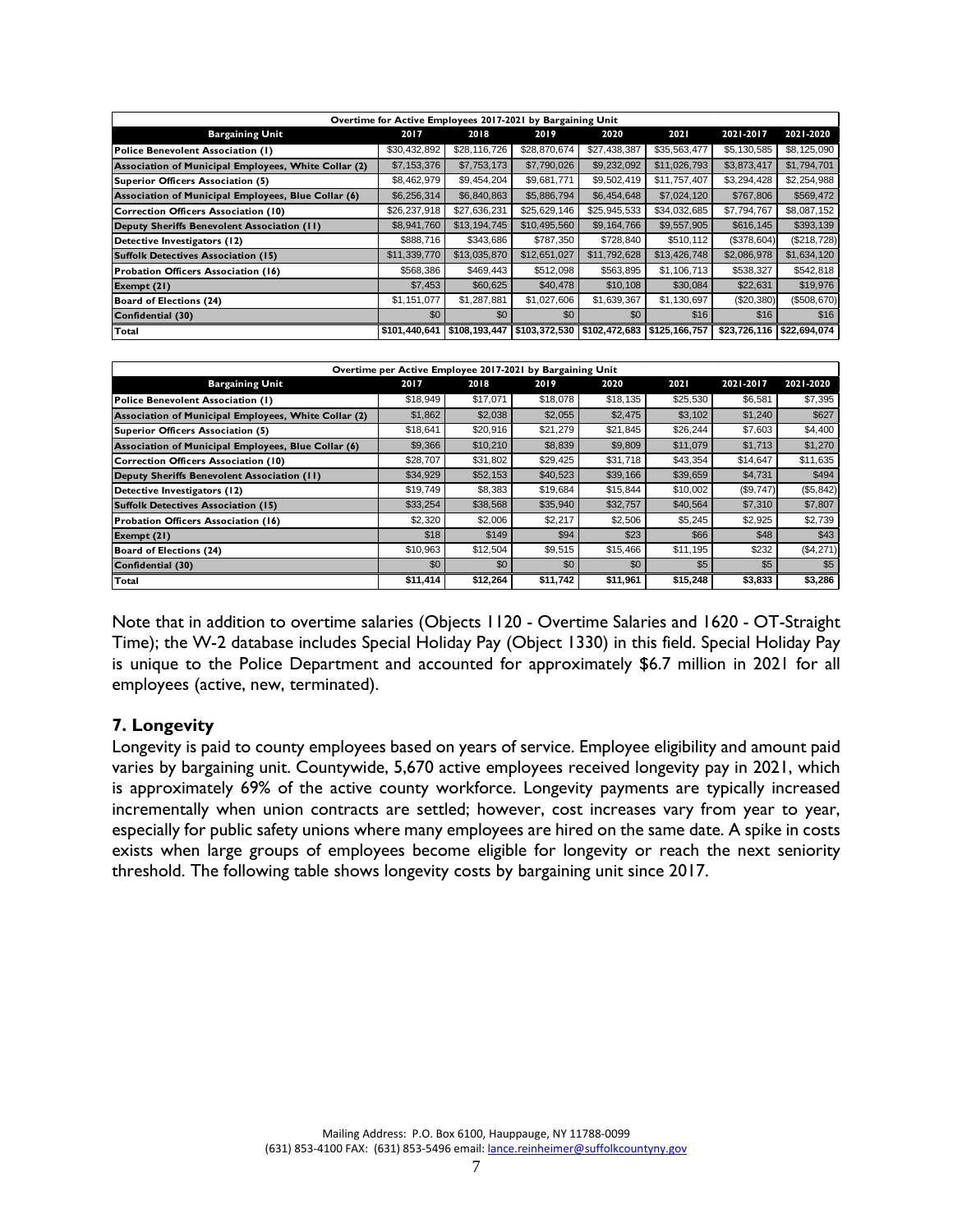|                                                      | Overtime for Active Employees 2017-2021 by Bargaining Unit |               |                                               |              |              |              |              |
|------------------------------------------------------|------------------------------------------------------------|---------------|-----------------------------------------------|--------------|--------------|--------------|--------------|
| <b>Bargaining Unit</b>                               | 2017                                                       | 2018          | 2019                                          | 2020         | 2021         | 2021-2017    | 2021-2020    |
| Police Benevolent Association (1)                    | \$30,432,892                                               | \$28,116,726  | \$28,870,674                                  | \$27,438,387 | \$35,563,477 | \$5,130,585  | \$8,125,090  |
| Association of Municipal Employees, White Collar (2) | \$7,153,376                                                | \$7,753,173   | \$7,790,026                                   | \$9,232,092  | \$11,026,793 | \$3,873,417  | \$1,794,701  |
| Superior Officers Association (5)                    | \$8,462,979                                                | \$9,454,204   | \$9,681,771                                   | \$9,502,419  | \$11,757,407 | \$3,294,428  | \$2,254,988  |
| Association of Municipal Employees, Blue Collar (6)  | \$6,256,314                                                | \$6,840,863   | \$5,886,794                                   | \$6,454,648  | \$7,024,120  | \$767,806    | \$569,472    |
| Correction Officers Association (10)                 | \$26,237,918                                               | \$27,636,231  | \$25,629,146                                  | \$25,945,533 | \$34,032,685 | \$7,794,767  | \$8,087,152  |
| Deputy Sheriffs Benevolent Association (11)          | \$8,941,760                                                | \$13,194,745  | \$10,495,560                                  | \$9,164,766  | \$9,557,905  | \$616,145    | \$393,139    |
| Detective Investigators (12)                         | \$888,716                                                  | \$343,686     | \$787,350                                     | \$728,840    | \$510,112    | (\$378,604)  | (\$218,728)  |
| Suffolk Detectives Association (15)                  | \$11,339,770                                               | \$13,035,870  | \$12,651,027                                  | \$11,792,628 | \$13,426,748 | \$2,086,978  | \$1,634,120  |
| Probation Officers Association (16)                  | \$568,386                                                  | \$469,443     | \$512,098                                     | \$563,895    | \$1,106,713  | \$538,327    | \$542,818    |
| Exempt $(21)$                                        | \$7,453                                                    | \$60,625      | \$40,478                                      | \$10,108     | \$30,084     | \$22,631     | \$19,976     |
| Board of Elections (24)                              | \$1,151,077                                                | \$1,287,881   | \$1,027,606                                   | \$1,639,367  | \$1,130,697  | (\$20,380)   | (\$508,670)  |
| Confidential (30)                                    | \$0                                                        | \$0           | \$0                                           | \$0          | \$16         | \$16         | \$16         |
| Total                                                | \$101.440.641                                              | \$108,193,447 | \$103,372,530   \$102,472,683   \$125,166,757 |              |              | \$23,726,116 | \$22,694.074 |

|                                                      | Overtime per Active Employee 2017-2021 by Bargaining Unit |          |          |          |          |           |            |
|------------------------------------------------------|-----------------------------------------------------------|----------|----------|----------|----------|-----------|------------|
| <b>Bargaining Unit</b>                               | 2017                                                      | 2018     | 2019     | 2020     | 2021     | 2021-2017 | 2021-2020  |
| Police Benevolent Association (1)                    | \$18,949                                                  | \$17,071 | \$18,078 | \$18,135 | \$25,530 | \$6,581   | \$7,395    |
| Association of Municipal Employees, White Collar (2) | \$1,862                                                   | \$2,038  | \$2,055  | \$2,475  | \$3,102  | \$1,240   | \$627      |
| Superior Officers Association (5)                    | \$18,641                                                  | \$20,916 | \$21,279 | \$21,845 | \$26,244 | \$7,603   | \$4,400    |
| Association of Municipal Employees, Blue Collar (6)  | \$9,366                                                   | \$10,210 | \$8,839  | \$9,809  | \$11,079 | \$1,713   | \$1,270    |
| Correction Officers Association (10)                 | \$28,707                                                  | \$31,802 | \$29,425 | \$31.718 | \$43,354 | \$14.647  | \$11,635   |
| Deputy Sheriffs Benevolent Association (II)          | \$34,929                                                  | \$52,153 | \$40,523 | \$39,166 | \$39,659 | \$4,731   | \$494      |
| Detective Investigators (12)                         | \$19,749                                                  | \$8,383  | \$19,684 | \$15,844 | \$10,002 | (\$9,747) | (\$5,842)  |
| <b>Suffolk Detectives Association (15)</b>           | \$33,254                                                  | \$38,568 | \$35,940 | \$32,757 | \$40,564 | \$7,310   | \$7,807    |
| Probation Officers Association (16)                  | \$2.320                                                   | \$2,006  | \$2,217  | \$2,506  | \$5,245  | \$2.925   | \$2,739    |
| Exempt $(21)$                                        | \$18                                                      | \$149    | \$94     | \$23     | \$66     | \$48      | \$43       |
| <b>Board of Elections (24)</b>                       | \$10,963                                                  | \$12,504 | \$9,515  | \$15,466 | \$11,195 | \$232     | ( \$4,271] |
| Confidential (30)                                    | \$0                                                       | \$0      | \$0      | \$0      | \$5      | \$5       | \$5        |
| Total                                                | \$11,414                                                  | \$12,264 | \$11,742 | \$11,961 | \$15,248 | \$3,833   | \$3,286    |

Note that in addition to overtime salaries (Objects 1120 - Overtime Salaries and 1620 - OT-Straight Time); the W-2 database includes Special Holiday Pay (Object 1330) in this field. Special Holiday Pay is unique to the Police Department and accounted for approximately \$6.7 million in 2021 for all employees (active, new, terminated).

### **7. Longevity**

Longevity is paid to county employees based on years of service. Employee eligibility and amount paid varies by bargaining unit. Countywide, 5,670 active employees received longevity pay in 2021, which is approximately 69% of the active county workforce. Longevity payments are typically increased incrementally when union contracts are settled; however, cost increases vary from year to year, especially for public safety unions where many employees are hired on the same date. A spike in costs exists when large groups of employees become eligible for longevity or reach the next seniority threshold. The following table shows longevity costs by bargaining unit since 2017.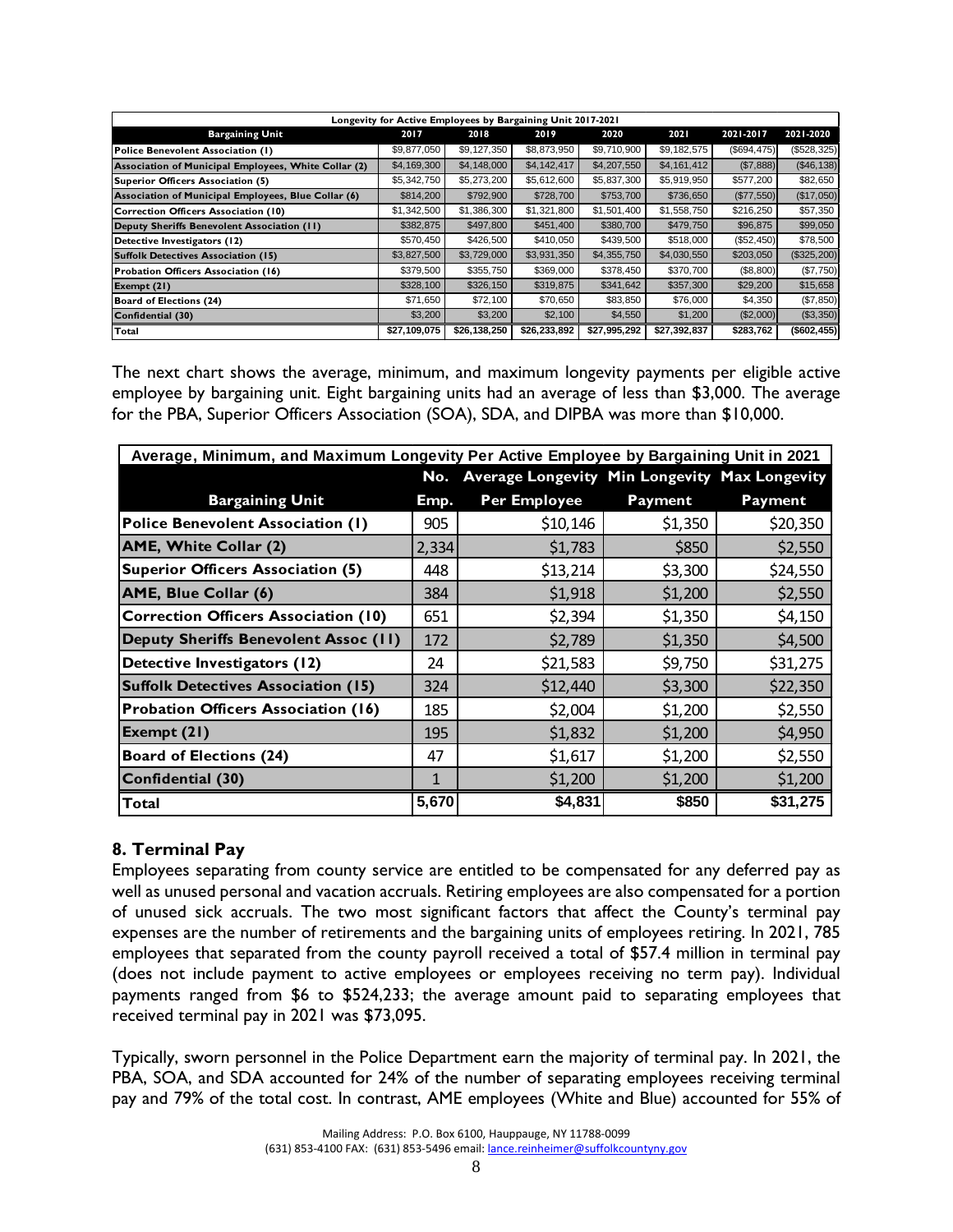|                                                      | Longevity for Active Employees by Bargaining Unit 2017-2021 |              |              |              |              |             |              |
|------------------------------------------------------|-------------------------------------------------------------|--------------|--------------|--------------|--------------|-------------|--------------|
| <b>Bargaining Unit</b>                               | 2017                                                        | 2018         | 2019         | 2020         | 2021         | 2021-2017   | 2021-2020    |
| Police Benevolent Association (1)                    | \$9,877,050                                                 | \$9,127,350  | \$8,873,950  | \$9,710,900  | \$9,182,575  | (S694, 475) | (\$528,325)  |
| Association of Municipal Employees, White Collar (2) | \$4,169,300                                                 | \$4,148,000  | \$4,142,417  | \$4,207,550  | \$4,161,412  | (S7,888)    | ( \$46, 138] |
| Superior Officers Association (5)                    | \$5,342,750                                                 | \$5,273,200  | \$5,612,600  | \$5,837,300  | \$5,919,950  | \$577,200   | \$82,650     |
| Association of Municipal Employees, Blue Collar (6)  | \$814,200                                                   | \$792,900    | \$728,700    | \$753,700    | \$736,650    | (\$77,550)  | (\$17,050)   |
| Correction Officers Association (10)                 | \$1,342,500                                                 | \$1,386,300  | \$1,321,800  | \$1,501,400  | \$1,558,750  | \$216,250   | \$57,350     |
| Deputy Sheriffs Benevolent Association (II)          | \$382,875                                                   | \$497,800    | \$451,400    | \$380,700    | \$479,750    | \$96,875    | \$99,050     |
| Detective Investigators (12)                         | \$570,450                                                   | \$426,500    | \$410,050    | \$439,500    | \$518,000    | (\$52,450)  | \$78,500     |
| <b>Suffolk Detectives Association (15)</b>           | \$3,827,500                                                 | \$3,729,000  | \$3,931,350  | \$4,355,750  | \$4,030,550  | \$203,050   | (\$325,200)  |
| Probation Officers Association (16)                  | \$379,500                                                   | \$355,750    | \$369,000    | \$378,450    | \$370,700    | (\$8,800)   | (\$7,750)    |
| Exempt $(21)$                                        | \$328,100                                                   | \$326,150    | \$319,875    | \$341,642    | \$357,300    | \$29,200    | \$15,658     |
| Board of Elections (24)                              | \$71,650                                                    | \$72,100     | \$70,650     | \$83,850     | \$76,000     | \$4,350     | (\$7,850)    |
| Confidential (30)                                    | \$3,200                                                     | \$3,200      | \$2,100      | \$4,550      | \$1,200      | (\$2,000)   | (\$3,350)    |
| Total                                                | \$27,109,075                                                | \$26,138,250 | \$26,233,892 | \$27,995,292 | \$27,392,837 | \$283,762   | (\$602, 455) |

The next chart shows the average, minimum, and maximum longevity payments per eligible active employee by bargaining unit. Eight bargaining units had an average of less than \$3,000. The average for the PBA, Superior Officers Association (SOA), SDA, and DIPBA was more than \$10,000.

| Average, Minimum, and Maximum Longevity Per Active Employee by Bargaining Unit in 2021 |       |                                               |                |                |
|----------------------------------------------------------------------------------------|-------|-----------------------------------------------|----------------|----------------|
|                                                                                        | No.   | Average Longevity Min Longevity Max Longevity |                |                |
| <b>Bargaining Unit</b>                                                                 | Emp.  | <b>Per Employee</b>                           | <b>Payment</b> | <b>Payment</b> |
| <b>Police Benevolent Association (1)</b>                                               | 905   | \$10,146                                      | \$1,350        | \$20,350       |
| AME, White Collar (2)                                                                  | 2,334 | \$1,783                                       | \$850          | \$2,550        |
| <b>Superior Officers Association (5)</b>                                               | 448   | \$13,214                                      | \$3,300        | \$24,550       |
| AME, Blue Collar (6)                                                                   | 384   | \$1,918                                       | \$1,200        | \$2,550        |
| <b>Correction Officers Association (10)</b>                                            | 651   | \$2,394                                       | \$1,350        | \$4,150        |
| Deputy Sheriffs Benevolent Assoc (11)                                                  | 172   | \$2,789                                       | \$1,350        | \$4,500        |
| Detective Investigators (12)                                                           | 24    | \$21,583                                      | \$9,750        | \$31,275       |
| <b>Suffolk Detectives Association (15)</b>                                             | 324   | \$12,440                                      | \$3,300        | \$22,350       |
| <b>Probation Officers Association (16)</b>                                             | 185   | \$2,004                                       | \$1,200        | \$2,550        |
| Exempt $(21)$                                                                          | 195   | \$1,832                                       | \$1,200        | \$4,950        |
| <b>Board of Elections (24)</b>                                                         | 47    | \$1,617                                       | \$1,200        | \$2,550        |
| Confidential (30)                                                                      | 1     | \$1,200                                       | \$1,200        | \$1,200        |
| Total                                                                                  | 5,670 | \$4,831                                       | \$850          | \$31,275       |

# **8. Terminal Pay**

Employees separating from county service are entitled to be compensated for any deferred pay as well as unused personal and vacation accruals. Retiring employees are also compensated for a portion of unused sick accruals. The two most significant factors that affect the County's terminal pay expenses are the number of retirements and the bargaining units of employees retiring. In 2021, 785 employees that separated from the county payroll received a total of \$57.4 million in terminal pay (does not include payment to active employees or employees receiving no term pay). Individual payments ranged from \$6 to \$524,233; the average amount paid to separating employees that received terminal pay in 2021 was \$73,095.

Typically, sworn personnel in the Police Department earn the majority of terminal pay. In 2021, the PBA, SOA, and SDA accounted for 24% of the number of separating employees receiving terminal pay and 79% of the total cost. In contrast, AME employees (White and Blue) accounted for 55% of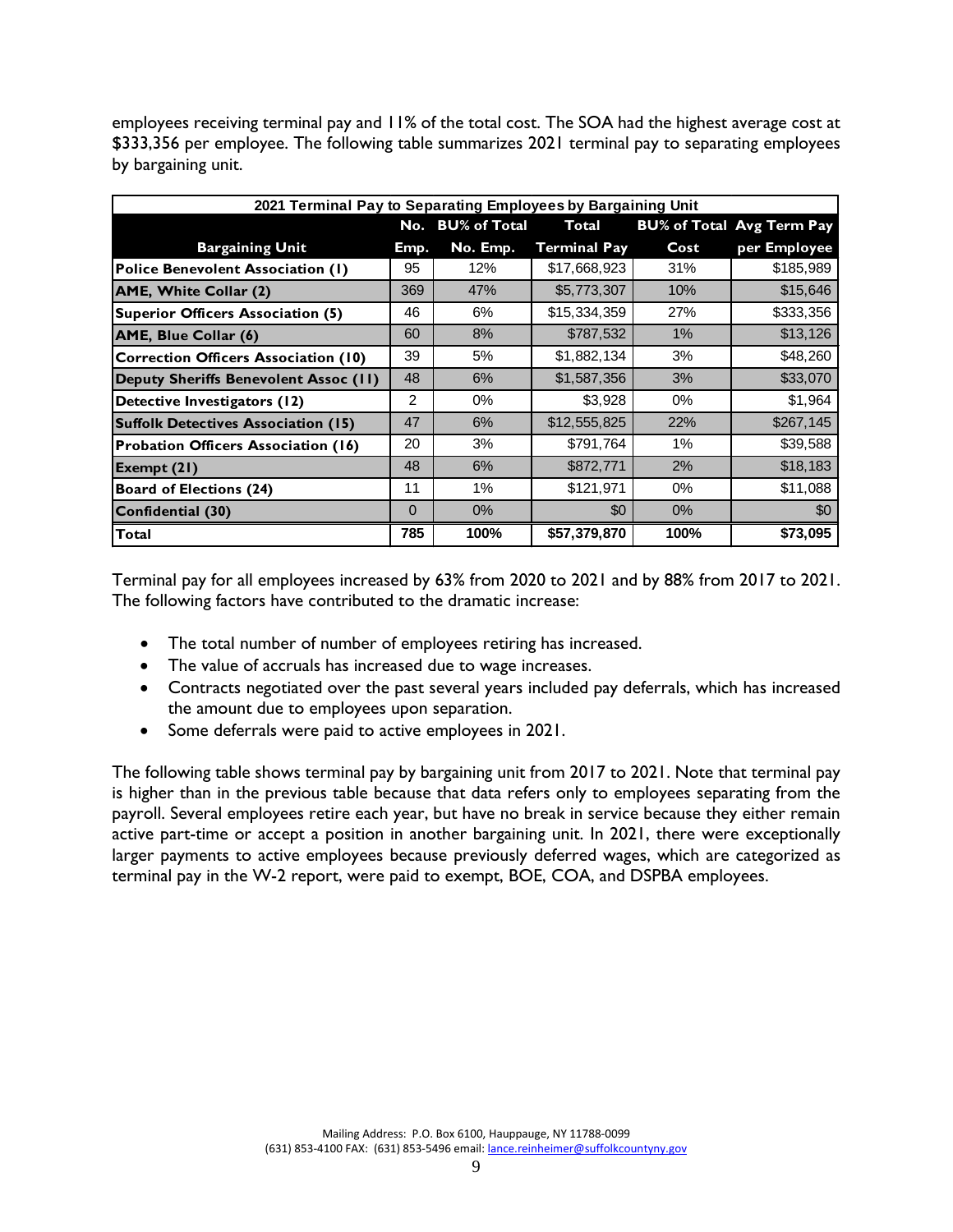employees receiving terminal pay and 11% of the total cost. The SOA had the highest average cost at \$333,356 per employee. The following table summarizes 2021 terminal pay to separating employees by bargaining unit.

| 2021 Terminal Pay to Separating Employees by Bargaining Unit |          |                  |                     |       |                                  |
|--------------------------------------------------------------|----------|------------------|---------------------|-------|----------------------------------|
|                                                              |          | No. BU% of Total | Total               |       | <b>BU% of Total Avg Term Pay</b> |
| <b>Bargaining Unit</b>                                       | Emp.     | No. Emp.         | <b>Terminal Pay</b> | Cost  | per Employee                     |
| <b>Police Benevolent Association (1)</b>                     | 95       | 12%              | \$17,668,923        | 31%   | \$185,989                        |
| AME, White Collar (2)                                        | 369      | 47%              | \$5,773,307         | 10%   | \$15,646                         |
| <b>Superior Officers Association (5)</b>                     | 46       | 6%               | \$15,334,359        | 27%   | \$333,356                        |
| AME, Blue Collar (6)                                         | 60       | 8%               | \$787,532           | $1\%$ | \$13,126                         |
| <b>Correction Officers Association (10)</b>                  | 39       | 5%               | \$1,882,134         | 3%    | \$48,260                         |
| Deputy Sheriffs Benevolent Assoc (11)                        | 48       | 6%               | \$1,587,356         | 3%    | \$33,070                         |
| Detective Investigators (12)                                 | 2        | $0\%$            | \$3,928             | $0\%$ | \$1,964                          |
| <b>Suffolk Detectives Association (15)</b>                   | 47       | 6%               | \$12,555,825        | 22%   | \$267,145                        |
| Probation Officers Association (16)                          | 20       | 3%               | \$791,764           | 1%    | \$39,588                         |
| Exempt (21)                                                  | 48       | 6%               | \$872,771           | 2%    | \$18,183                         |
| <b>Board of Elections (24)</b>                               | 11       | 1%               | \$121,971           | $0\%$ | \$11,088                         |
| Confidential (30)                                            | $\Omega$ | $0\%$            | \$0                 | $0\%$ | \$0                              |
| Total                                                        | 785      | 100%             | \$57,379,870        | 100%  | \$73,095                         |

Terminal pay for all employees increased by 63% from 2020 to 2021 and by 88% from 2017 to 2021. The following factors have contributed to the dramatic increase:

- The total number of number of employees retiring has increased.
- The value of accruals has increased due to wage increases.
- Contracts negotiated over the past several years included pay deferrals, which has increased the amount due to employees upon separation.
- Some deferrals were paid to active employees in 2021.

The following table shows terminal pay by bargaining unit from 2017 to 2021. Note that terminal pay is higher than in the previous table because that data refers only to employees separating from the payroll. Several employees retire each year, but have no break in service because they either remain active part-time or accept a position in another bargaining unit. In 2021, there were exceptionally larger payments to active employees because previously deferred wages, which are categorized as terminal pay in the W-2 report, were paid to exempt, BOE, COA, and DSPBA employees.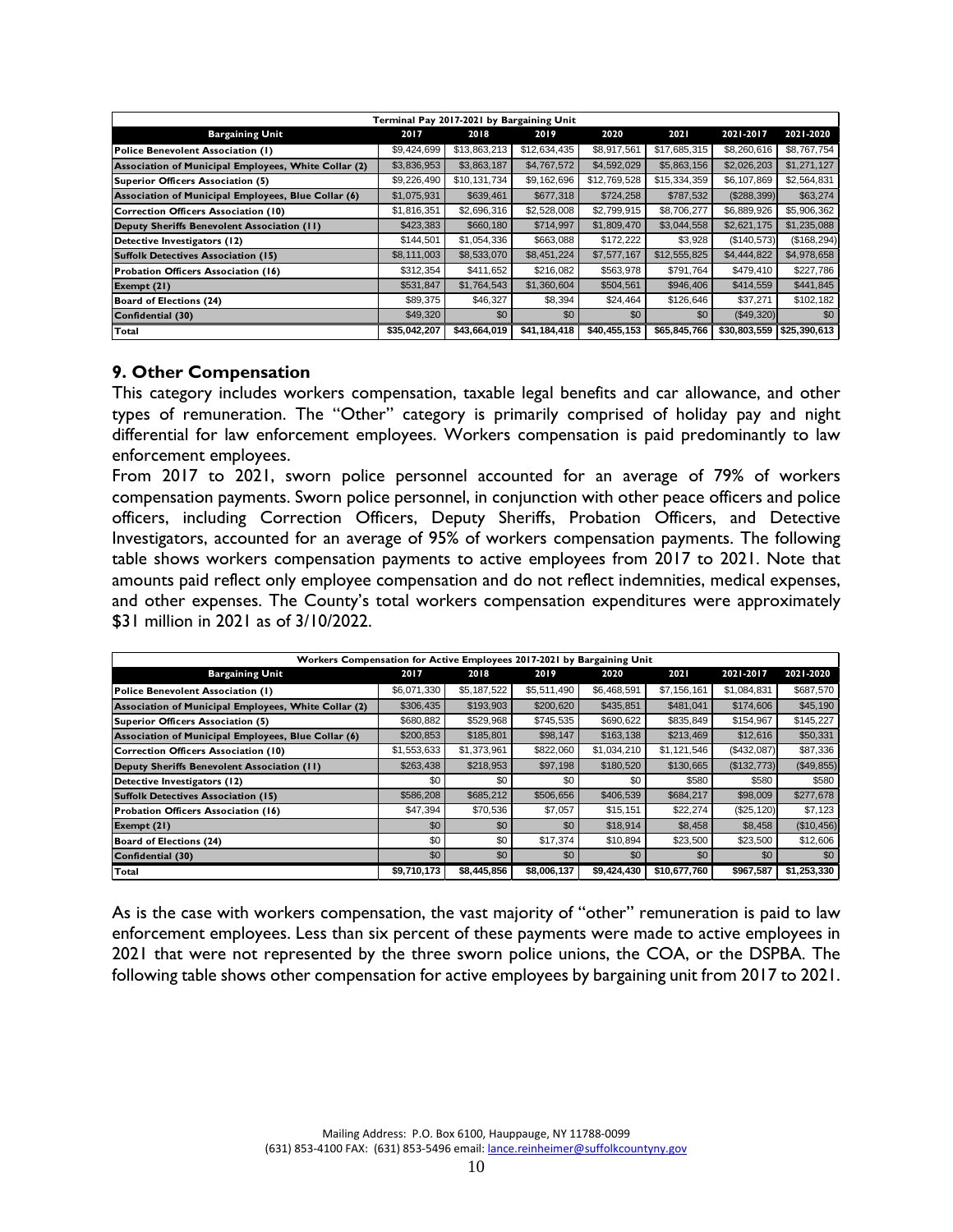|                                                      | Terminal Pay 2017-2021 by Bargaining Unit |              |              |              |              |              |              |
|------------------------------------------------------|-------------------------------------------|--------------|--------------|--------------|--------------|--------------|--------------|
| <b>Bargaining Unit</b>                               | 2017                                      | 2018         | 2019         | 2020         | 2021         | 2021-2017    | 2021-2020    |
| Police Benevolent Association (1)                    | \$9,424,699                               | \$13,863,213 | \$12,634,435 | \$8,917,561  | \$17,685,315 | \$8,260,616  | \$8,767,754  |
| Association of Municipal Employees, White Collar (2) | \$3,836,953                               | \$3,863,187  | \$4,767,572  | \$4,592,029  | \$5,863,156  | \$2,026,203  | \$1,271,127  |
| Superior Officers Association (5)                    | \$9,226,490                               | \$10,131,734 | \$9,162,696  | \$12,769,528 | \$15,334,359 | \$6,107,869  | \$2,564,831  |
| Association of Municipal Employees, Blue Collar (6)  | \$1,075,931                               | \$639.461    | \$677,318    | \$724.258    | \$787.532    | (\$288,399)  | \$63,274     |
| Correction Officers Association (10)                 | \$1,816,351                               | \$2,696,316  | \$2,528,008  | \$2,799,915  | \$8,706,277  | \$6,889,926  | \$5,906,362  |
| Deputy Sheriffs Benevolent Association (II)          | \$423,383                                 | \$660,180    | \$714,997    | \$1,809,470  | \$3,044,558  | \$2,621,175  | \$1,235,088  |
| Detective Investigators (12)                         | \$144,501                                 | \$1,054,336  | \$663,088    | \$172,222    | \$3,928      | (\$140,573)  | (\$168, 294) |
| Suffolk Detectives Association (15)                  | \$8,111,003                               | \$8,533,070  | \$8,451,224  | \$7,577,167  | \$12,555,825 | \$4,444,822  | \$4,978,658  |
| Probation Officers Association (16)                  | \$312,354                                 | \$411,652    | \$216,082    | \$563,978    | \$791,764    | \$479,410    | \$227,786    |
| Exempt (21)                                          | \$531,847                                 | \$1,764,543  | \$1,360,604  | \$504,561    | \$946,406    | \$414,559    | \$441,845    |
| Board of Elections (24)                              | \$89.375                                  | \$46,327     | \$8,394      | \$24,464     | \$126,646    | \$37,271     | \$102,182    |
| Confidential (30)                                    | \$49,320                                  | \$0          | \$0          | \$0          | \$0          | (\$49,320)   | \$0          |
| Total                                                | \$35,042,207                              | \$43,664,019 | \$41,184,418 | \$40,455,153 | \$65,845,766 | \$30,803,559 | \$25,390,613 |

### **9. Other Compensation**

This category includes workers compensation, taxable legal benefits and car allowance, and other types of remuneration. The "Other" category is primarily comprised of holiday pay and night differential for law enforcement employees. Workers compensation is paid predominantly to law enforcement employees.

From 2017 to 2021, sworn police personnel accounted for an average of 79% of workers compensation payments. Sworn police personnel, in conjunction with other peace officers and police officers, including Correction Officers, Deputy Sheriffs, Probation Officers, and Detective Investigators, accounted for an average of 95% of workers compensation payments. The following table shows workers compensation payments to active employees from 2017 to 2021. Note that amounts paid reflect only employee compensation and do not reflect indemnities, medical expenses, and other expenses. The County's total workers compensation expenditures were approximately \$31 million in 2021 as of 3/10/2022.

|                                                      | Workers Compensation for Active Employees 2017-2021 by Bargaining Unit |             |             |             |              |             |             |  |  |  |  |  |
|------------------------------------------------------|------------------------------------------------------------------------|-------------|-------------|-------------|--------------|-------------|-------------|--|--|--|--|--|
| <b>Bargaining Unit</b>                               | 2017                                                                   | 2018        | 2019        | 2020        | 2021         | 2021-2017   | 2021-2020   |  |  |  |  |  |
| Police Benevolent Association (1)                    | \$6,071,330                                                            | \$5,187,522 | \$5,511,490 | \$6,468,591 | \$7,156,161  | \$1,084,831 | \$687,570   |  |  |  |  |  |
| Association of Municipal Employees, White Collar (2) | \$306,435                                                              | \$193,903   | \$200,620   | \$435,851   | \$481.041    | \$174,606   | \$45,190    |  |  |  |  |  |
| Superior Officers Association (5)                    | \$680,882                                                              | \$529,968   | \$745,535   | \$690,622   | \$835,849    | \$154,967   | \$145,227   |  |  |  |  |  |
| Association of Municipal Employees, Blue Collar (6)  | \$200,853                                                              | \$185,801   | \$98,147    | \$163,138   | \$213,469    | \$12,616    | \$50,331    |  |  |  |  |  |
| Correction Officers Association (10)                 | \$1,553,633                                                            | \$1,373,961 | \$822,060   | \$1,034,210 | \$1,121,546  | (\$432,087) | \$87,336    |  |  |  |  |  |
| Deputy Sheriffs Benevolent Association (11)          | \$263,438                                                              | \$218,953   | \$97,198    | \$180,520   | \$130,665    | (\$132,773) | (\$49,855)  |  |  |  |  |  |
| Detective Investigators (12)                         | \$0                                                                    | \$0         | \$0         | \$0         | \$580        | \$580       | \$580       |  |  |  |  |  |
| <b>Suffolk Detectives Association (15)</b>           | \$586,208                                                              | \$685,212   | \$506,656   | \$406,539   | \$684,217    | \$98,009    | \$277,678   |  |  |  |  |  |
| Probation Officers Association (16)                  | \$47,394                                                               | \$70,536    | \$7,057     | \$15,151    | \$22,274     | (\$25, 120) | \$7,123     |  |  |  |  |  |
| Exempt $(21)$                                        | \$0                                                                    | \$0         | \$0         | \$18,914    | \$8,458      | \$8,458     | (\$10,456)  |  |  |  |  |  |
| Board of Elections (24)                              | \$0                                                                    | \$0         | \$17,374    | \$10.894    | \$23,500     | \$23,500    | \$12,606    |  |  |  |  |  |
| Confidential (30)                                    | \$0                                                                    | \$0         | \$0         | \$0         | \$0          | \$0         | \$0         |  |  |  |  |  |
| Total                                                | \$9,710,173                                                            | \$8,445,856 | \$8,006,137 | \$9,424,430 | \$10,677,760 | \$967,587   | \$1,253,330 |  |  |  |  |  |

As is the case with workers compensation, the vast majority of "other" remuneration is paid to law enforcement employees. Less than six percent of these payments were made to active employees in 2021 that were not represented by the three sworn police unions, the COA, or the DSPBA. The following table shows other compensation for active employees by bargaining unit from 2017 to 2021.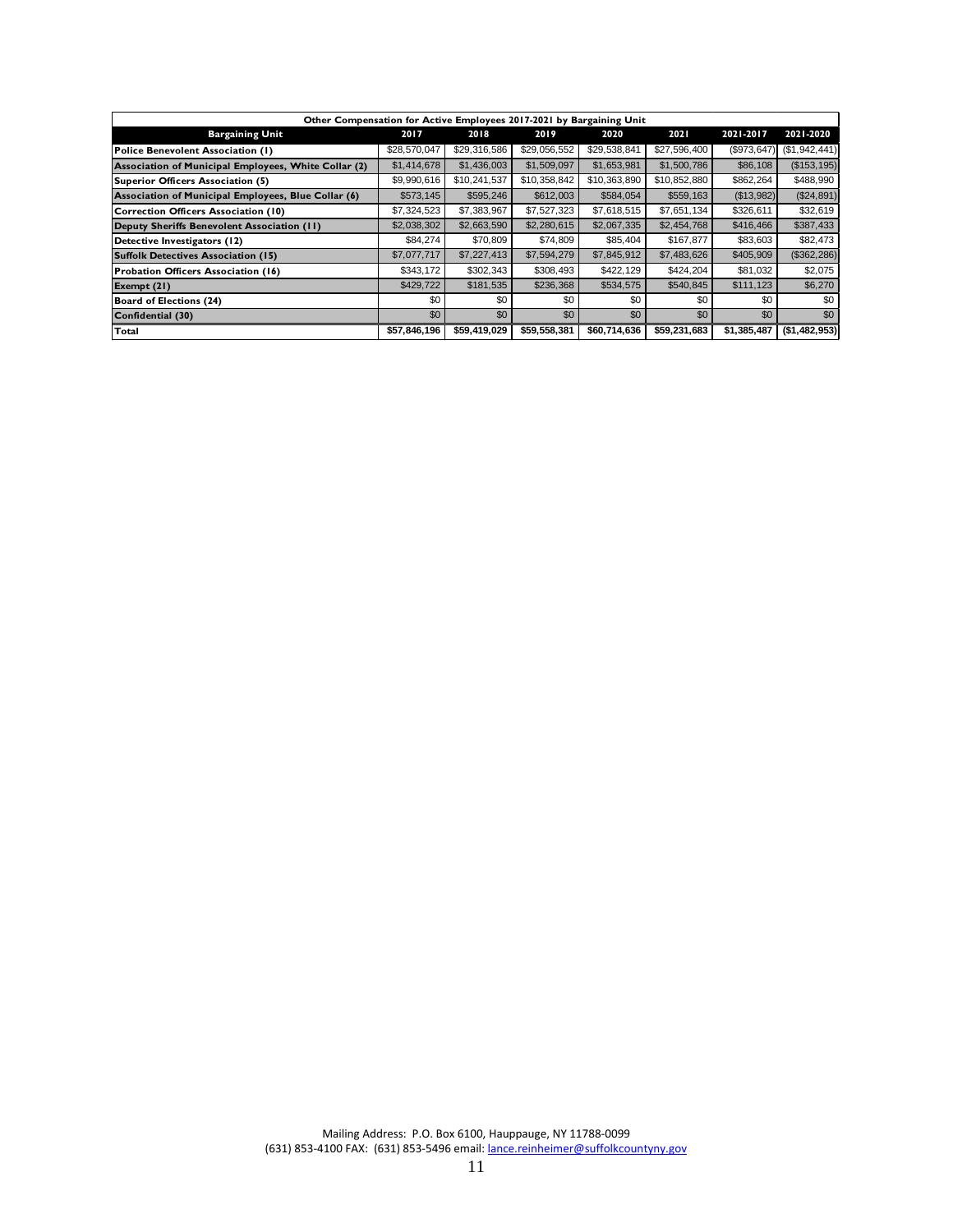|                                                      | Other Compensation for Active Employees 2017-2021 by Bargaining Unit |              |              |              |              |             |               |  |  |  |  |
|------------------------------------------------------|----------------------------------------------------------------------|--------------|--------------|--------------|--------------|-------------|---------------|--|--|--|--|
| <b>Bargaining Unit</b>                               | 2017                                                                 | 2018         | 2019         | 2020         | 2021         | 2021-2017   | 2021-2020     |  |  |  |  |
| Police Benevolent Association (1)                    | \$28,570,047                                                         | \$29,316,586 | \$29,056,552 | \$29,538,841 | \$27,596,400 | (\$973,647) | (\$1,942,441) |  |  |  |  |
| Association of Municipal Employees, White Collar (2) | \$1,414,678                                                          | \$1,436,003  | \$1,509,097  | \$1,653,981  | \$1,500,786  | \$86,108    | (S153, 195)   |  |  |  |  |
| Superior Officers Association (5)                    | \$9,990,616                                                          | \$10,241,537 | \$10,358,842 | \$10,363,890 | \$10,852,880 | \$862,264   | \$488,990     |  |  |  |  |
| Association of Municipal Employees, Blue Collar (6)  | \$573,145                                                            | \$595,246    | \$612,003    | \$584,054    | \$559,163    | (\$13,982)  | (\$24,891)    |  |  |  |  |
| Correction Officers Association (10)                 | \$7,324,523                                                          | \$7,383,967  | \$7,527,323  | \$7,618,515  | \$7,651,134  | \$326,611   | \$32,619      |  |  |  |  |
| Deputy Sheriffs Benevolent Association (11)          | \$2,038,302                                                          | \$2,663,590  | \$2,280,615  | \$2,067,335  | \$2,454,768  | \$416,466   | \$387,433     |  |  |  |  |
| Detective Investigators (12)                         | \$84,274                                                             | \$70,809     | \$74,809     | \$85,404     | \$167,877    | \$83,603    | \$82,473      |  |  |  |  |
| <b>Suffolk Detectives Association (15)</b>           | \$7,077,717                                                          | \$7,227,413  | \$7,594,279  | \$7,845,912  | \$7,483,626  | \$405,909   | (\$362,286)   |  |  |  |  |
| Probation Officers Association (16)                  | \$343,172                                                            | \$302,343    | \$308,493    | \$422,129    | \$424.204    | \$81,032    | \$2,075       |  |  |  |  |
| Exempt (21)                                          | \$429,722                                                            | \$181,535    | \$236,368    | \$534,575    | \$540,845    | \$111,123   | \$6,270       |  |  |  |  |
| Board of Elections (24)                              | \$0                                                                  | \$0          | \$0          | \$0          | \$0          | \$0         | \$0           |  |  |  |  |
| Confidential (30)                                    | \$0                                                                  | \$0          | \$0          | \$0          | \$0          | \$0         | \$0           |  |  |  |  |
| Total                                                | \$57,846,196                                                         | \$59,419,029 | \$59,558,381 | \$60,714,636 | \$59,231,683 | \$1,385,487 | (\$1,482,953) |  |  |  |  |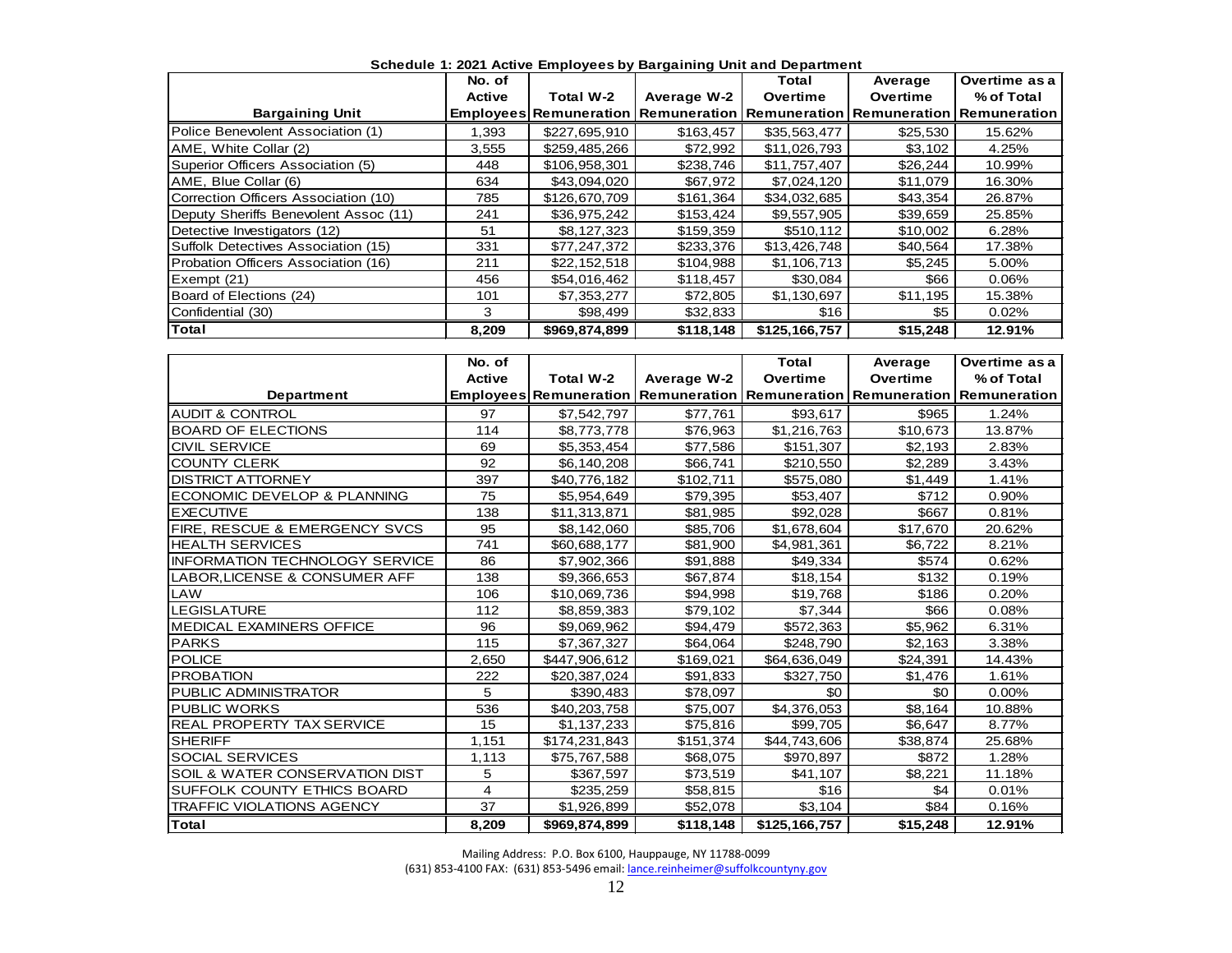| Schedule 1: 2021 Active Employees by Bargaining Unit and Department |        |               |             |                                                                                    |          |            |  |  |  |  |  |
|---------------------------------------------------------------------|--------|---------------|-------------|------------------------------------------------------------------------------------|----------|------------|--|--|--|--|--|
| Overtime as a<br>No. of<br>Total<br>Average                         |        |               |             |                                                                                    |          |            |  |  |  |  |  |
|                                                                     | Active | Total W-2     | Average W-2 | Overtime                                                                           | Overtime | % of Total |  |  |  |  |  |
| <b>Bargaining Unit</b>                                              |        |               |             | Employees Remuneration   Remuneration   Remuneration   Remuneration   Remuneration |          |            |  |  |  |  |  |
| Police Benevolent Association (1)                                   | 1,393  | \$227,695,910 | \$163,457   | \$35,563,477                                                                       | \$25,530 | 15.62%     |  |  |  |  |  |
| AME, White Collar (2)                                               | 3,555  | \$259,485,266 | \$72,992    | \$11,026,793                                                                       | \$3,102  | 4.25%      |  |  |  |  |  |
| Superior Officers Association (5)                                   | 448    | \$106,958,301 | \$238,746   | \$11,757,407                                                                       | \$26,244 | 10.99%     |  |  |  |  |  |
| AME, Blue Collar (6)                                                | 634    | \$43,094,020  | \$67,972    | \$7,024,120                                                                        | \$11,079 | 16.30%     |  |  |  |  |  |
| Correction Officers Association (10)                                | 785    | \$126,670,709 | \$161,364   | \$34,032,685                                                                       | \$43,354 | 26.87%     |  |  |  |  |  |
| Deputy Sheriffs Benevolent Assoc (11)                               | 241    | \$36,975,242  | \$153,424   | \$9,557,905                                                                        | \$39,659 | 25.85%     |  |  |  |  |  |
| Detective Investigators (12)                                        | 51     | \$8,127,323   | \$159.359   | \$510.112                                                                          | \$10,002 | 6.28%      |  |  |  |  |  |
| Suffolk Detectives Association (15)                                 | 331    | \$77,247,372  | \$233,376   | \$13,426,748                                                                       | \$40,564 | 17.38%     |  |  |  |  |  |
| Probation Officers Association (16)                                 | 211    | \$22,152,518  | \$104,988   | \$1,106,713                                                                        | \$5,245  | 5.00%      |  |  |  |  |  |
| Exempt (21)                                                         | 456    | \$54,016,462  | \$118,457   | \$30,084                                                                           | \$66     | 0.06%      |  |  |  |  |  |
| Board of Elections (24)                                             | 101    | \$7,353,277   | \$72,805    | \$1,130,697                                                                        | \$11,195 | 15.38%     |  |  |  |  |  |
| Confidential (30)                                                   | 3      | \$98,499      | \$32,833    | \$16                                                                               | \$5      | 0.02%      |  |  |  |  |  |
| Total                                                               | 8,209  | \$969,874,899 | \$118,148   | \$125,166,757                                                                      | \$15,248 | 12.91%     |  |  |  |  |  |

|                                       | No. of |               |                                                                            | Total         | Average  | Overtime as a |
|---------------------------------------|--------|---------------|----------------------------------------------------------------------------|---------------|----------|---------------|
|                                       | Active | Total W-2     | Average W-2                                                                | Overtime      | Overtime | % of Total    |
| <b>Department</b>                     |        |               | Employees Remuneration Remuneration Remuneration Remuneration Remuneration |               |          |               |
| <b>AUDIT &amp; CONTROL</b>            | 97     | \$7,542,797   | \$77,761                                                                   | \$93,617      | \$965    | 1.24%         |
| <b>BOARD OF ELECTIONS</b>             | 114    | \$8,773,778   | \$76,963                                                                   | \$1,216,763   | \$10,673 | 13.87%        |
| <b>CIVIL SERVICE</b>                  | 69     | \$5,353,454   | \$77,586                                                                   | \$151,307     | \$2,193  | 2.83%         |
| <b>COUNTY CLERK</b>                   | 92     | \$6,140,208   | \$66,741                                                                   | \$210,550     | \$2,289  | 3.43%         |
| <b>DISTRICT ATTORNEY</b>              | 397    | \$40,776,182  | \$102,711                                                                  | \$575,080     | \$1,449  | 1.41%         |
| ECONOMIC DEVELOP & PLANNING           | 75     | \$5,954,649   | \$79,395                                                                   | \$53,407      | \$712    | 0.90%         |
| <b>EXECUTIVE</b>                      | 138    | \$11,313,871  | \$81,985                                                                   | \$92,028      | \$667    | 0.81%         |
| FIRE, RESCUE & EMERGENCY SVCS         | 95     | \$8,142,060   | \$85,706                                                                   | \$1,678,604   | \$17,670 | 20.62%        |
| <b>HEALTH SERVICES</b>                | 741    | \$60,688,177  | \$81,900                                                                   | \$4,981,361   | \$6,722  | 8.21%         |
| <b>INFORMATION TECHNOLOGY SERVICE</b> | 86     | \$7,902,366   | \$91,888                                                                   | \$49,334      | \$574    | 0.62%         |
| LABOR, LICENSE & CONSUMER AFF         | 138    | \$9,366,653   | \$67,874                                                                   | \$18,154      | \$132    | 0.19%         |
| LAW                                   | 106    | \$10,069,736  | \$94,998                                                                   | \$19,768      | \$186    | 0.20%         |
| <b>LEGISLATURE</b>                    | 112    | \$8,859,383   | \$79,102                                                                   | \$7,344       | \$66     | 0.08%         |
| <b>MEDICAL EXAMINERS OFFICE</b>       | 96     | \$9,069,962   | \$94,479                                                                   | \$572,363     | \$5,962  | 6.31%         |
| <b>PARKS</b>                          | 115    | \$7,367,327   | \$64,064                                                                   | \$248,790     | \$2,163  | 3.38%         |
| <b>POLICE</b>                         | 2.650  | \$447,906,612 | \$169,021                                                                  | \$64,636,049  | \$24,391 | 14.43%        |
| <b>PROBATION</b>                      | 222    | \$20,387,024  | \$91,833                                                                   | \$327,750     | \$1,476  | 1.61%         |
| <b>PUBLIC ADMINISTRATOR</b>           | 5      | \$390,483     | \$78,097                                                                   | \$0           | \$0      | 0.00%         |
| <b>PUBLIC WORKS</b>                   | 536    | \$40,203,758  | \$75,007                                                                   | \$4,376,053   | \$8,164  | 10.88%        |
| <b>REAL PROPERTY TAX SERVICE</b>      | 15     | \$1,137,233   | \$75,816                                                                   | \$99,705      | \$6,647  | 8.77%         |
| <b>SHERIFF</b>                        | 1,151  | \$174,231,843 | \$151,374                                                                  | \$44,743,606  | \$38,874 | 25.68%        |
| <b>SOCIAL SERVICES</b>                | 1,113  | \$75,767,588  | \$68,075                                                                   | \$970,897     | \$872    | 1.28%         |
| SOIL & WATER CONSERVATION DIST        | 5      | \$367,597     | \$73,519                                                                   | \$41,107      | \$8,221  | 11.18%        |
| SUFFOLK COUNTY ETHICS BOARD           | 4      | \$235,259     | \$58,815                                                                   | \$16          | \$4      | 0.01%         |
| <b>TRAFFIC VIOLATIONS AGENCY</b>      | 37     | \$1,926,899   | \$52,078                                                                   | \$3,104       | \$84     | 0.16%         |
| <b>Total</b>                          | 8,209  | \$969,874,899 | \$118,148                                                                  | \$125,166,757 | \$15,248 | 12.91%        |

Mailing Address: P.O. Box 6100, Hauppauge, NY 11788-0099

(631) 853-4100 FAX: (631) 853-5496 email[: lance.reinheimer@suffolkcountyny.gov](mailto:lance.reinheimer@suffolkcountyny.gov)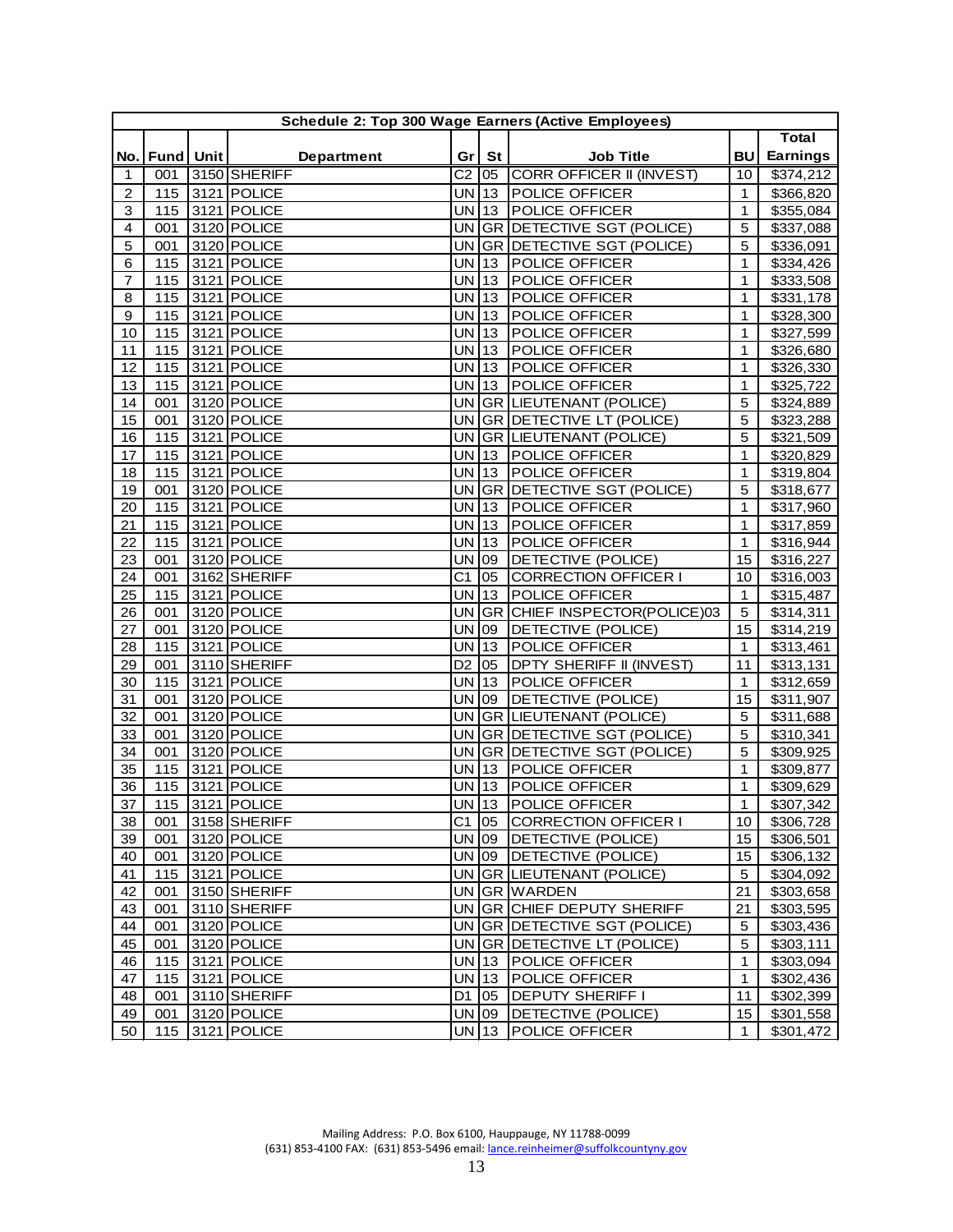|                |                   | Schedule 2: Top 300 Wage Earners (Active Employees) |                    |              |                                 |                   |                        |
|----------------|-------------------|-----------------------------------------------------|--------------------|--------------|---------------------------------|-------------------|------------------------|
|                |                   |                                                     |                    |              |                                 |                   | <b>Total</b>           |
|                | No.   Fund   Unit | <b>Department</b>                                   | Gr <sub>1</sub>    | St           | <b>Job Title</b>                | <b>BU</b>         | <b>Earnings</b>        |
| 1              | 001               | 3150 SHERIFF                                        | C <sub>2</sub>     | 05           | <b>CORR OFFICER II (INVEST)</b> | 10                | \$374,212              |
| $\overline{c}$ | 115               | 3121 POLICE                                         | $UN$ 13            |              | POLICE OFFICER                  | 1                 | \$366,820              |
| 3              | 115               | 3121 POLICE                                         | <b>UN</b>          | $ 13\rangle$ | <b>POLICE OFFICER</b>           | 1                 | \$355,084              |
| 4              | 001               | 3120 POLICE                                         | <b>UN</b>          |              | GR DETECTIVE SGT (POLICE)       | 5                 | \$337,088              |
| 5              | 001               | 3120 POLICE                                         | <b>UN</b>          |              | GR DETECTIVE SGT (POLICE)       | 5                 | \$336,091              |
| 6              | 115               | 3121 POLICE                                         | <b>UN</b>          | $ 13\rangle$ | POLICE OFFICER                  | 1                 | \$334,426              |
| $\overline{7}$ | 115               | 3121 POLICE                                         | <b>UN</b>          | 13           | POLICE OFFICER                  | 1                 | \$333,508              |
| 8              | 115               | 3121 POLICE                                         | $UN$ 13            |              | POLICE OFFICER                  | 1                 | \$331,178              |
| 9              | 115               | 3121 POLICE                                         | UN 13              |              | POLICE OFFICER                  | 1                 | \$328,300              |
| 10             | 115               | 3121 POLICE                                         | UN 13              |              | POLICE OFFICER                  | 1                 | \$327,599              |
| 11             | 115               | 3121 POLICE                                         | UN 13              |              | POLICE OFFICER                  | 1                 | \$326,680              |
| 12             | 115               | 3121 POLICE                                         | <b>UN</b>          | $ 13\rangle$ | POLICE OFFICER                  | 1                 | \$326,330              |
| 13             | 115               | 3121 POLICE                                         | UN 13              |              | POLICE OFFICER                  | 1                 | \$325,722              |
| 14             | 001               | 3120 POLICE                                         |                    |              | UN GR LIEUTENANT (POLICE)       | 5                 | \$324,889              |
| 15             | 001               | 3120 POLICE                                         | UN                 |              | GR DETECTIVE LT (POLICE)        | 5                 | \$323,288              |
| 16             | 115               | 3121 POLICE                                         | UN                 |              | GR LIEUTENANT (POLICE)          | 5                 | \$321,509              |
| 17             | 115               | 3121 POLICE                                         | <b>UN</b>          | $\vert$ 13   | POLICE OFFICER                  | $\mathbf{1}$      | \$320,829              |
| 18             | 115               | 3121 POLICE                                         | UN 13              |              | POLICE OFFICER                  | 1                 | \$319,804              |
| 19             | 001               | 3120 POLICE                                         | <b>UN</b>          |              | GR DETECTIVE SGT (POLICE)       | 5                 | \$318,677              |
| 20             | 115               | 3121 POLICE                                         | <b>UN</b>          | $ 13\rangle$ | POLICE OFFICER                  | $\mathbf{1}$      | \$317,960              |
| 21             | 115               | 3121 POLICE                                         | <b>UN</b>          | 13           | POLICE OFFICER                  | $\mathbf{1}$      | \$317,859              |
| 22             | 115               | 3121 POLICE                                         | <b>UN</b>          | $ 13\rangle$ | POLICE OFFICER                  | 1                 | \$316,944              |
| 23             | 001               | 3120 POLICE                                         | UN 09              |              | DETECTIVE (POLICE)              | 15                | \$316,227              |
| 24             | 001               | 3162 SHERIFF                                        | C <sub>1</sub>     | 05           | <b>CORRECTION OFFICER I</b>     | 10                | \$316,003              |
| 25             | 115               | 3121 POLICE                                         | <b>UN</b>          | $\vert$ 13   | POLICE OFFICER                  | $\mathbf{1}$      | \$315,487              |
| 26             | 001               | 3120 POLICE                                         | UN                 | GR           | CHIEF INSPECTOR(POLICE)03       | $\mathbf 5$       | \$314,311              |
| 27             | 001               | 3120 POLICE                                         | <b>UN</b>          | 09           | DETECTIVE (POLICE)              | 15                | \$314,219              |
| 28             | 115               | $3121$ POLICE                                       | <b>UN</b>          | 13           | POLICE OFFICER                  | $\mathbf{1}$      | \$313,461              |
| 29             | 001               | 3110 SHERIFF                                        | D <sub>2</sub>     | 05           | DPTY SHERIFF II (INVEST)        | 11                | \$313,131              |
| 30             | 115               | 3121 POLICE                                         | UN                 | 13           | POLICE OFFICER                  | $\mathbf{1}$      | \$312,659              |
| 31             | 001               | 3120 POLICE                                         | <b>UN</b>          | 09           | DETECTIVE (POLICE)              | 15                | \$311,907              |
| 32             | 001               | 3120 POLICE                                         | <b>UN</b>          |              | GR LIEUTENANT (POLICE)          | 5                 | \$311,688              |
| 33             | 001               | 3120 POLICE                                         | UN                 |              | GR DETECTIVE SGT (POLICE)       | 5                 | \$310,341              |
| 34             | 001               | 3120 POLICE                                         | UN                 |              | GR DETECTIVE SGT (POLICE)       | 5                 | \$309,925              |
| 35             | 115               | 3121 POLICE                                         | <b>UN</b>          | 13           | POLICE OFFICER                  | $\mathbf{1}$      | \$309,877              |
| 36             | 115               | 3121 POLICE                                         | <b>UN</b>          | 13           | POLICE OFFICER                  | $\mathbf{1}$      | \$309,629              |
| 37             | 115               | 3121 POLICE                                         | UN 13              |              | <b>POLICE OFFICER</b>           | 1                 | \$307,342              |
| 38             | 001               | 3158 SHERIFF                                        | $C1$ 05            |              | <b>CORRECTION OFFICER I</b>     | 10                | \$306,728              |
| 39             | 001               | 3120 POLICE                                         | UN 09              |              | DETECTIVE (POLICE)              | $15\,$            | \$306,501              |
| 40             | 001               | 3120 POLICE                                         |                    | UN 09        | DETECTIVE (POLICE)              | 15 <sub>1</sub>   | \$306,132              |
| 41             | 115               | 3121 POLICE                                         |                    |              | UN GR LIEUTENANT (POLICE)       | 5                 | \$304,092              |
|                | 001               | 3150 SHERIFF                                        |                    |              | UN GR WARDEN                    | 21                | \$303,658              |
| 42             |                   | 3110 SHERIFF                                        |                    |              | UN GR CHIEF DEPUTY SHERIFF      | 21                | \$303,595              |
| 43<br>44       | 001               | 3120 POLICE                                         |                    |              | UN GR DETECTIVE SGT (POLICE)    | 5                 | \$303,436              |
|                | 001               |                                                     |                    |              | UN GR DETECTIVE LT (POLICE)     |                   |                        |
| 45             | 001               | 3120 POLICE<br>3121 POLICE                          |                    |              | <b>POLICE OFFICER</b>           | 5<br>$\mathbf{1}$ | \$303,111<br>\$303,094 |
| 46<br>47       | 115               |                                                     | $UN$ 13<br>$UN$ 13 |              |                                 | $\mathbf{1}$      | \$302,436              |
|                | 115               | 3121 POLICE                                         |                    |              | POLICE OFFICER                  |                   |                        |
| 48             | 001               | 3110 SHERIFF                                        | D <sub>1</sub>     | 05           | DEPUTY SHERIFF I                | 11                | \$302,399              |
| 49             | 001               | 3120 POLICE                                         | UN 09              |              | DETECTIVE (POLICE)              | 15                | \$301,558              |
| 50             | 115               | 3121 POLICE                                         | $UN$ 13            |              | POLICE OFFICER                  | $\mathbf{1}$      | \$301,472              |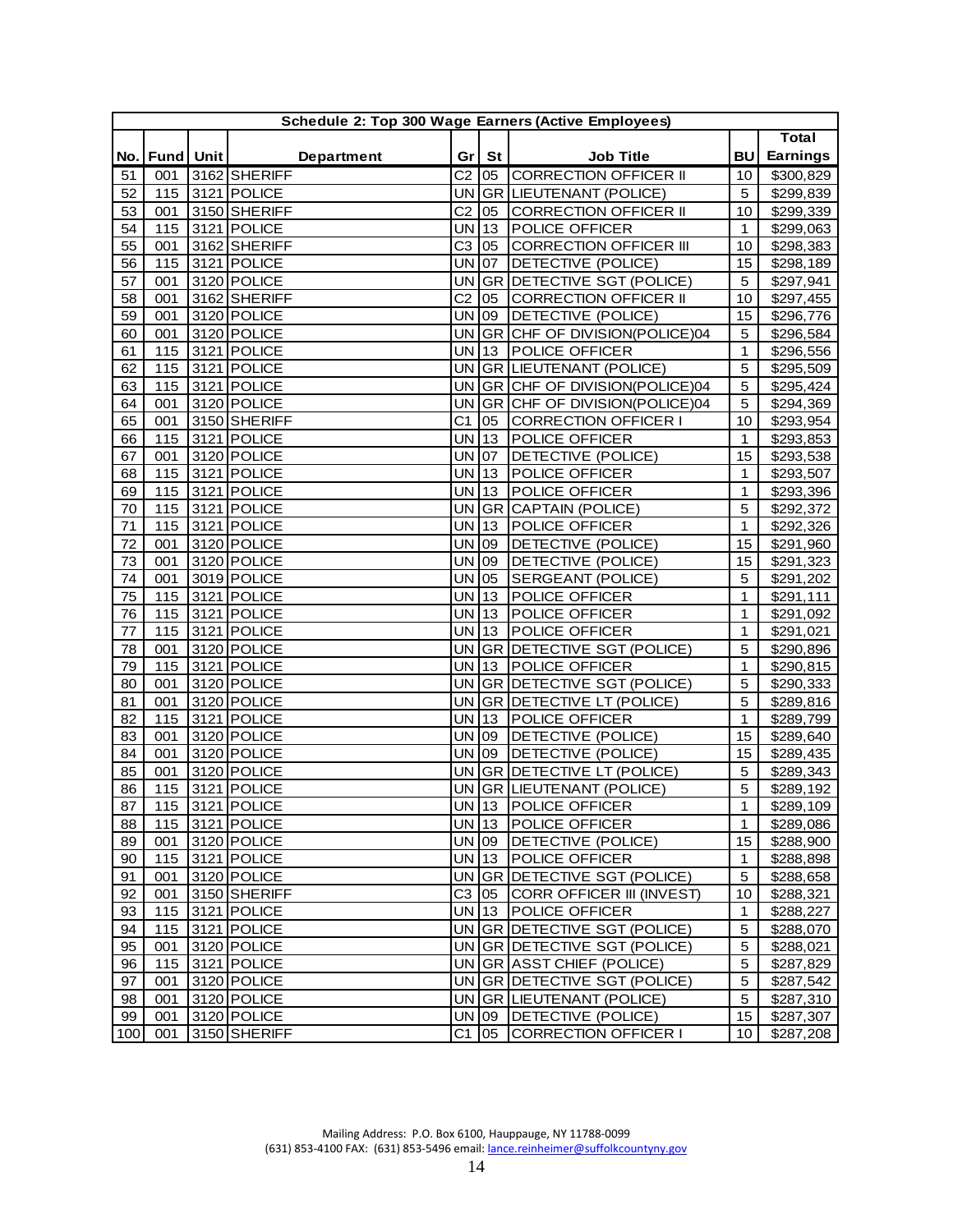|     | Schedule 2: Top 300 Wage Earners (Active Employees) |  |                   |                |              |                                |                 |                 |  |  |  |
|-----|-----------------------------------------------------|--|-------------------|----------------|--------------|--------------------------------|-----------------|-----------------|--|--|--|
|     |                                                     |  |                   |                |              |                                |                 | <b>Total</b>    |  |  |  |
| No. | Fund Unit                                           |  | <b>Department</b> |                | Gr   St      | <b>Job Title</b>               | <b>BU</b>       | <b>Earnings</b> |  |  |  |
| 51  | 001                                                 |  | 3162 SHERIFF      |                | $C2$ 05      | CORRECTION OFFICER II          | 10              | \$300,829       |  |  |  |
| 52  | 115                                                 |  | 3121 POLICE       |                |              | UN GR LIEUTENANT (POLICE)      | 5               | \$299,839       |  |  |  |
| 53  | 001                                                 |  | 3150 SHERIFF      | C <sub>2</sub> | 05           | <b>CORRECTION OFFICER II</b>   | 10              | \$299,339       |  |  |  |
| 54  | 115                                                 |  | 3121 POLICE       | <b>UN</b>      | $ 13\rangle$ | POLICE OFFICER                 | $\mathbf{1}$    | \$299,063       |  |  |  |
| 55  | 001                                                 |  | 3162 SHERIFF      | C <sub>3</sub> | 05           | <b>CORRECTION OFFICER III</b>  | 10              | \$298,383       |  |  |  |
| 56  | 115                                                 |  | 3121 POLICE       | <b>UN</b>      | $ 07\rangle$ | DETECTIVE (POLICE)             | 15              | \$298,189       |  |  |  |
| 57  | 001                                                 |  | 3120 POLICE       |                |              | UN GR DETECTIVE SGT (POLICE)   | 5               | \$297,941       |  |  |  |
| 58  | 001                                                 |  | 3162 SHERIFF      | C <sub>2</sub> | 05           | <b>CORRECTION OFFICER II</b>   | 10              | \$297,455       |  |  |  |
| 59  | 001                                                 |  | 3120 POLICE       | UN 09          |              | DETECTIVE (POLICE)             | 15              | \$296,776       |  |  |  |
| 60  | 001                                                 |  | 3120 POLICE       | <b>UN</b>      |              | GR CHF OF DIVISION(POLICE)04   | 5               | \$296,584       |  |  |  |
| 61  | 115                                                 |  | 3121 POLICE       |                | UN 13        | <b>POLICE OFFICER</b>          | $\mathbf{1}$    | \$296,556       |  |  |  |
| 62  | 115                                                 |  | 3121 POLICE       |                |              | UN GR LIEUTENANT (POLICE)      | 5               | \$295,509       |  |  |  |
| 63  | 115                                                 |  | 3121 POLICE       | <b>UN</b>      |              | GR CHF OF DIVISION (POLICE) 04 | 5               | \$295,424       |  |  |  |
| 64  | 001                                                 |  | 3120 POLICE       | <b>UN</b>      |              | GR CHF OF DIVISION (POLICE) 04 | 5               | \$294,369       |  |  |  |
| 65  | 001                                                 |  | 3150 SHERIFF      | C <sub>1</sub> | 05           | CORRECTION OFFICER I           | 10              | \$293,954       |  |  |  |
| 66  | 115                                                 |  | 3121 POLICE       | $UN$ 13        |              | <b>POLICE OFFICER</b>          | 1               | \$293,853       |  |  |  |
| 67  | 001                                                 |  | 3120 POLICE       | UN   07        |              | DETECTIVE (POLICE)             | 15              | \$293,538       |  |  |  |
| 68  | 115                                                 |  | 3121 POLICE       | <b>UN</b>      | $\vert$ 13   | POLICE OFFICER                 | 1               | \$293,507       |  |  |  |
| 69  | 115                                                 |  | 3121 POLICE       | UN 13          |              | POLICE OFFICER                 | $\mathbf{1}$    | \$293,396       |  |  |  |
| 70  | 115                                                 |  | 3121 POLICE       |                |              | UN GR CAPTAIN (POLICE)         | 5               | \$292,372       |  |  |  |
| 71  | 115                                                 |  | 3121 POLICE       | <b>UN</b>      | $ 13\rangle$ | POLICE OFFICER                 | $\mathbf{1}$    | \$292,326       |  |  |  |
| 72  | 001                                                 |  | 3120 POLICE       | <b>UN</b>      | 09           | DETECTIVE (POLICE)             | 15              | \$291,960       |  |  |  |
| 73  | 001                                                 |  | 3120 POLICE       | <b>UN</b>      | 09           | DETECTIVE (POLICE)             | 15              | \$291,323       |  |  |  |
| 74  | 001                                                 |  | 3019 POLICE       | UN             | 05           | SERGEANT (POLICE)              | 5               | \$291,202       |  |  |  |
| 75  | 115                                                 |  | 3121 POLICE       | $UN$ 13        |              | POLICE OFFICER                 | 1               | \$291,111       |  |  |  |
| 76  | 115                                                 |  | 3121 POLICE       | UN 13          |              | POLICE OFFICER                 | $\mathbf{1}$    | \$291,092       |  |  |  |
| 77  | 115                                                 |  | 3121 POLICE       | UN 13          |              | POLICE OFFICER                 | 1               | \$291,021       |  |  |  |
| 78  | 001                                                 |  | 3120 POLICE       |                |              | UN GR DETECTIVE SGT (POLICE)   | 5               | \$290,896       |  |  |  |
| 79  | 115                                                 |  | 3121 POLICE       | <b>UN</b>      | $ 13\rangle$ | POLICE OFFICER                 | $\mathbf{1}$    | \$290,815       |  |  |  |
| 80  | 001                                                 |  | 3120 POLICE       | <b>UN</b>      |              | GR DETECTIVE SGT (POLICE)      | 5               | \$290,333       |  |  |  |
| 81  | 001                                                 |  | 3120 POLICE       |                |              | UN GR DETECTIVE LT (POLICE)    | 5               | \$289,816       |  |  |  |
| 82  | 115                                                 |  | 3121 POLICE       | UN 13          |              | POLICE OFFICER                 | 1               | \$289,799       |  |  |  |
| 83  | 001                                                 |  | 3120 POLICE       | UN 09          |              | DETECTIVE (POLICE)             | 15              | \$289,640       |  |  |  |
| 84  | 001                                                 |  | 3120 POLICE       | UN 09          |              | DETECTIVE (POLICE)             | 15              | \$289,435       |  |  |  |
| 85  | 001                                                 |  | 3120 POLICE       |                |              | UN GR DETECTIVE LT (POLICE)    | 5               | \$289,343       |  |  |  |
| 86  | 115                                                 |  | 3121 POLICE       |                |              | UN GR LIEUTENANT (POLICE)      | 5               | \$289,192       |  |  |  |
| 87  |                                                     |  | 115 3121 POLICE   |                |              | UN 13 POLICE OFFICER           | $\mathbf 1$     | \$289,109       |  |  |  |
| 88  |                                                     |  | 115 3121 POLICE   |                | $UN$ 13      | <b>POLICE OFFICER</b>          | $\mathbf{1}$    | \$289,086       |  |  |  |
| 89  | 001                                                 |  | $3120$ POLICE     | UN 09          |              | DETECTIVE (POLICE)             | 15              | \$288,900       |  |  |  |
| 90  | 115                                                 |  | 3121 POLICE       |                | UN 13        | POLICE OFFICER                 | $\mathbf{1}$    | \$288,898       |  |  |  |
| 91  | 001                                                 |  | 3120 POLICE       |                |              | UN GR DETECTIVE SGT (POLICE)   | 5               | \$288,658       |  |  |  |
| 92  | 001                                                 |  | 3150 SHERIFF      |                | C3 05        | CORR OFFICER III (INVEST)      | 10              | \$288,321       |  |  |  |
| 93  | 115                                                 |  | 3121 POLICE       |                | UN 13        | POLICE OFFICER                 | $\mathbf 1$     | \$288,227       |  |  |  |
| 94  | 115                                                 |  | 3121 POLICE       |                |              | UN GR DETECTIVE SGT (POLICE)   | 5               | \$288,070       |  |  |  |
| 95  | 001                                                 |  | 3120 POLICE       |                |              | UN GR DETECTIVE SGT (POLICE)   | 5               | \$288,021       |  |  |  |
| 96  | 115                                                 |  | 3121 POLICE       |                |              | UN GR ASST CHIEF (POLICE)      | 5               | \$287,829       |  |  |  |
| 97  | 001                                                 |  | 3120 POLICE       |                |              | UN GR DETECTIVE SGT (POLICE)   | 5               | \$287,542       |  |  |  |
| 98  | 001                                                 |  | 3120 POLICE       |                |              | UN GR LIEUTENANT (POLICE)      | 5               | \$287,310       |  |  |  |
| 99  | 001                                                 |  | 3120 POLICE       |                |              | UN 09   DETECTIVE (POLICE)     | 15              | \$287,307       |  |  |  |
| 100 | 001                                                 |  | 3150 SHERIFF      |                |              | C1 05 CORRECTION OFFICER I     | 10 <sub>1</sub> | \$287,208       |  |  |  |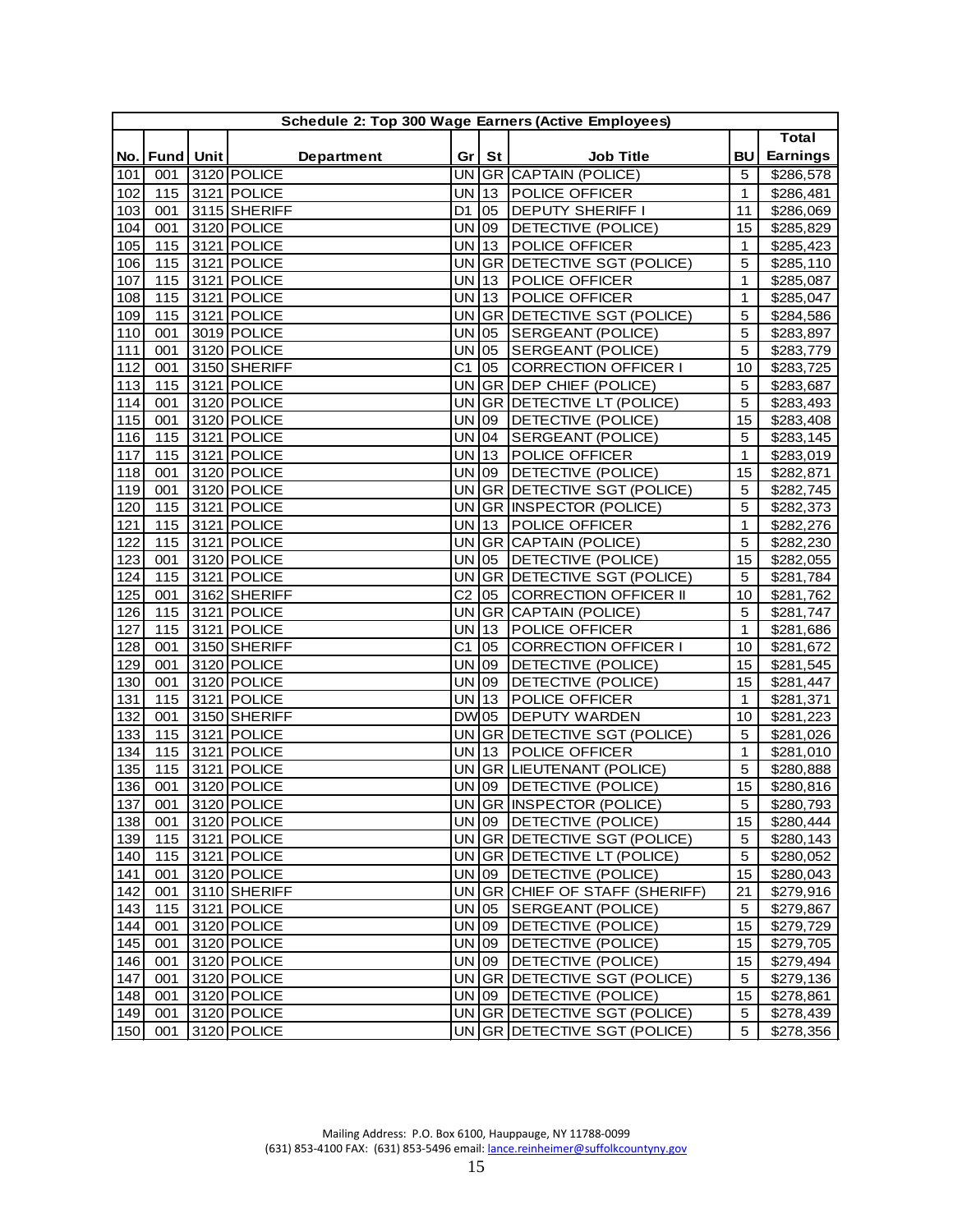|     |                   |                            |                 |              | Schedule 2: Top 300 Wage Earners (Active Employees) |              |              |
|-----|-------------------|----------------------------|-----------------|--------------|-----------------------------------------------------|--------------|--------------|
|     |                   |                            |                 |              |                                                     |              | <b>Total</b> |
|     | No.   Fund   Unit | Department                 | Gr <sub>1</sub> | St           | <b>Job Title</b>                                    | BU           | Earnings     |
| 101 | 001               | 3120 POLICE                |                 |              | UN GR CAPTAIN (POLICE)                              | 5            | \$286,578    |
| 102 | 115               | 3121 POLICE                | <b>UN</b>       | 13           | POLICE OFFICER                                      | $\mathbf 1$  | \$286,481    |
| 103 | 001               | 3115 SHERIFF               | D <sub>1</sub>  | 05           | DEPUTY SHERIFF I                                    | 11           | \$286,069    |
| 104 | 001               | 3120 POLICE                | <b>UN</b>       | 09           | DETECTIVE (POLICE)                                  | 15           | \$285,829    |
| 105 | 115               | $3121$ POLICE              | <b>UN</b>       | 13           | POLICE OFFICER                                      | 1            | \$285,423    |
| 106 | 115               | $3121$ POLICE              | <b>UN</b>       | <b>GR</b>    | DETECTIVE SGT (POLICE)                              | 5            | \$285,110    |
| 107 | 115               | 3121 POLICE                | <b>UN</b>       | 13           | POLICE OFFICER                                      | 1            | \$285,087    |
| 108 | 115               | 3121 POLICE                | UN 13           |              | POLICE OFFICER                                      | 1            | \$285,047    |
| 109 | 115               | 3121 POLICE                | UN              |              | GR DETECTIVE SGT (POLICE)                           | 5            | \$284,586    |
| 110 | 001               | 3019 POLICE                | <b>UN</b>       | 05           | SERGEANT (POLICE)                                   | 5            | \$283,897    |
| 111 | 001               | 3120 POLICE                | <b>UN</b>       | 05           | SERGEANT (POLICE)                                   | 5            | \$283,779    |
| 112 | 001               | 3150 SHERIFF               | C <sub>1</sub>  | 05           | <b>CORRECTION OFFICER I</b>                         | 10           | \$283,725    |
| 113 | 115               | 3121 POLICE                | <b>UN</b>       |              | GR DEP CHIEF (POLICE)                               | 5            | \$283,687    |
| 114 | 001               | 3120 POLICE                |                 |              | UN GR DETECTIVE LT (POLICE)                         | 5            | \$283,493    |
| 115 | 001               | 3120 POLICE                | UN              | 09           | DETECTIVE (POLICE)                                  | 15           | \$283,408    |
| 116 | 115               | 3121 POLICE                | <b>UN</b>       | $ 04\rangle$ | SERGEANT (POLICE)                                   | 5            | \$283,145    |
| 117 | 115               | 3121 POLICE                | <b>UN</b>       | $ 13\rangle$ | POLICE OFFICER                                      | $\mathbf{1}$ | \$283,019    |
| 118 | 001               | 3120 POLICE                | <b>UN</b>       | 09           | <b>DETECTIVE (POLICE)</b>                           | 15           | \$282,871    |
| 119 | 001               | 3120 POLICE                | <b>UN</b>       |              | <b>GR DETECTIVE SGT (POLICE)</b>                    | 5            | \$282,745    |
| 120 | 115               | 3121 POLICE                | <b>UN</b>       |              | GR INSPECTOR (POLICE)                               | 5            | \$282,373    |
| 121 | 115               | 3121 POLICE                | <b>UN</b>       | $ 13\rangle$ | POLICE OFFICER                                      | 1            | \$282,276    |
| 122 | 115               | 3121 POLICE                | <b>UN</b>       |              | <b>GR CAPTAIN (POLICE)</b>                          | 5            | \$282,230    |
| 123 | 001               | 3120 POLICE                | <b>UN</b>       | 05           | DETECTIVE (POLICE)                                  | 15           | \$282,055    |
| 124 | 115               | 3121 POLICE                | UN              |              | <b>GR DETECTIVE SGT (POLICE)</b>                    | 5            | \$281,784    |
| 125 | 001               | 3162 SHERIFF               | C <sub>2</sub>  | 105          | <b>CORRECTION OFFICER II</b>                        | 10           | \$281,762    |
| 126 | 115               | 3121 POLICE                | <b>UN</b>       | GR           | CAPTAIN (POLICE)                                    | 5            | \$281,747    |
| 127 | 115               | 3121 POLICE                | <b>UN</b>       | $ 13\rangle$ | POLICE OFFICER                                      | $\mathbf{1}$ | \$281,686    |
| 128 | 001               | 3150 SHERIFF               | C <sub>1</sub>  | 05           | <b>CORRECTION OFFICER I</b>                         | 10           | \$281,672    |
| 129 | 001               | 3120 POLICE                | <b>UN</b>       | 09           | DETECTIVE (POLICE)                                  | 15           | \$281,545    |
| 130 | 001               | 3120 POLICE                | UN              | 09           | DETECTIVE (POLICE)                                  | 15           | \$281,447    |
| 131 | 115               | 3121 POLICE                | <b>UN</b>       | $ 13\rangle$ | POLICE OFFICER                                      | $\mathbf{1}$ | \$281,371    |
| 132 | 001               | 3150 SHERIFF               | <b>DW</b> 05    |              | DEPUTY WARDEN                                       | 10           | \$281,223    |
| 133 | 115               | 3121 POLICE                | UN              | <b>GR</b>    | DETECTIVE SGT (POLICE)                              | 5            | \$281,026    |
| 134 | 115               | 3121 POLICE                | <b>UN</b>       | $ 13\rangle$ | POLICE OFFICER                                      | 1            | \$281,010    |
| 135 | 115               | 3121 POLICE                | <b>UN</b>       |              | GR LIEUTENANT (POLICE)                              | 5            | \$280,888    |
| 136 | 001               | 3120 POLICE                | <b>UN</b>       | 09           | DETECTIVE (POLICE)                                  | 15           | \$280,816    |
| 137 | 001               | 3120 POLICE                |                 |              | UN GR INSPECTOR (POLICE)                            | 5            | \$280,793    |
|     |                   |                            | UN 09           |              |                                                     |              |              |
| 138 | 001               | 3120 POLICE                |                 |              | DETECTIVE (POLICE)                                  | 15           | \$280,444    |
| 139 | 115               | 3121 POLICE<br>3121 POLICE |                 |              | UN GR DETECTIVE SGT (POLICE)                        | 5            | \$280,143    |
| 140 | 115               |                            |                 |              | UN GR DETECTIVE LT (POLICE)                         | 5            | \$280,052    |
| 141 | 001               | 3120 POLICE                |                 | UN 09        | DETECTIVE (POLICE)                                  | 15           | \$280,043    |
| 142 | 001               | 3110 SHERIFF               |                 |              | UN GR CHIEF OF STAFF (SHERIFF)                      | 21           | \$279,916    |
| 143 | 115               | 3121 POLICE                | $UN$ 05         |              | SERGEANT (POLICE)                                   | 5            | \$279,867    |
| 144 | 001               | 3120 POLICE                | UN 09           |              | DETECTIVE (POLICE)                                  | 15           | \$279,729    |
| 145 | 001               | 3120 POLICE                | UN 09           |              | DETECTIVE (POLICE)                                  | 15           | \$279,705    |
| 146 | 001               | 3120 POLICE                | UN 09           |              | DETECTIVE (POLICE)                                  | 15           | \$279,494    |
| 147 | 001               | 3120 POLICE                |                 |              | UN GR DETECTIVE SGT (POLICE)                        | 5            | \$279,136    |
| 148 | 001               | 3120 POLICE                |                 | UN 09        | DETECTIVE (POLICE)                                  | 15           | \$278,861    |
| 149 | 001               | 3120 POLICE                |                 |              | UN GR DETECTIVE SGT (POLICE)                        | 5            | \$278,439    |
| 150 | 001               | 3120 POLICE                |                 |              | UN GR DETECTIVE SGT (POLICE)                        | 5            | \$278,356    |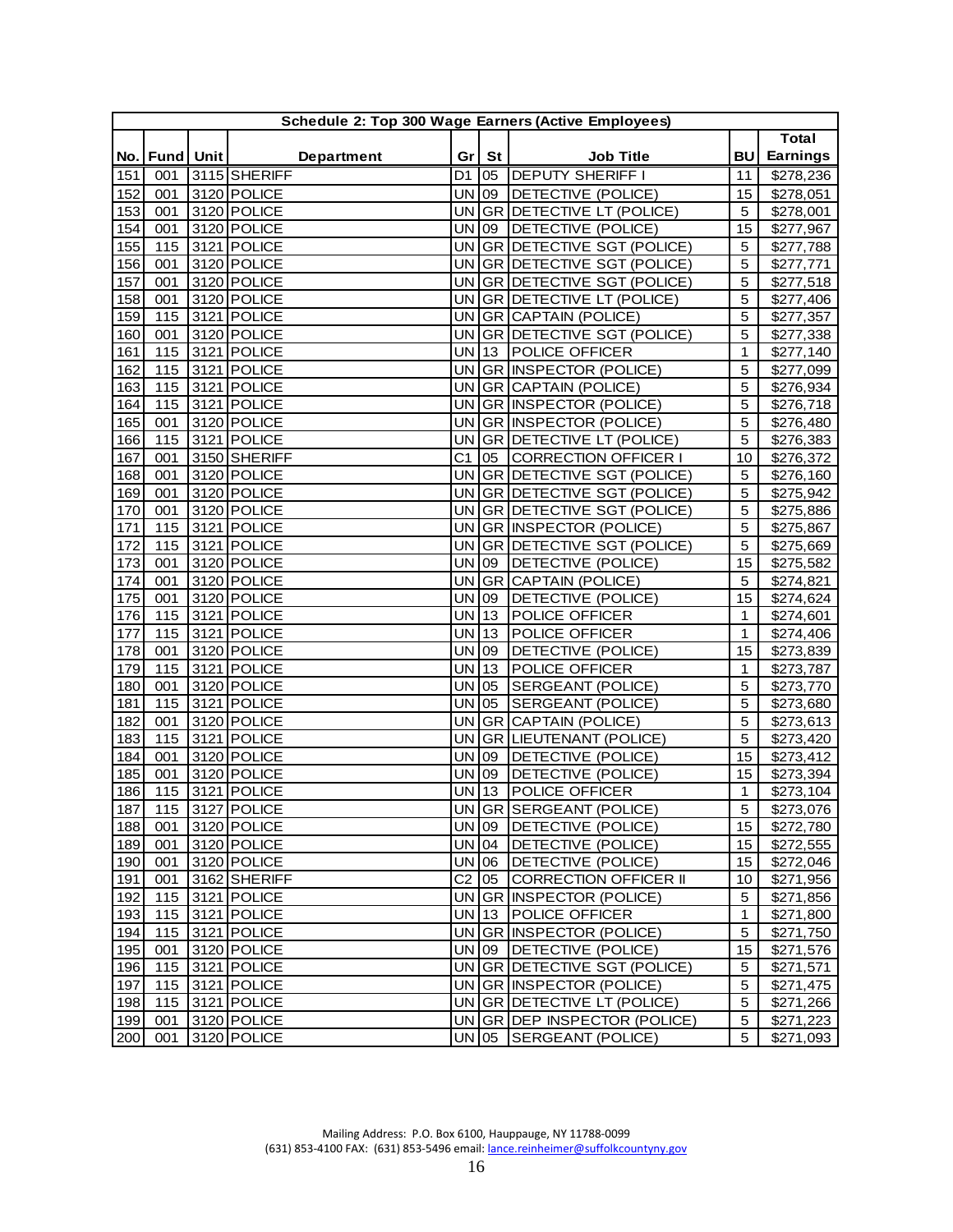| <b>Total</b><br><b>Earnings</b><br><b>BU</b><br><b>Department</b><br>Gr <sub>1</sub><br>St<br><b>Job Title</b><br>No. Fund Unit<br><b>DEPUTY SHERIFF I</b><br>3115 SHERIFF<br>\$278,236<br>151<br>001<br>D1<br>05<br>11<br>3120 POLICE<br>UN 09<br>152<br>DETECTIVE (POLICE)<br>15<br>\$278,051<br>001<br>3120 POLICE<br>153<br><b>UN</b><br>GR DETECTIVE LT (POLICE)<br>$\overline{5}$<br>001<br>\$278,001<br>3120 POLICE<br><b>UN</b><br>DETECTIVE (POLICE)<br>15<br>154<br>09<br>\$277,967<br>001<br>3121 POLICE<br><b>GR DETECTIVE SGT (POLICE)</b><br><b>UN</b><br>155<br>115<br>5<br>\$277,788<br>3120 POLICE<br><b>UN</b><br>GR DETECTIVE SGT (POLICE)<br>\$277,771<br>156<br>001<br>5<br>3120 POLICE<br>157<br><b>UN</b><br>GR DETECTIVE SGT (POLICE)<br>5<br>001<br>\$277,518<br>UN GR DETECTIVE LT (POLICE)<br>158<br>3120 POLICE<br>\$277,406<br>001<br>5<br>159<br>5<br>115<br>3121 POLICE<br>UN GR CAPTAIN (POLICE)<br>\$277,357<br>160<br>3120 POLICE<br>UN<br>GR DETECTIVE SGT (POLICE)<br>5<br>001<br>\$277,338<br>3121 POLICE<br>161<br>115<br>UN 13<br><b>POLICE OFFICER</b><br>1<br>\$277,140<br>162<br>115<br>3121 POLICE<br>UN GR INSPECTOR (POLICE)<br>5<br>\$277,099<br>163<br>3121 POLICE<br>UN GR CAPTAIN (POLICE)<br>5<br>115<br>\$276,934<br>3121 POLICE<br><b>UN</b><br>GR INSPECTOR (POLICE)<br>5<br>164<br>115<br>\$276,718<br>3120 POLICE<br><b>UN</b><br>GR  INSPECTOR (POLICE)<br>5<br>\$276,480<br>165<br>001<br>$3121$ POLICE<br>166<br>GR DETECTIVE LT (POLICE)<br>5<br>\$276,383<br>115<br><b>UN</b><br>167<br>3150 SHERIFF<br>C <sub>1</sub><br>05 CORRECTION OFFICER I<br>\$276,372<br>001<br>10<br>168<br>3120 POLICE<br><b>UN</b><br>GR DETECTIVE SGT (POLICE)<br>5<br>\$276,160<br>001<br>169<br>3120 POLICE<br><b>UN</b><br>5<br>001<br>GR DETECTIVE SGT (POLICE)<br>\$275,942<br>3120 POLICE<br>GR DETECTIVE SGT (POLICE)<br>5<br>170<br>001<br><b>UN</b><br>\$275,886<br>3121 POLICE<br>GR INSPECTOR (POLICE)<br>5<br>171<br>115<br>UN<br>\$275,867<br>GR DETECTIVE SGT (POLICE)<br>172<br>115<br>3121 POLICE<br><b>UN</b><br>$\overline{5}$<br>\$275,669<br>3120 POLICE<br><b>UN</b><br>DETECTIVE (POLICE)<br>173<br>001<br>09<br>\$275,582<br>15<br>3120 POLICE<br>174<br><b>UN</b><br><b>GR CAPTAIN (POLICE)</b><br>\$274,821<br>001<br>5<br>175<br>\$274,624<br>3120 POLICE<br><b>UN</b><br>DETECTIVE (POLICE)<br>15<br>001<br>09<br>176<br>3121 POLICE<br> 13<br>POLICE OFFICER<br>\$274,601<br>115<br>UN<br>1<br>177<br>3121 POLICE<br><b>UN</b><br> 13<br>POLICE OFFICER<br>1<br>115<br>\$274,406<br>3120 POLICE<br><b>UN</b><br>178<br>$ 09\rangle$<br>DETECTIVE (POLICE)<br>15<br>001<br>\$273,839<br>$3121$ POLICE<br>POLICE OFFICER<br>115<br><b>UN</b><br>$ 13\rangle$<br>179<br>$\mathbf{1}$<br>\$273,787<br>5<br>3120 POLICE<br>SERGEANT (POLICE)<br>180<br>001<br><b>UN</b><br>05<br>\$273,770<br>115<br>3121 POLICE<br><b>UN</b><br>SERGEANT (POLICE)<br>5<br>181<br>05<br>\$273,680<br>182<br>3120 POLICE<br><b>UN</b><br>GR<br>CAPTAIN (POLICE)<br>5<br>001<br>\$273,613<br>3121 POLICE<br>183<br>GR LIEUTENANT (POLICE)<br>5<br>115<br><b>UN</b><br>\$273,420<br>184<br>3120 POLICE<br><b>UN</b><br>DETECTIVE (POLICE)<br>15<br>\$273,412<br>001<br>09<br>185<br>DETECTIVE (POLICE)<br>3120 POLICE<br>09<br>\$273,394<br>001<br><b>UN</b><br>15<br>3121 POLICE<br>$UN$ 13<br>POLICE OFFICER<br>186<br>$\mathbf{1}$<br>\$273,104<br>115<br>3127 POLICE<br>UN GR SERGEANT (POLICE)<br>$\overline{5}$<br>187<br>$\overline{115}$<br>\$273,076<br>188<br>3120 POLICE<br>UN 09<br>DETECTIVE (POLICE)<br>15<br>001<br>\$272,780<br>189<br>3120 POLICE<br>$UN$ 04<br>DETECTIVE (POLICE)<br>15 <sub>1</sub><br>\$272,555<br>001<br>3120 POLICE<br>UN 06<br>DETECTIVE (POLICE)<br>190<br>001<br>15<br>\$272,046<br>$C2$ 05<br>3162 SHERIFF<br>191<br>001<br><b>CORRECTION OFFICER II</b><br>\$271,956<br>10<br>192<br>115<br>3121 POLICE<br>UN GR INSPECTOR (POLICE)<br>5<br>\$271,856<br>193<br>UN 13<br><b>POLICE OFFICER</b><br>115<br>3121 POLICE<br>$\mathbf{1}$<br>\$271,800<br>UN GR INSPECTOR (POLICE)<br>194<br>115<br>3121 POLICE<br>5<br>\$271,750<br>UN 09<br>15<br>195<br>001<br>3120 POLICE<br>DETECTIVE (POLICE)<br>\$271,576<br>196<br>115<br>3121 POLICE<br>UN GR DETECTIVE SGT (POLICE)<br>5<br>\$271,571<br>5<br>3121 POLICE<br>UN GR INSPECTOR (POLICE)<br>197<br>115<br>\$271,475<br>3121 POLICE<br>UN GR DETECTIVE LT (POLICE)<br>5<br>198<br>115<br>\$271,266<br>199<br>3120 POLICE<br>UN GR DEP INSPECTOR (POLICE)<br>5<br>001<br>\$271,223<br>200<br>3120 POLICE<br>UN 05<br>SERGEANT (POLICE)<br>5<br>\$271,093<br>001 |  | Schedule 2: Top 300 Wage Earners (Active Employees) |  |  |  |
|---------------------------------------------------------------------------------------------------------------------------------------------------------------------------------------------------------------------------------------------------------------------------------------------------------------------------------------------------------------------------------------------------------------------------------------------------------------------------------------------------------------------------------------------------------------------------------------------------------------------------------------------------------------------------------------------------------------------------------------------------------------------------------------------------------------------------------------------------------------------------------------------------------------------------------------------------------------------------------------------------------------------------------------------------------------------------------------------------------------------------------------------------------------------------------------------------------------------------------------------------------------------------------------------------------------------------------------------------------------------------------------------------------------------------------------------------------------------------------------------------------------------------------------------------------------------------------------------------------------------------------------------------------------------------------------------------------------------------------------------------------------------------------------------------------------------------------------------------------------------------------------------------------------------------------------------------------------------------------------------------------------------------------------------------------------------------------------------------------------------------------------------------------------------------------------------------------------------------------------------------------------------------------------------------------------------------------------------------------------------------------------------------------------------------------------------------------------------------------------------------------------------------------------------------------------------------------------------------------------------------------------------------------------------------------------------------------------------------------------------------------------------------------------------------------------------------------------------------------------------------------------------------------------------------------------------------------------------------------------------------------------------------------------------------------------------------------------------------------------------------------------------------------------------------------------------------------------------------------------------------------------------------------------------------------------------------------------------------------------------------------------------------------------------------------------------------------------------------------------------------------------------------------------------------------------------------------------------------------------------------------------------------------------------------------------------------------------------------------------------------------------------------------------------------------------------------------------------------------------------------------------------------------------------------------------------------------------------------------------------------------------------------------------------------------------------------------------------------------------------------------------------------------------------------------------------------------------------------------------------------------------------------------------------------------------------------------------------------------------------------------------------------------------------------------------------------------------------------------------------------------------------------------------------------------------------------------------------------------|--|-----------------------------------------------------|--|--|--|
|                                                                                                                                                                                                                                                                                                                                                                                                                                                                                                                                                                                                                                                                                                                                                                                                                                                                                                                                                                                                                                                                                                                                                                                                                                                                                                                                                                                                                                                                                                                                                                                                                                                                                                                                                                                                                                                                                                                                                                                                                                                                                                                                                                                                                                                                                                                                                                                                                                                                                                                                                                                                                                                                                                                                                                                                                                                                                                                                                                                                                                                                                                                                                                                                                                                                                                                                                                                                                                                                                                                                                                                                                                                                                                                                                                                                                                                                                                                                                                                                                                                                                                                                                                                                                                                                                                                                                                                                                                                                                                                                                                                                         |  |                                                     |  |  |  |
|                                                                                                                                                                                                                                                                                                                                                                                                                                                                                                                                                                                                                                                                                                                                                                                                                                                                                                                                                                                                                                                                                                                                                                                                                                                                                                                                                                                                                                                                                                                                                                                                                                                                                                                                                                                                                                                                                                                                                                                                                                                                                                                                                                                                                                                                                                                                                                                                                                                                                                                                                                                                                                                                                                                                                                                                                                                                                                                                                                                                                                                                                                                                                                                                                                                                                                                                                                                                                                                                                                                                                                                                                                                                                                                                                                                                                                                                                                                                                                                                                                                                                                                                                                                                                                                                                                                                                                                                                                                                                                                                                                                                         |  |                                                     |  |  |  |
|                                                                                                                                                                                                                                                                                                                                                                                                                                                                                                                                                                                                                                                                                                                                                                                                                                                                                                                                                                                                                                                                                                                                                                                                                                                                                                                                                                                                                                                                                                                                                                                                                                                                                                                                                                                                                                                                                                                                                                                                                                                                                                                                                                                                                                                                                                                                                                                                                                                                                                                                                                                                                                                                                                                                                                                                                                                                                                                                                                                                                                                                                                                                                                                                                                                                                                                                                                                                                                                                                                                                                                                                                                                                                                                                                                                                                                                                                                                                                                                                                                                                                                                                                                                                                                                                                                                                                                                                                                                                                                                                                                                                         |  |                                                     |  |  |  |
|                                                                                                                                                                                                                                                                                                                                                                                                                                                                                                                                                                                                                                                                                                                                                                                                                                                                                                                                                                                                                                                                                                                                                                                                                                                                                                                                                                                                                                                                                                                                                                                                                                                                                                                                                                                                                                                                                                                                                                                                                                                                                                                                                                                                                                                                                                                                                                                                                                                                                                                                                                                                                                                                                                                                                                                                                                                                                                                                                                                                                                                                                                                                                                                                                                                                                                                                                                                                                                                                                                                                                                                                                                                                                                                                                                                                                                                                                                                                                                                                                                                                                                                                                                                                                                                                                                                                                                                                                                                                                                                                                                                                         |  |                                                     |  |  |  |
|                                                                                                                                                                                                                                                                                                                                                                                                                                                                                                                                                                                                                                                                                                                                                                                                                                                                                                                                                                                                                                                                                                                                                                                                                                                                                                                                                                                                                                                                                                                                                                                                                                                                                                                                                                                                                                                                                                                                                                                                                                                                                                                                                                                                                                                                                                                                                                                                                                                                                                                                                                                                                                                                                                                                                                                                                                                                                                                                                                                                                                                                                                                                                                                                                                                                                                                                                                                                                                                                                                                                                                                                                                                                                                                                                                                                                                                                                                                                                                                                                                                                                                                                                                                                                                                                                                                                                                                                                                                                                                                                                                                                         |  |                                                     |  |  |  |
|                                                                                                                                                                                                                                                                                                                                                                                                                                                                                                                                                                                                                                                                                                                                                                                                                                                                                                                                                                                                                                                                                                                                                                                                                                                                                                                                                                                                                                                                                                                                                                                                                                                                                                                                                                                                                                                                                                                                                                                                                                                                                                                                                                                                                                                                                                                                                                                                                                                                                                                                                                                                                                                                                                                                                                                                                                                                                                                                                                                                                                                                                                                                                                                                                                                                                                                                                                                                                                                                                                                                                                                                                                                                                                                                                                                                                                                                                                                                                                                                                                                                                                                                                                                                                                                                                                                                                                                                                                                                                                                                                                                                         |  |                                                     |  |  |  |
|                                                                                                                                                                                                                                                                                                                                                                                                                                                                                                                                                                                                                                                                                                                                                                                                                                                                                                                                                                                                                                                                                                                                                                                                                                                                                                                                                                                                                                                                                                                                                                                                                                                                                                                                                                                                                                                                                                                                                                                                                                                                                                                                                                                                                                                                                                                                                                                                                                                                                                                                                                                                                                                                                                                                                                                                                                                                                                                                                                                                                                                                                                                                                                                                                                                                                                                                                                                                                                                                                                                                                                                                                                                                                                                                                                                                                                                                                                                                                                                                                                                                                                                                                                                                                                                                                                                                                                                                                                                                                                                                                                                                         |  |                                                     |  |  |  |
|                                                                                                                                                                                                                                                                                                                                                                                                                                                                                                                                                                                                                                                                                                                                                                                                                                                                                                                                                                                                                                                                                                                                                                                                                                                                                                                                                                                                                                                                                                                                                                                                                                                                                                                                                                                                                                                                                                                                                                                                                                                                                                                                                                                                                                                                                                                                                                                                                                                                                                                                                                                                                                                                                                                                                                                                                                                                                                                                                                                                                                                                                                                                                                                                                                                                                                                                                                                                                                                                                                                                                                                                                                                                                                                                                                                                                                                                                                                                                                                                                                                                                                                                                                                                                                                                                                                                                                                                                                                                                                                                                                                                         |  |                                                     |  |  |  |
|                                                                                                                                                                                                                                                                                                                                                                                                                                                                                                                                                                                                                                                                                                                                                                                                                                                                                                                                                                                                                                                                                                                                                                                                                                                                                                                                                                                                                                                                                                                                                                                                                                                                                                                                                                                                                                                                                                                                                                                                                                                                                                                                                                                                                                                                                                                                                                                                                                                                                                                                                                                                                                                                                                                                                                                                                                                                                                                                                                                                                                                                                                                                                                                                                                                                                                                                                                                                                                                                                                                                                                                                                                                                                                                                                                                                                                                                                                                                                                                                                                                                                                                                                                                                                                                                                                                                                                                                                                                                                                                                                                                                         |  |                                                     |  |  |  |
|                                                                                                                                                                                                                                                                                                                                                                                                                                                                                                                                                                                                                                                                                                                                                                                                                                                                                                                                                                                                                                                                                                                                                                                                                                                                                                                                                                                                                                                                                                                                                                                                                                                                                                                                                                                                                                                                                                                                                                                                                                                                                                                                                                                                                                                                                                                                                                                                                                                                                                                                                                                                                                                                                                                                                                                                                                                                                                                                                                                                                                                                                                                                                                                                                                                                                                                                                                                                                                                                                                                                                                                                                                                                                                                                                                                                                                                                                                                                                                                                                                                                                                                                                                                                                                                                                                                                                                                                                                                                                                                                                                                                         |  |                                                     |  |  |  |
|                                                                                                                                                                                                                                                                                                                                                                                                                                                                                                                                                                                                                                                                                                                                                                                                                                                                                                                                                                                                                                                                                                                                                                                                                                                                                                                                                                                                                                                                                                                                                                                                                                                                                                                                                                                                                                                                                                                                                                                                                                                                                                                                                                                                                                                                                                                                                                                                                                                                                                                                                                                                                                                                                                                                                                                                                                                                                                                                                                                                                                                                                                                                                                                                                                                                                                                                                                                                                                                                                                                                                                                                                                                                                                                                                                                                                                                                                                                                                                                                                                                                                                                                                                                                                                                                                                                                                                                                                                                                                                                                                                                                         |  |                                                     |  |  |  |
|                                                                                                                                                                                                                                                                                                                                                                                                                                                                                                                                                                                                                                                                                                                                                                                                                                                                                                                                                                                                                                                                                                                                                                                                                                                                                                                                                                                                                                                                                                                                                                                                                                                                                                                                                                                                                                                                                                                                                                                                                                                                                                                                                                                                                                                                                                                                                                                                                                                                                                                                                                                                                                                                                                                                                                                                                                                                                                                                                                                                                                                                                                                                                                                                                                                                                                                                                                                                                                                                                                                                                                                                                                                                                                                                                                                                                                                                                                                                                                                                                                                                                                                                                                                                                                                                                                                                                                                                                                                                                                                                                                                                         |  |                                                     |  |  |  |
|                                                                                                                                                                                                                                                                                                                                                                                                                                                                                                                                                                                                                                                                                                                                                                                                                                                                                                                                                                                                                                                                                                                                                                                                                                                                                                                                                                                                                                                                                                                                                                                                                                                                                                                                                                                                                                                                                                                                                                                                                                                                                                                                                                                                                                                                                                                                                                                                                                                                                                                                                                                                                                                                                                                                                                                                                                                                                                                                                                                                                                                                                                                                                                                                                                                                                                                                                                                                                                                                                                                                                                                                                                                                                                                                                                                                                                                                                                                                                                                                                                                                                                                                                                                                                                                                                                                                                                                                                                                                                                                                                                                                         |  |                                                     |  |  |  |
|                                                                                                                                                                                                                                                                                                                                                                                                                                                                                                                                                                                                                                                                                                                                                                                                                                                                                                                                                                                                                                                                                                                                                                                                                                                                                                                                                                                                                                                                                                                                                                                                                                                                                                                                                                                                                                                                                                                                                                                                                                                                                                                                                                                                                                                                                                                                                                                                                                                                                                                                                                                                                                                                                                                                                                                                                                                                                                                                                                                                                                                                                                                                                                                                                                                                                                                                                                                                                                                                                                                                                                                                                                                                                                                                                                                                                                                                                                                                                                                                                                                                                                                                                                                                                                                                                                                                                                                                                                                                                                                                                                                                         |  |                                                     |  |  |  |
|                                                                                                                                                                                                                                                                                                                                                                                                                                                                                                                                                                                                                                                                                                                                                                                                                                                                                                                                                                                                                                                                                                                                                                                                                                                                                                                                                                                                                                                                                                                                                                                                                                                                                                                                                                                                                                                                                                                                                                                                                                                                                                                                                                                                                                                                                                                                                                                                                                                                                                                                                                                                                                                                                                                                                                                                                                                                                                                                                                                                                                                                                                                                                                                                                                                                                                                                                                                                                                                                                                                                                                                                                                                                                                                                                                                                                                                                                                                                                                                                                                                                                                                                                                                                                                                                                                                                                                                                                                                                                                                                                                                                         |  |                                                     |  |  |  |
|                                                                                                                                                                                                                                                                                                                                                                                                                                                                                                                                                                                                                                                                                                                                                                                                                                                                                                                                                                                                                                                                                                                                                                                                                                                                                                                                                                                                                                                                                                                                                                                                                                                                                                                                                                                                                                                                                                                                                                                                                                                                                                                                                                                                                                                                                                                                                                                                                                                                                                                                                                                                                                                                                                                                                                                                                                                                                                                                                                                                                                                                                                                                                                                                                                                                                                                                                                                                                                                                                                                                                                                                                                                                                                                                                                                                                                                                                                                                                                                                                                                                                                                                                                                                                                                                                                                                                                                                                                                                                                                                                                                                         |  |                                                     |  |  |  |
|                                                                                                                                                                                                                                                                                                                                                                                                                                                                                                                                                                                                                                                                                                                                                                                                                                                                                                                                                                                                                                                                                                                                                                                                                                                                                                                                                                                                                                                                                                                                                                                                                                                                                                                                                                                                                                                                                                                                                                                                                                                                                                                                                                                                                                                                                                                                                                                                                                                                                                                                                                                                                                                                                                                                                                                                                                                                                                                                                                                                                                                                                                                                                                                                                                                                                                                                                                                                                                                                                                                                                                                                                                                                                                                                                                                                                                                                                                                                                                                                                                                                                                                                                                                                                                                                                                                                                                                                                                                                                                                                                                                                         |  |                                                     |  |  |  |
|                                                                                                                                                                                                                                                                                                                                                                                                                                                                                                                                                                                                                                                                                                                                                                                                                                                                                                                                                                                                                                                                                                                                                                                                                                                                                                                                                                                                                                                                                                                                                                                                                                                                                                                                                                                                                                                                                                                                                                                                                                                                                                                                                                                                                                                                                                                                                                                                                                                                                                                                                                                                                                                                                                                                                                                                                                                                                                                                                                                                                                                                                                                                                                                                                                                                                                                                                                                                                                                                                                                                                                                                                                                                                                                                                                                                                                                                                                                                                                                                                                                                                                                                                                                                                                                                                                                                                                                                                                                                                                                                                                                                         |  |                                                     |  |  |  |
|                                                                                                                                                                                                                                                                                                                                                                                                                                                                                                                                                                                                                                                                                                                                                                                                                                                                                                                                                                                                                                                                                                                                                                                                                                                                                                                                                                                                                                                                                                                                                                                                                                                                                                                                                                                                                                                                                                                                                                                                                                                                                                                                                                                                                                                                                                                                                                                                                                                                                                                                                                                                                                                                                                                                                                                                                                                                                                                                                                                                                                                                                                                                                                                                                                                                                                                                                                                                                                                                                                                                                                                                                                                                                                                                                                                                                                                                                                                                                                                                                                                                                                                                                                                                                                                                                                                                                                                                                                                                                                                                                                                                         |  |                                                     |  |  |  |
|                                                                                                                                                                                                                                                                                                                                                                                                                                                                                                                                                                                                                                                                                                                                                                                                                                                                                                                                                                                                                                                                                                                                                                                                                                                                                                                                                                                                                                                                                                                                                                                                                                                                                                                                                                                                                                                                                                                                                                                                                                                                                                                                                                                                                                                                                                                                                                                                                                                                                                                                                                                                                                                                                                                                                                                                                                                                                                                                                                                                                                                                                                                                                                                                                                                                                                                                                                                                                                                                                                                                                                                                                                                                                                                                                                                                                                                                                                                                                                                                                                                                                                                                                                                                                                                                                                                                                                                                                                                                                                                                                                                                         |  |                                                     |  |  |  |
|                                                                                                                                                                                                                                                                                                                                                                                                                                                                                                                                                                                                                                                                                                                                                                                                                                                                                                                                                                                                                                                                                                                                                                                                                                                                                                                                                                                                                                                                                                                                                                                                                                                                                                                                                                                                                                                                                                                                                                                                                                                                                                                                                                                                                                                                                                                                                                                                                                                                                                                                                                                                                                                                                                                                                                                                                                                                                                                                                                                                                                                                                                                                                                                                                                                                                                                                                                                                                                                                                                                                                                                                                                                                                                                                                                                                                                                                                                                                                                                                                                                                                                                                                                                                                                                                                                                                                                                                                                                                                                                                                                                                         |  |                                                     |  |  |  |
|                                                                                                                                                                                                                                                                                                                                                                                                                                                                                                                                                                                                                                                                                                                                                                                                                                                                                                                                                                                                                                                                                                                                                                                                                                                                                                                                                                                                                                                                                                                                                                                                                                                                                                                                                                                                                                                                                                                                                                                                                                                                                                                                                                                                                                                                                                                                                                                                                                                                                                                                                                                                                                                                                                                                                                                                                                                                                                                                                                                                                                                                                                                                                                                                                                                                                                                                                                                                                                                                                                                                                                                                                                                                                                                                                                                                                                                                                                                                                                                                                                                                                                                                                                                                                                                                                                                                                                                                                                                                                                                                                                                                         |  |                                                     |  |  |  |
|                                                                                                                                                                                                                                                                                                                                                                                                                                                                                                                                                                                                                                                                                                                                                                                                                                                                                                                                                                                                                                                                                                                                                                                                                                                                                                                                                                                                                                                                                                                                                                                                                                                                                                                                                                                                                                                                                                                                                                                                                                                                                                                                                                                                                                                                                                                                                                                                                                                                                                                                                                                                                                                                                                                                                                                                                                                                                                                                                                                                                                                                                                                                                                                                                                                                                                                                                                                                                                                                                                                                                                                                                                                                                                                                                                                                                                                                                                                                                                                                                                                                                                                                                                                                                                                                                                                                                                                                                                                                                                                                                                                                         |  |                                                     |  |  |  |
|                                                                                                                                                                                                                                                                                                                                                                                                                                                                                                                                                                                                                                                                                                                                                                                                                                                                                                                                                                                                                                                                                                                                                                                                                                                                                                                                                                                                                                                                                                                                                                                                                                                                                                                                                                                                                                                                                                                                                                                                                                                                                                                                                                                                                                                                                                                                                                                                                                                                                                                                                                                                                                                                                                                                                                                                                                                                                                                                                                                                                                                                                                                                                                                                                                                                                                                                                                                                                                                                                                                                                                                                                                                                                                                                                                                                                                                                                                                                                                                                                                                                                                                                                                                                                                                                                                                                                                                                                                                                                                                                                                                                         |  |                                                     |  |  |  |
|                                                                                                                                                                                                                                                                                                                                                                                                                                                                                                                                                                                                                                                                                                                                                                                                                                                                                                                                                                                                                                                                                                                                                                                                                                                                                                                                                                                                                                                                                                                                                                                                                                                                                                                                                                                                                                                                                                                                                                                                                                                                                                                                                                                                                                                                                                                                                                                                                                                                                                                                                                                                                                                                                                                                                                                                                                                                                                                                                                                                                                                                                                                                                                                                                                                                                                                                                                                                                                                                                                                                                                                                                                                                                                                                                                                                                                                                                                                                                                                                                                                                                                                                                                                                                                                                                                                                                                                                                                                                                                                                                                                                         |  |                                                     |  |  |  |
|                                                                                                                                                                                                                                                                                                                                                                                                                                                                                                                                                                                                                                                                                                                                                                                                                                                                                                                                                                                                                                                                                                                                                                                                                                                                                                                                                                                                                                                                                                                                                                                                                                                                                                                                                                                                                                                                                                                                                                                                                                                                                                                                                                                                                                                                                                                                                                                                                                                                                                                                                                                                                                                                                                                                                                                                                                                                                                                                                                                                                                                                                                                                                                                                                                                                                                                                                                                                                                                                                                                                                                                                                                                                                                                                                                                                                                                                                                                                                                                                                                                                                                                                                                                                                                                                                                                                                                                                                                                                                                                                                                                                         |  |                                                     |  |  |  |
|                                                                                                                                                                                                                                                                                                                                                                                                                                                                                                                                                                                                                                                                                                                                                                                                                                                                                                                                                                                                                                                                                                                                                                                                                                                                                                                                                                                                                                                                                                                                                                                                                                                                                                                                                                                                                                                                                                                                                                                                                                                                                                                                                                                                                                                                                                                                                                                                                                                                                                                                                                                                                                                                                                                                                                                                                                                                                                                                                                                                                                                                                                                                                                                                                                                                                                                                                                                                                                                                                                                                                                                                                                                                                                                                                                                                                                                                                                                                                                                                                                                                                                                                                                                                                                                                                                                                                                                                                                                                                                                                                                                                         |  |                                                     |  |  |  |
|                                                                                                                                                                                                                                                                                                                                                                                                                                                                                                                                                                                                                                                                                                                                                                                                                                                                                                                                                                                                                                                                                                                                                                                                                                                                                                                                                                                                                                                                                                                                                                                                                                                                                                                                                                                                                                                                                                                                                                                                                                                                                                                                                                                                                                                                                                                                                                                                                                                                                                                                                                                                                                                                                                                                                                                                                                                                                                                                                                                                                                                                                                                                                                                                                                                                                                                                                                                                                                                                                                                                                                                                                                                                                                                                                                                                                                                                                                                                                                                                                                                                                                                                                                                                                                                                                                                                                                                                                                                                                                                                                                                                         |  |                                                     |  |  |  |
|                                                                                                                                                                                                                                                                                                                                                                                                                                                                                                                                                                                                                                                                                                                                                                                                                                                                                                                                                                                                                                                                                                                                                                                                                                                                                                                                                                                                                                                                                                                                                                                                                                                                                                                                                                                                                                                                                                                                                                                                                                                                                                                                                                                                                                                                                                                                                                                                                                                                                                                                                                                                                                                                                                                                                                                                                                                                                                                                                                                                                                                                                                                                                                                                                                                                                                                                                                                                                                                                                                                                                                                                                                                                                                                                                                                                                                                                                                                                                                                                                                                                                                                                                                                                                                                                                                                                                                                                                                                                                                                                                                                                         |  |                                                     |  |  |  |
|                                                                                                                                                                                                                                                                                                                                                                                                                                                                                                                                                                                                                                                                                                                                                                                                                                                                                                                                                                                                                                                                                                                                                                                                                                                                                                                                                                                                                                                                                                                                                                                                                                                                                                                                                                                                                                                                                                                                                                                                                                                                                                                                                                                                                                                                                                                                                                                                                                                                                                                                                                                                                                                                                                                                                                                                                                                                                                                                                                                                                                                                                                                                                                                                                                                                                                                                                                                                                                                                                                                                                                                                                                                                                                                                                                                                                                                                                                                                                                                                                                                                                                                                                                                                                                                                                                                                                                                                                                                                                                                                                                                                         |  |                                                     |  |  |  |
|                                                                                                                                                                                                                                                                                                                                                                                                                                                                                                                                                                                                                                                                                                                                                                                                                                                                                                                                                                                                                                                                                                                                                                                                                                                                                                                                                                                                                                                                                                                                                                                                                                                                                                                                                                                                                                                                                                                                                                                                                                                                                                                                                                                                                                                                                                                                                                                                                                                                                                                                                                                                                                                                                                                                                                                                                                                                                                                                                                                                                                                                                                                                                                                                                                                                                                                                                                                                                                                                                                                                                                                                                                                                                                                                                                                                                                                                                                                                                                                                                                                                                                                                                                                                                                                                                                                                                                                                                                                                                                                                                                                                         |  |                                                     |  |  |  |
|                                                                                                                                                                                                                                                                                                                                                                                                                                                                                                                                                                                                                                                                                                                                                                                                                                                                                                                                                                                                                                                                                                                                                                                                                                                                                                                                                                                                                                                                                                                                                                                                                                                                                                                                                                                                                                                                                                                                                                                                                                                                                                                                                                                                                                                                                                                                                                                                                                                                                                                                                                                                                                                                                                                                                                                                                                                                                                                                                                                                                                                                                                                                                                                                                                                                                                                                                                                                                                                                                                                                                                                                                                                                                                                                                                                                                                                                                                                                                                                                                                                                                                                                                                                                                                                                                                                                                                                                                                                                                                                                                                                                         |  |                                                     |  |  |  |
|                                                                                                                                                                                                                                                                                                                                                                                                                                                                                                                                                                                                                                                                                                                                                                                                                                                                                                                                                                                                                                                                                                                                                                                                                                                                                                                                                                                                                                                                                                                                                                                                                                                                                                                                                                                                                                                                                                                                                                                                                                                                                                                                                                                                                                                                                                                                                                                                                                                                                                                                                                                                                                                                                                                                                                                                                                                                                                                                                                                                                                                                                                                                                                                                                                                                                                                                                                                                                                                                                                                                                                                                                                                                                                                                                                                                                                                                                                                                                                                                                                                                                                                                                                                                                                                                                                                                                                                                                                                                                                                                                                                                         |  |                                                     |  |  |  |
|                                                                                                                                                                                                                                                                                                                                                                                                                                                                                                                                                                                                                                                                                                                                                                                                                                                                                                                                                                                                                                                                                                                                                                                                                                                                                                                                                                                                                                                                                                                                                                                                                                                                                                                                                                                                                                                                                                                                                                                                                                                                                                                                                                                                                                                                                                                                                                                                                                                                                                                                                                                                                                                                                                                                                                                                                                                                                                                                                                                                                                                                                                                                                                                                                                                                                                                                                                                                                                                                                                                                                                                                                                                                                                                                                                                                                                                                                                                                                                                                                                                                                                                                                                                                                                                                                                                                                                                                                                                                                                                                                                                                         |  |                                                     |  |  |  |
|                                                                                                                                                                                                                                                                                                                                                                                                                                                                                                                                                                                                                                                                                                                                                                                                                                                                                                                                                                                                                                                                                                                                                                                                                                                                                                                                                                                                                                                                                                                                                                                                                                                                                                                                                                                                                                                                                                                                                                                                                                                                                                                                                                                                                                                                                                                                                                                                                                                                                                                                                                                                                                                                                                                                                                                                                                                                                                                                                                                                                                                                                                                                                                                                                                                                                                                                                                                                                                                                                                                                                                                                                                                                                                                                                                                                                                                                                                                                                                                                                                                                                                                                                                                                                                                                                                                                                                                                                                                                                                                                                                                                         |  |                                                     |  |  |  |
|                                                                                                                                                                                                                                                                                                                                                                                                                                                                                                                                                                                                                                                                                                                                                                                                                                                                                                                                                                                                                                                                                                                                                                                                                                                                                                                                                                                                                                                                                                                                                                                                                                                                                                                                                                                                                                                                                                                                                                                                                                                                                                                                                                                                                                                                                                                                                                                                                                                                                                                                                                                                                                                                                                                                                                                                                                                                                                                                                                                                                                                                                                                                                                                                                                                                                                                                                                                                                                                                                                                                                                                                                                                                                                                                                                                                                                                                                                                                                                                                                                                                                                                                                                                                                                                                                                                                                                                                                                                                                                                                                                                                         |  |                                                     |  |  |  |
|                                                                                                                                                                                                                                                                                                                                                                                                                                                                                                                                                                                                                                                                                                                                                                                                                                                                                                                                                                                                                                                                                                                                                                                                                                                                                                                                                                                                                                                                                                                                                                                                                                                                                                                                                                                                                                                                                                                                                                                                                                                                                                                                                                                                                                                                                                                                                                                                                                                                                                                                                                                                                                                                                                                                                                                                                                                                                                                                                                                                                                                                                                                                                                                                                                                                                                                                                                                                                                                                                                                                                                                                                                                                                                                                                                                                                                                                                                                                                                                                                                                                                                                                                                                                                                                                                                                                                                                                                                                                                                                                                                                                         |  |                                                     |  |  |  |
|                                                                                                                                                                                                                                                                                                                                                                                                                                                                                                                                                                                                                                                                                                                                                                                                                                                                                                                                                                                                                                                                                                                                                                                                                                                                                                                                                                                                                                                                                                                                                                                                                                                                                                                                                                                                                                                                                                                                                                                                                                                                                                                                                                                                                                                                                                                                                                                                                                                                                                                                                                                                                                                                                                                                                                                                                                                                                                                                                                                                                                                                                                                                                                                                                                                                                                                                                                                                                                                                                                                                                                                                                                                                                                                                                                                                                                                                                                                                                                                                                                                                                                                                                                                                                                                                                                                                                                                                                                                                                                                                                                                                         |  |                                                     |  |  |  |
|                                                                                                                                                                                                                                                                                                                                                                                                                                                                                                                                                                                                                                                                                                                                                                                                                                                                                                                                                                                                                                                                                                                                                                                                                                                                                                                                                                                                                                                                                                                                                                                                                                                                                                                                                                                                                                                                                                                                                                                                                                                                                                                                                                                                                                                                                                                                                                                                                                                                                                                                                                                                                                                                                                                                                                                                                                                                                                                                                                                                                                                                                                                                                                                                                                                                                                                                                                                                                                                                                                                                                                                                                                                                                                                                                                                                                                                                                                                                                                                                                                                                                                                                                                                                                                                                                                                                                                                                                                                                                                                                                                                                         |  |                                                     |  |  |  |
|                                                                                                                                                                                                                                                                                                                                                                                                                                                                                                                                                                                                                                                                                                                                                                                                                                                                                                                                                                                                                                                                                                                                                                                                                                                                                                                                                                                                                                                                                                                                                                                                                                                                                                                                                                                                                                                                                                                                                                                                                                                                                                                                                                                                                                                                                                                                                                                                                                                                                                                                                                                                                                                                                                                                                                                                                                                                                                                                                                                                                                                                                                                                                                                                                                                                                                                                                                                                                                                                                                                                                                                                                                                                                                                                                                                                                                                                                                                                                                                                                                                                                                                                                                                                                                                                                                                                                                                                                                                                                                                                                                                                         |  |                                                     |  |  |  |
|                                                                                                                                                                                                                                                                                                                                                                                                                                                                                                                                                                                                                                                                                                                                                                                                                                                                                                                                                                                                                                                                                                                                                                                                                                                                                                                                                                                                                                                                                                                                                                                                                                                                                                                                                                                                                                                                                                                                                                                                                                                                                                                                                                                                                                                                                                                                                                                                                                                                                                                                                                                                                                                                                                                                                                                                                                                                                                                                                                                                                                                                                                                                                                                                                                                                                                                                                                                                                                                                                                                                                                                                                                                                                                                                                                                                                                                                                                                                                                                                                                                                                                                                                                                                                                                                                                                                                                                                                                                                                                                                                                                                         |  |                                                     |  |  |  |
|                                                                                                                                                                                                                                                                                                                                                                                                                                                                                                                                                                                                                                                                                                                                                                                                                                                                                                                                                                                                                                                                                                                                                                                                                                                                                                                                                                                                                                                                                                                                                                                                                                                                                                                                                                                                                                                                                                                                                                                                                                                                                                                                                                                                                                                                                                                                                                                                                                                                                                                                                                                                                                                                                                                                                                                                                                                                                                                                                                                                                                                                                                                                                                                                                                                                                                                                                                                                                                                                                                                                                                                                                                                                                                                                                                                                                                                                                                                                                                                                                                                                                                                                                                                                                                                                                                                                                                                                                                                                                                                                                                                                         |  |                                                     |  |  |  |
|                                                                                                                                                                                                                                                                                                                                                                                                                                                                                                                                                                                                                                                                                                                                                                                                                                                                                                                                                                                                                                                                                                                                                                                                                                                                                                                                                                                                                                                                                                                                                                                                                                                                                                                                                                                                                                                                                                                                                                                                                                                                                                                                                                                                                                                                                                                                                                                                                                                                                                                                                                                                                                                                                                                                                                                                                                                                                                                                                                                                                                                                                                                                                                                                                                                                                                                                                                                                                                                                                                                                                                                                                                                                                                                                                                                                                                                                                                                                                                                                                                                                                                                                                                                                                                                                                                                                                                                                                                                                                                                                                                                                         |  |                                                     |  |  |  |
|                                                                                                                                                                                                                                                                                                                                                                                                                                                                                                                                                                                                                                                                                                                                                                                                                                                                                                                                                                                                                                                                                                                                                                                                                                                                                                                                                                                                                                                                                                                                                                                                                                                                                                                                                                                                                                                                                                                                                                                                                                                                                                                                                                                                                                                                                                                                                                                                                                                                                                                                                                                                                                                                                                                                                                                                                                                                                                                                                                                                                                                                                                                                                                                                                                                                                                                                                                                                                                                                                                                                                                                                                                                                                                                                                                                                                                                                                                                                                                                                                                                                                                                                                                                                                                                                                                                                                                                                                                                                                                                                                                                                         |  |                                                     |  |  |  |
|                                                                                                                                                                                                                                                                                                                                                                                                                                                                                                                                                                                                                                                                                                                                                                                                                                                                                                                                                                                                                                                                                                                                                                                                                                                                                                                                                                                                                                                                                                                                                                                                                                                                                                                                                                                                                                                                                                                                                                                                                                                                                                                                                                                                                                                                                                                                                                                                                                                                                                                                                                                                                                                                                                                                                                                                                                                                                                                                                                                                                                                                                                                                                                                                                                                                                                                                                                                                                                                                                                                                                                                                                                                                                                                                                                                                                                                                                                                                                                                                                                                                                                                                                                                                                                                                                                                                                                                                                                                                                                                                                                                                         |  |                                                     |  |  |  |
|                                                                                                                                                                                                                                                                                                                                                                                                                                                                                                                                                                                                                                                                                                                                                                                                                                                                                                                                                                                                                                                                                                                                                                                                                                                                                                                                                                                                                                                                                                                                                                                                                                                                                                                                                                                                                                                                                                                                                                                                                                                                                                                                                                                                                                                                                                                                                                                                                                                                                                                                                                                                                                                                                                                                                                                                                                                                                                                                                                                                                                                                                                                                                                                                                                                                                                                                                                                                                                                                                                                                                                                                                                                                                                                                                                                                                                                                                                                                                                                                                                                                                                                                                                                                                                                                                                                                                                                                                                                                                                                                                                                                         |  |                                                     |  |  |  |
|                                                                                                                                                                                                                                                                                                                                                                                                                                                                                                                                                                                                                                                                                                                                                                                                                                                                                                                                                                                                                                                                                                                                                                                                                                                                                                                                                                                                                                                                                                                                                                                                                                                                                                                                                                                                                                                                                                                                                                                                                                                                                                                                                                                                                                                                                                                                                                                                                                                                                                                                                                                                                                                                                                                                                                                                                                                                                                                                                                                                                                                                                                                                                                                                                                                                                                                                                                                                                                                                                                                                                                                                                                                                                                                                                                                                                                                                                                                                                                                                                                                                                                                                                                                                                                                                                                                                                                                                                                                                                                                                                                                                         |  |                                                     |  |  |  |
|                                                                                                                                                                                                                                                                                                                                                                                                                                                                                                                                                                                                                                                                                                                                                                                                                                                                                                                                                                                                                                                                                                                                                                                                                                                                                                                                                                                                                                                                                                                                                                                                                                                                                                                                                                                                                                                                                                                                                                                                                                                                                                                                                                                                                                                                                                                                                                                                                                                                                                                                                                                                                                                                                                                                                                                                                                                                                                                                                                                                                                                                                                                                                                                                                                                                                                                                                                                                                                                                                                                                                                                                                                                                                                                                                                                                                                                                                                                                                                                                                                                                                                                                                                                                                                                                                                                                                                                                                                                                                                                                                                                                         |  |                                                     |  |  |  |
|                                                                                                                                                                                                                                                                                                                                                                                                                                                                                                                                                                                                                                                                                                                                                                                                                                                                                                                                                                                                                                                                                                                                                                                                                                                                                                                                                                                                                                                                                                                                                                                                                                                                                                                                                                                                                                                                                                                                                                                                                                                                                                                                                                                                                                                                                                                                                                                                                                                                                                                                                                                                                                                                                                                                                                                                                                                                                                                                                                                                                                                                                                                                                                                                                                                                                                                                                                                                                                                                                                                                                                                                                                                                                                                                                                                                                                                                                                                                                                                                                                                                                                                                                                                                                                                                                                                                                                                                                                                                                                                                                                                                         |  |                                                     |  |  |  |
|                                                                                                                                                                                                                                                                                                                                                                                                                                                                                                                                                                                                                                                                                                                                                                                                                                                                                                                                                                                                                                                                                                                                                                                                                                                                                                                                                                                                                                                                                                                                                                                                                                                                                                                                                                                                                                                                                                                                                                                                                                                                                                                                                                                                                                                                                                                                                                                                                                                                                                                                                                                                                                                                                                                                                                                                                                                                                                                                                                                                                                                                                                                                                                                                                                                                                                                                                                                                                                                                                                                                                                                                                                                                                                                                                                                                                                                                                                                                                                                                                                                                                                                                                                                                                                                                                                                                                                                                                                                                                                                                                                                                         |  |                                                     |  |  |  |
|                                                                                                                                                                                                                                                                                                                                                                                                                                                                                                                                                                                                                                                                                                                                                                                                                                                                                                                                                                                                                                                                                                                                                                                                                                                                                                                                                                                                                                                                                                                                                                                                                                                                                                                                                                                                                                                                                                                                                                                                                                                                                                                                                                                                                                                                                                                                                                                                                                                                                                                                                                                                                                                                                                                                                                                                                                                                                                                                                                                                                                                                                                                                                                                                                                                                                                                                                                                                                                                                                                                                                                                                                                                                                                                                                                                                                                                                                                                                                                                                                                                                                                                                                                                                                                                                                                                                                                                                                                                                                                                                                                                                         |  |                                                     |  |  |  |
|                                                                                                                                                                                                                                                                                                                                                                                                                                                                                                                                                                                                                                                                                                                                                                                                                                                                                                                                                                                                                                                                                                                                                                                                                                                                                                                                                                                                                                                                                                                                                                                                                                                                                                                                                                                                                                                                                                                                                                                                                                                                                                                                                                                                                                                                                                                                                                                                                                                                                                                                                                                                                                                                                                                                                                                                                                                                                                                                                                                                                                                                                                                                                                                                                                                                                                                                                                                                                                                                                                                                                                                                                                                                                                                                                                                                                                                                                                                                                                                                                                                                                                                                                                                                                                                                                                                                                                                                                                                                                                                                                                                                         |  |                                                     |  |  |  |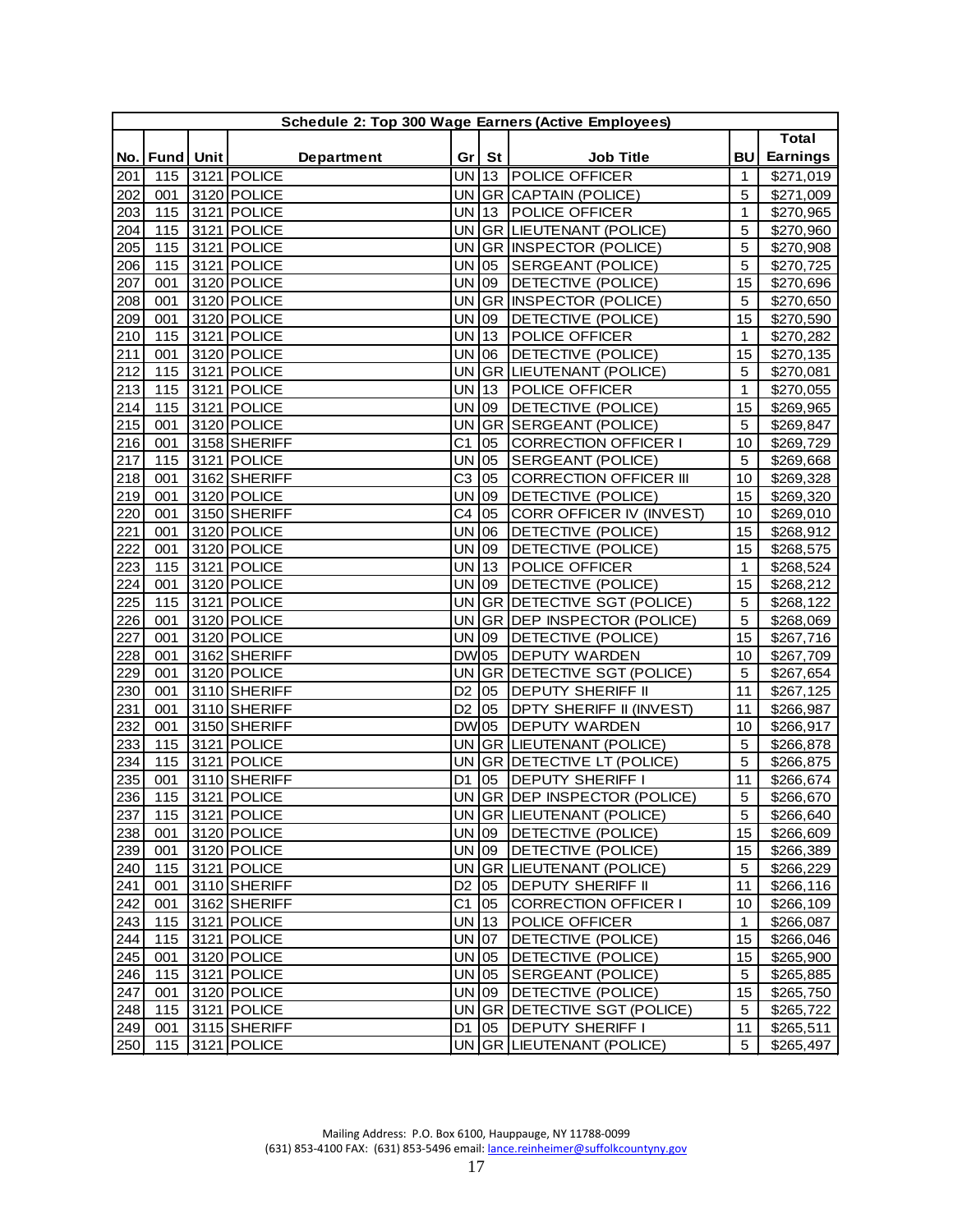| <b>Total</b><br><b>Earnings</b><br><b>BU</b><br><b>Fund</b> Unit<br>Gr<br>St<br>No.<br><b>Department</b><br><b>Job Title</b><br><b>POLICE OFFICER</b><br>\$271,019<br>3121 POLICE<br>UN 13<br>201<br>115<br>1<br><b>UN</b><br>202<br>3120 POLICE<br><b>GR CAPTAIN (POLICE)</b><br>5<br>001<br>\$271,009<br>203<br>3121 POLICE<br><b>UN</b><br>13<br>POLICE OFFICER<br>115<br>1<br>\$270,965<br>115<br>3121 POLICE<br><b>UN</b><br>GR LIEUTENANT (POLICE)<br>5<br>204<br>\$270,960<br>5<br>205<br>3121 POLICE<br>115<br><b>UN</b><br>GR  INSPECTOR (POLICE)<br>\$270,908<br>206<br>115<br>3121 POLICE<br><b>UN</b><br>SERGEANT (POLICE)<br>5<br>05<br>\$270,725<br>3120 POLICE<br><b>UN</b><br>DETECTIVE (POLICE)<br>207<br>001<br>09<br>15<br>\$270,696<br>3120 POLICE<br><b>UN</b><br>208<br><b>GR</b><br>INSPECTOR (POLICE)<br>001<br>5<br>\$270,650<br>3120 POLICE<br>209<br><b>UN</b><br>DETECTIVE (POLICE)<br>15<br>\$270,590<br>001<br>09<br>3121 POLICE<br>210<br>115<br>UN<br>13<br>POLICE OFFICER<br>\$270,282<br>$\mathbf{1}$<br>211<br>3120 POLICE<br>UN<br>DETECTIVE (POLICE)<br>15<br>001<br>06<br>\$270,135<br>212<br><b>UN</b><br>5<br>115<br>3121 POLICE<br><b>GR LIEUTENANT (POLICE)</b><br>\$270,081<br>213<br><b>UN</b><br>115<br>3121 POLICE<br>13<br>POLICE OFFICER<br>$\mathbf{1}$<br>\$270,055<br>115<br>3121 POLICE<br><b>UN</b><br>DETECTIVE (POLICE)<br>15<br>214<br>09<br>\$269,965<br>215<br>3120 POLICE<br><b>UN</b><br>GR<br>SERGEANT (POLICE)<br>5<br>001<br>\$269,847<br>3158 SHERIFF<br>C <sub>1</sub><br><b>CORRECTION OFFICER I</b><br>216<br>001<br>05<br>10<br>\$269,729<br>$3121$ POLICE<br>UN<br>SERGEANT (POLICE)<br>217<br>115<br>05<br>5<br>\$269,668<br>C <sub>3</sub><br>218<br>3162 SHERIFF<br><b>CORRECTION OFFICER III</b><br>001<br>10<br>\$269,328<br>05<br>219<br>3120 POLICE<br><b>UN</b><br>DETECTIVE (POLICE)<br>001<br>09<br>15<br>\$269,320<br>C <sub>4</sub><br>220<br>3150 SHERIFF<br>CORR OFFICER IV (INVEST)<br>\$269,010<br>001<br>05<br>10<br>221<br>3120 POLICE<br>UN<br>106<br>DETECTIVE (POLICE)<br>15<br>001<br>\$268,912<br>222<br>3120 POLICE<br><b>UN</b><br>09<br>DETECTIVE (POLICE)<br>15<br>001<br>\$268,575<br>223<br>3121 POLICE<br><b>UN</b><br> 13<br>POLICE OFFICER<br>115<br>$\mathbf{1}$<br>\$268,524<br>3120 POLICE<br><b>UN</b><br>DETECTIVE (POLICE)<br>15<br>224<br>001<br>09<br>\$268,212<br>225<br>3121 POLICE<br><b>UN</b><br>GR<br>DETECTIVE SGT (POLICE)<br>5<br>115<br>\$268,122<br>3120 POLICE<br>$\overline{5}$<br><b>UN</b><br>GR DEP INSPECTOR (POLICE)<br>226<br>001<br>\$268,069<br>3120 POLICE<br><b>UN</b><br>DETECTIVE (POLICE)<br>227<br>001<br>09<br>15<br>\$267,716<br>3162 SHERIFF<br><b>DW</b><br>228<br>DEPUTY WARDEN<br>001<br>05<br>10<br>\$267,709<br>229<br>3120 POLICE<br><b>UN</b><br>DETECTIVE SGT (POLICE)<br>5<br>001<br><b>GR</b><br>\$267,654<br><b>DEPUTY SHERIFF II</b><br>230<br>3110 SHERIFF<br>D <sub>2</sub><br>11<br>\$267,125<br>001<br>05<br>231<br>3110 SHERIFF<br>DPTY SHERIFF II (INVEST)<br>001<br>D <sub>2</sub><br>05<br>11<br>\$266,987<br>232<br>3150 SHERIFF<br><b>DW</b> 05<br>DEPUTY WARDEN<br>001<br>10<br>\$266,917<br>233<br>115<br>3121 POLICE<br><b>UN</b><br><b>GR LIEUTENANT (POLICE)</b><br>5<br>\$266,878<br>3121 POLICE<br>115<br><b>UN</b><br>GR DETECTIVE LT (POLICE)<br>5<br>\$266,875<br>234<br>235<br>3110 SHERIFF<br><b>DEPUTY SHERIFF I</b><br>001<br>D <sub>1</sub><br>05<br>11<br>\$266,674<br>236<br>115<br>3121 POLICE<br>UN GR DEP INSPECTOR (POLICE)<br>5<br>\$266,670<br>115 3121 POLICE<br>UN GR LIEUTENANT (POLICE)<br>237<br>\$266,640<br>5<br>3120 POLICE<br>UN 09<br>DETECTIVE (POLICE)<br>238<br>15<br>\$266,609<br>001<br>3120 POLICE<br>UN 09<br>239<br>DETECTIVE (POLICE)<br>15<br>\$266,389<br>001<br>240<br>3121 POLICE<br>UN GR LIEUTENANT (POLICE)<br>5<br>\$266,229<br>115<br><b>DEPUTY SHERIFF II</b><br>241<br>3110 SHERIFF<br>D <sub>2</sub><br>05<br>11<br>\$266,116<br>001<br>C <sub>1</sub><br>242<br>3162 SHERIFF<br>05<br>CORRECTION OFFICER I<br>10<br>\$266,109<br>001<br>115<br>3121 POLICE<br>UN 13<br>243<br>POLICE OFFICER<br>$\mathbf{1}$<br>\$266,087<br>UN 07<br>244<br>115<br>3121 POLICE<br>DETECTIVE (POLICE)<br>15<br>\$266,046<br>245<br>3120 POLICE<br>UN 05<br>DETECTIVE (POLICE)<br>001<br>15<br>\$265,900<br>3121 POLICE<br>UN 05<br>SERGEANT (POLICE)<br>246<br>115<br>5<br>\$265,885<br>UN 09<br>247<br>3120 POLICE<br>DETECTIVE (POLICE)<br>001<br>15<br>\$265,750<br>248<br>3121 POLICE<br>UN GR DETECTIVE SGT (POLICE)<br>115<br>\$265,722<br>5<br>249<br>3115 SHERIFF<br><b>DEPUTY SHERIFF I</b><br>\$265,511<br>001<br>D1   05<br>11<br>UN GR LIEUTENANT (POLICE)<br>250<br>115<br>3121 POLICE<br>5<br>\$265,497 | Schedule 2: Top 300 Wage Earners (Active Employees) |  |  |  |  |  |  |  |  |  |  |
|-------------------------------------------------------------------------------------------------------------------------------------------------------------------------------------------------------------------------------------------------------------------------------------------------------------------------------------------------------------------------------------------------------------------------------------------------------------------------------------------------------------------------------------------------------------------------------------------------------------------------------------------------------------------------------------------------------------------------------------------------------------------------------------------------------------------------------------------------------------------------------------------------------------------------------------------------------------------------------------------------------------------------------------------------------------------------------------------------------------------------------------------------------------------------------------------------------------------------------------------------------------------------------------------------------------------------------------------------------------------------------------------------------------------------------------------------------------------------------------------------------------------------------------------------------------------------------------------------------------------------------------------------------------------------------------------------------------------------------------------------------------------------------------------------------------------------------------------------------------------------------------------------------------------------------------------------------------------------------------------------------------------------------------------------------------------------------------------------------------------------------------------------------------------------------------------------------------------------------------------------------------------------------------------------------------------------------------------------------------------------------------------------------------------------------------------------------------------------------------------------------------------------------------------------------------------------------------------------------------------------------------------------------------------------------------------------------------------------------------------------------------------------------------------------------------------------------------------------------------------------------------------------------------------------------------------------------------------------------------------------------------------------------------------------------------------------------------------------------------------------------------------------------------------------------------------------------------------------------------------------------------------------------------------------------------------------------------------------------------------------------------------------------------------------------------------------------------------------------------------------------------------------------------------------------------------------------------------------------------------------------------------------------------------------------------------------------------------------------------------------------------------------------------------------------------------------------------------------------------------------------------------------------------------------------------------------------------------------------------------------------------------------------------------------------------------------------------------------------------------------------------------------------------------------------------------------------------------------------------------------------------------------------------------------------------------------------------------------------------------------------------------------------------------------------------------------------------------------------------------------------------------------------------------------------------------------------------------------------------------------------------------------------------------------------------------------------------------------------|-----------------------------------------------------|--|--|--|--|--|--|--|--|--|--|
|                                                                                                                                                                                                                                                                                                                                                                                                                                                                                                                                                                                                                                                                                                                                                                                                                                                                                                                                                                                                                                                                                                                                                                                                                                                                                                                                                                                                                                                                                                                                                                                                                                                                                                                                                                                                                                                                                                                                                                                                                                                                                                                                                                                                                                                                                                                                                                                                                                                                                                                                                                                                                                                                                                                                                                                                                                                                                                                                                                                                                                                                                                                                                                                                                                                                                                                                                                                                                                                                                                                                                                                                                                                                                                                                                                                                                                                                                                                                                                                                                                                                                                                                                                                                                                                                                                                                                                                                                                                                                                                                                                                                                                                                                                                               |                                                     |  |  |  |  |  |  |  |  |  |  |
|                                                                                                                                                                                                                                                                                                                                                                                                                                                                                                                                                                                                                                                                                                                                                                                                                                                                                                                                                                                                                                                                                                                                                                                                                                                                                                                                                                                                                                                                                                                                                                                                                                                                                                                                                                                                                                                                                                                                                                                                                                                                                                                                                                                                                                                                                                                                                                                                                                                                                                                                                                                                                                                                                                                                                                                                                                                                                                                                                                                                                                                                                                                                                                                                                                                                                                                                                                                                                                                                                                                                                                                                                                                                                                                                                                                                                                                                                                                                                                                                                                                                                                                                                                                                                                                                                                                                                                                                                                                                                                                                                                                                                                                                                                                               |                                                     |  |  |  |  |  |  |  |  |  |  |
|                                                                                                                                                                                                                                                                                                                                                                                                                                                                                                                                                                                                                                                                                                                                                                                                                                                                                                                                                                                                                                                                                                                                                                                                                                                                                                                                                                                                                                                                                                                                                                                                                                                                                                                                                                                                                                                                                                                                                                                                                                                                                                                                                                                                                                                                                                                                                                                                                                                                                                                                                                                                                                                                                                                                                                                                                                                                                                                                                                                                                                                                                                                                                                                                                                                                                                                                                                                                                                                                                                                                                                                                                                                                                                                                                                                                                                                                                                                                                                                                                                                                                                                                                                                                                                                                                                                                                                                                                                                                                                                                                                                                                                                                                                                               |                                                     |  |  |  |  |  |  |  |  |  |  |
|                                                                                                                                                                                                                                                                                                                                                                                                                                                                                                                                                                                                                                                                                                                                                                                                                                                                                                                                                                                                                                                                                                                                                                                                                                                                                                                                                                                                                                                                                                                                                                                                                                                                                                                                                                                                                                                                                                                                                                                                                                                                                                                                                                                                                                                                                                                                                                                                                                                                                                                                                                                                                                                                                                                                                                                                                                                                                                                                                                                                                                                                                                                                                                                                                                                                                                                                                                                                                                                                                                                                                                                                                                                                                                                                                                                                                                                                                                                                                                                                                                                                                                                                                                                                                                                                                                                                                                                                                                                                                                                                                                                                                                                                                                                               |                                                     |  |  |  |  |  |  |  |  |  |  |
|                                                                                                                                                                                                                                                                                                                                                                                                                                                                                                                                                                                                                                                                                                                                                                                                                                                                                                                                                                                                                                                                                                                                                                                                                                                                                                                                                                                                                                                                                                                                                                                                                                                                                                                                                                                                                                                                                                                                                                                                                                                                                                                                                                                                                                                                                                                                                                                                                                                                                                                                                                                                                                                                                                                                                                                                                                                                                                                                                                                                                                                                                                                                                                                                                                                                                                                                                                                                                                                                                                                                                                                                                                                                                                                                                                                                                                                                                                                                                                                                                                                                                                                                                                                                                                                                                                                                                                                                                                                                                                                                                                                                                                                                                                                               |                                                     |  |  |  |  |  |  |  |  |  |  |
|                                                                                                                                                                                                                                                                                                                                                                                                                                                                                                                                                                                                                                                                                                                                                                                                                                                                                                                                                                                                                                                                                                                                                                                                                                                                                                                                                                                                                                                                                                                                                                                                                                                                                                                                                                                                                                                                                                                                                                                                                                                                                                                                                                                                                                                                                                                                                                                                                                                                                                                                                                                                                                                                                                                                                                                                                                                                                                                                                                                                                                                                                                                                                                                                                                                                                                                                                                                                                                                                                                                                                                                                                                                                                                                                                                                                                                                                                                                                                                                                                                                                                                                                                                                                                                                                                                                                                                                                                                                                                                                                                                                                                                                                                                                               |                                                     |  |  |  |  |  |  |  |  |  |  |
|                                                                                                                                                                                                                                                                                                                                                                                                                                                                                                                                                                                                                                                                                                                                                                                                                                                                                                                                                                                                                                                                                                                                                                                                                                                                                                                                                                                                                                                                                                                                                                                                                                                                                                                                                                                                                                                                                                                                                                                                                                                                                                                                                                                                                                                                                                                                                                                                                                                                                                                                                                                                                                                                                                                                                                                                                                                                                                                                                                                                                                                                                                                                                                                                                                                                                                                                                                                                                                                                                                                                                                                                                                                                                                                                                                                                                                                                                                                                                                                                                                                                                                                                                                                                                                                                                                                                                                                                                                                                                                                                                                                                                                                                                                                               |                                                     |  |  |  |  |  |  |  |  |  |  |
|                                                                                                                                                                                                                                                                                                                                                                                                                                                                                                                                                                                                                                                                                                                                                                                                                                                                                                                                                                                                                                                                                                                                                                                                                                                                                                                                                                                                                                                                                                                                                                                                                                                                                                                                                                                                                                                                                                                                                                                                                                                                                                                                                                                                                                                                                                                                                                                                                                                                                                                                                                                                                                                                                                                                                                                                                                                                                                                                                                                                                                                                                                                                                                                                                                                                                                                                                                                                                                                                                                                                                                                                                                                                                                                                                                                                                                                                                                                                                                                                                                                                                                                                                                                                                                                                                                                                                                                                                                                                                                                                                                                                                                                                                                                               |                                                     |  |  |  |  |  |  |  |  |  |  |
|                                                                                                                                                                                                                                                                                                                                                                                                                                                                                                                                                                                                                                                                                                                                                                                                                                                                                                                                                                                                                                                                                                                                                                                                                                                                                                                                                                                                                                                                                                                                                                                                                                                                                                                                                                                                                                                                                                                                                                                                                                                                                                                                                                                                                                                                                                                                                                                                                                                                                                                                                                                                                                                                                                                                                                                                                                                                                                                                                                                                                                                                                                                                                                                                                                                                                                                                                                                                                                                                                                                                                                                                                                                                                                                                                                                                                                                                                                                                                                                                                                                                                                                                                                                                                                                                                                                                                                                                                                                                                                                                                                                                                                                                                                                               |                                                     |  |  |  |  |  |  |  |  |  |  |
|                                                                                                                                                                                                                                                                                                                                                                                                                                                                                                                                                                                                                                                                                                                                                                                                                                                                                                                                                                                                                                                                                                                                                                                                                                                                                                                                                                                                                                                                                                                                                                                                                                                                                                                                                                                                                                                                                                                                                                                                                                                                                                                                                                                                                                                                                                                                                                                                                                                                                                                                                                                                                                                                                                                                                                                                                                                                                                                                                                                                                                                                                                                                                                                                                                                                                                                                                                                                                                                                                                                                                                                                                                                                                                                                                                                                                                                                                                                                                                                                                                                                                                                                                                                                                                                                                                                                                                                                                                                                                                                                                                                                                                                                                                                               |                                                     |  |  |  |  |  |  |  |  |  |  |
|                                                                                                                                                                                                                                                                                                                                                                                                                                                                                                                                                                                                                                                                                                                                                                                                                                                                                                                                                                                                                                                                                                                                                                                                                                                                                                                                                                                                                                                                                                                                                                                                                                                                                                                                                                                                                                                                                                                                                                                                                                                                                                                                                                                                                                                                                                                                                                                                                                                                                                                                                                                                                                                                                                                                                                                                                                                                                                                                                                                                                                                                                                                                                                                                                                                                                                                                                                                                                                                                                                                                                                                                                                                                                                                                                                                                                                                                                                                                                                                                                                                                                                                                                                                                                                                                                                                                                                                                                                                                                                                                                                                                                                                                                                                               |                                                     |  |  |  |  |  |  |  |  |  |  |
|                                                                                                                                                                                                                                                                                                                                                                                                                                                                                                                                                                                                                                                                                                                                                                                                                                                                                                                                                                                                                                                                                                                                                                                                                                                                                                                                                                                                                                                                                                                                                                                                                                                                                                                                                                                                                                                                                                                                                                                                                                                                                                                                                                                                                                                                                                                                                                                                                                                                                                                                                                                                                                                                                                                                                                                                                                                                                                                                                                                                                                                                                                                                                                                                                                                                                                                                                                                                                                                                                                                                                                                                                                                                                                                                                                                                                                                                                                                                                                                                                                                                                                                                                                                                                                                                                                                                                                                                                                                                                                                                                                                                                                                                                                                               |                                                     |  |  |  |  |  |  |  |  |  |  |
|                                                                                                                                                                                                                                                                                                                                                                                                                                                                                                                                                                                                                                                                                                                                                                                                                                                                                                                                                                                                                                                                                                                                                                                                                                                                                                                                                                                                                                                                                                                                                                                                                                                                                                                                                                                                                                                                                                                                                                                                                                                                                                                                                                                                                                                                                                                                                                                                                                                                                                                                                                                                                                                                                                                                                                                                                                                                                                                                                                                                                                                                                                                                                                                                                                                                                                                                                                                                                                                                                                                                                                                                                                                                                                                                                                                                                                                                                                                                                                                                                                                                                                                                                                                                                                                                                                                                                                                                                                                                                                                                                                                                                                                                                                                               |                                                     |  |  |  |  |  |  |  |  |  |  |
|                                                                                                                                                                                                                                                                                                                                                                                                                                                                                                                                                                                                                                                                                                                                                                                                                                                                                                                                                                                                                                                                                                                                                                                                                                                                                                                                                                                                                                                                                                                                                                                                                                                                                                                                                                                                                                                                                                                                                                                                                                                                                                                                                                                                                                                                                                                                                                                                                                                                                                                                                                                                                                                                                                                                                                                                                                                                                                                                                                                                                                                                                                                                                                                                                                                                                                                                                                                                                                                                                                                                                                                                                                                                                                                                                                                                                                                                                                                                                                                                                                                                                                                                                                                                                                                                                                                                                                                                                                                                                                                                                                                                                                                                                                                               |                                                     |  |  |  |  |  |  |  |  |  |  |
|                                                                                                                                                                                                                                                                                                                                                                                                                                                                                                                                                                                                                                                                                                                                                                                                                                                                                                                                                                                                                                                                                                                                                                                                                                                                                                                                                                                                                                                                                                                                                                                                                                                                                                                                                                                                                                                                                                                                                                                                                                                                                                                                                                                                                                                                                                                                                                                                                                                                                                                                                                                                                                                                                                                                                                                                                                                                                                                                                                                                                                                                                                                                                                                                                                                                                                                                                                                                                                                                                                                                                                                                                                                                                                                                                                                                                                                                                                                                                                                                                                                                                                                                                                                                                                                                                                                                                                                                                                                                                                                                                                                                                                                                                                                               |                                                     |  |  |  |  |  |  |  |  |  |  |
|                                                                                                                                                                                                                                                                                                                                                                                                                                                                                                                                                                                                                                                                                                                                                                                                                                                                                                                                                                                                                                                                                                                                                                                                                                                                                                                                                                                                                                                                                                                                                                                                                                                                                                                                                                                                                                                                                                                                                                                                                                                                                                                                                                                                                                                                                                                                                                                                                                                                                                                                                                                                                                                                                                                                                                                                                                                                                                                                                                                                                                                                                                                                                                                                                                                                                                                                                                                                                                                                                                                                                                                                                                                                                                                                                                                                                                                                                                                                                                                                                                                                                                                                                                                                                                                                                                                                                                                                                                                                                                                                                                                                                                                                                                                               |                                                     |  |  |  |  |  |  |  |  |  |  |
|                                                                                                                                                                                                                                                                                                                                                                                                                                                                                                                                                                                                                                                                                                                                                                                                                                                                                                                                                                                                                                                                                                                                                                                                                                                                                                                                                                                                                                                                                                                                                                                                                                                                                                                                                                                                                                                                                                                                                                                                                                                                                                                                                                                                                                                                                                                                                                                                                                                                                                                                                                                                                                                                                                                                                                                                                                                                                                                                                                                                                                                                                                                                                                                                                                                                                                                                                                                                                                                                                                                                                                                                                                                                                                                                                                                                                                                                                                                                                                                                                                                                                                                                                                                                                                                                                                                                                                                                                                                                                                                                                                                                                                                                                                                               |                                                     |  |  |  |  |  |  |  |  |  |  |
|                                                                                                                                                                                                                                                                                                                                                                                                                                                                                                                                                                                                                                                                                                                                                                                                                                                                                                                                                                                                                                                                                                                                                                                                                                                                                                                                                                                                                                                                                                                                                                                                                                                                                                                                                                                                                                                                                                                                                                                                                                                                                                                                                                                                                                                                                                                                                                                                                                                                                                                                                                                                                                                                                                                                                                                                                                                                                                                                                                                                                                                                                                                                                                                                                                                                                                                                                                                                                                                                                                                                                                                                                                                                                                                                                                                                                                                                                                                                                                                                                                                                                                                                                                                                                                                                                                                                                                                                                                                                                                                                                                                                                                                                                                                               |                                                     |  |  |  |  |  |  |  |  |  |  |
|                                                                                                                                                                                                                                                                                                                                                                                                                                                                                                                                                                                                                                                                                                                                                                                                                                                                                                                                                                                                                                                                                                                                                                                                                                                                                                                                                                                                                                                                                                                                                                                                                                                                                                                                                                                                                                                                                                                                                                                                                                                                                                                                                                                                                                                                                                                                                                                                                                                                                                                                                                                                                                                                                                                                                                                                                                                                                                                                                                                                                                                                                                                                                                                                                                                                                                                                                                                                                                                                                                                                                                                                                                                                                                                                                                                                                                                                                                                                                                                                                                                                                                                                                                                                                                                                                                                                                                                                                                                                                                                                                                                                                                                                                                                               |                                                     |  |  |  |  |  |  |  |  |  |  |
|                                                                                                                                                                                                                                                                                                                                                                                                                                                                                                                                                                                                                                                                                                                                                                                                                                                                                                                                                                                                                                                                                                                                                                                                                                                                                                                                                                                                                                                                                                                                                                                                                                                                                                                                                                                                                                                                                                                                                                                                                                                                                                                                                                                                                                                                                                                                                                                                                                                                                                                                                                                                                                                                                                                                                                                                                                                                                                                                                                                                                                                                                                                                                                                                                                                                                                                                                                                                                                                                                                                                                                                                                                                                                                                                                                                                                                                                                                                                                                                                                                                                                                                                                                                                                                                                                                                                                                                                                                                                                                                                                                                                                                                                                                                               |                                                     |  |  |  |  |  |  |  |  |  |  |
|                                                                                                                                                                                                                                                                                                                                                                                                                                                                                                                                                                                                                                                                                                                                                                                                                                                                                                                                                                                                                                                                                                                                                                                                                                                                                                                                                                                                                                                                                                                                                                                                                                                                                                                                                                                                                                                                                                                                                                                                                                                                                                                                                                                                                                                                                                                                                                                                                                                                                                                                                                                                                                                                                                                                                                                                                                                                                                                                                                                                                                                                                                                                                                                                                                                                                                                                                                                                                                                                                                                                                                                                                                                                                                                                                                                                                                                                                                                                                                                                                                                                                                                                                                                                                                                                                                                                                                                                                                                                                                                                                                                                                                                                                                                               |                                                     |  |  |  |  |  |  |  |  |  |  |
|                                                                                                                                                                                                                                                                                                                                                                                                                                                                                                                                                                                                                                                                                                                                                                                                                                                                                                                                                                                                                                                                                                                                                                                                                                                                                                                                                                                                                                                                                                                                                                                                                                                                                                                                                                                                                                                                                                                                                                                                                                                                                                                                                                                                                                                                                                                                                                                                                                                                                                                                                                                                                                                                                                                                                                                                                                                                                                                                                                                                                                                                                                                                                                                                                                                                                                                                                                                                                                                                                                                                                                                                                                                                                                                                                                                                                                                                                                                                                                                                                                                                                                                                                                                                                                                                                                                                                                                                                                                                                                                                                                                                                                                                                                                               |                                                     |  |  |  |  |  |  |  |  |  |  |
|                                                                                                                                                                                                                                                                                                                                                                                                                                                                                                                                                                                                                                                                                                                                                                                                                                                                                                                                                                                                                                                                                                                                                                                                                                                                                                                                                                                                                                                                                                                                                                                                                                                                                                                                                                                                                                                                                                                                                                                                                                                                                                                                                                                                                                                                                                                                                                                                                                                                                                                                                                                                                                                                                                                                                                                                                                                                                                                                                                                                                                                                                                                                                                                                                                                                                                                                                                                                                                                                                                                                                                                                                                                                                                                                                                                                                                                                                                                                                                                                                                                                                                                                                                                                                                                                                                                                                                                                                                                                                                                                                                                                                                                                                                                               |                                                     |  |  |  |  |  |  |  |  |  |  |
|                                                                                                                                                                                                                                                                                                                                                                                                                                                                                                                                                                                                                                                                                                                                                                                                                                                                                                                                                                                                                                                                                                                                                                                                                                                                                                                                                                                                                                                                                                                                                                                                                                                                                                                                                                                                                                                                                                                                                                                                                                                                                                                                                                                                                                                                                                                                                                                                                                                                                                                                                                                                                                                                                                                                                                                                                                                                                                                                                                                                                                                                                                                                                                                                                                                                                                                                                                                                                                                                                                                                                                                                                                                                                                                                                                                                                                                                                                                                                                                                                                                                                                                                                                                                                                                                                                                                                                                                                                                                                                                                                                                                                                                                                                                               |                                                     |  |  |  |  |  |  |  |  |  |  |
|                                                                                                                                                                                                                                                                                                                                                                                                                                                                                                                                                                                                                                                                                                                                                                                                                                                                                                                                                                                                                                                                                                                                                                                                                                                                                                                                                                                                                                                                                                                                                                                                                                                                                                                                                                                                                                                                                                                                                                                                                                                                                                                                                                                                                                                                                                                                                                                                                                                                                                                                                                                                                                                                                                                                                                                                                                                                                                                                                                                                                                                                                                                                                                                                                                                                                                                                                                                                                                                                                                                                                                                                                                                                                                                                                                                                                                                                                                                                                                                                                                                                                                                                                                                                                                                                                                                                                                                                                                                                                                                                                                                                                                                                                                                               |                                                     |  |  |  |  |  |  |  |  |  |  |
|                                                                                                                                                                                                                                                                                                                                                                                                                                                                                                                                                                                                                                                                                                                                                                                                                                                                                                                                                                                                                                                                                                                                                                                                                                                                                                                                                                                                                                                                                                                                                                                                                                                                                                                                                                                                                                                                                                                                                                                                                                                                                                                                                                                                                                                                                                                                                                                                                                                                                                                                                                                                                                                                                                                                                                                                                                                                                                                                                                                                                                                                                                                                                                                                                                                                                                                                                                                                                                                                                                                                                                                                                                                                                                                                                                                                                                                                                                                                                                                                                                                                                                                                                                                                                                                                                                                                                                                                                                                                                                                                                                                                                                                                                                                               |                                                     |  |  |  |  |  |  |  |  |  |  |
|                                                                                                                                                                                                                                                                                                                                                                                                                                                                                                                                                                                                                                                                                                                                                                                                                                                                                                                                                                                                                                                                                                                                                                                                                                                                                                                                                                                                                                                                                                                                                                                                                                                                                                                                                                                                                                                                                                                                                                                                                                                                                                                                                                                                                                                                                                                                                                                                                                                                                                                                                                                                                                                                                                                                                                                                                                                                                                                                                                                                                                                                                                                                                                                                                                                                                                                                                                                                                                                                                                                                                                                                                                                                                                                                                                                                                                                                                                                                                                                                                                                                                                                                                                                                                                                                                                                                                                                                                                                                                                                                                                                                                                                                                                                               |                                                     |  |  |  |  |  |  |  |  |  |  |
|                                                                                                                                                                                                                                                                                                                                                                                                                                                                                                                                                                                                                                                                                                                                                                                                                                                                                                                                                                                                                                                                                                                                                                                                                                                                                                                                                                                                                                                                                                                                                                                                                                                                                                                                                                                                                                                                                                                                                                                                                                                                                                                                                                                                                                                                                                                                                                                                                                                                                                                                                                                                                                                                                                                                                                                                                                                                                                                                                                                                                                                                                                                                                                                                                                                                                                                                                                                                                                                                                                                                                                                                                                                                                                                                                                                                                                                                                                                                                                                                                                                                                                                                                                                                                                                                                                                                                                                                                                                                                                                                                                                                                                                                                                                               |                                                     |  |  |  |  |  |  |  |  |  |  |
|                                                                                                                                                                                                                                                                                                                                                                                                                                                                                                                                                                                                                                                                                                                                                                                                                                                                                                                                                                                                                                                                                                                                                                                                                                                                                                                                                                                                                                                                                                                                                                                                                                                                                                                                                                                                                                                                                                                                                                                                                                                                                                                                                                                                                                                                                                                                                                                                                                                                                                                                                                                                                                                                                                                                                                                                                                                                                                                                                                                                                                                                                                                                                                                                                                                                                                                                                                                                                                                                                                                                                                                                                                                                                                                                                                                                                                                                                                                                                                                                                                                                                                                                                                                                                                                                                                                                                                                                                                                                                                                                                                                                                                                                                                                               |                                                     |  |  |  |  |  |  |  |  |  |  |
|                                                                                                                                                                                                                                                                                                                                                                                                                                                                                                                                                                                                                                                                                                                                                                                                                                                                                                                                                                                                                                                                                                                                                                                                                                                                                                                                                                                                                                                                                                                                                                                                                                                                                                                                                                                                                                                                                                                                                                                                                                                                                                                                                                                                                                                                                                                                                                                                                                                                                                                                                                                                                                                                                                                                                                                                                                                                                                                                                                                                                                                                                                                                                                                                                                                                                                                                                                                                                                                                                                                                                                                                                                                                                                                                                                                                                                                                                                                                                                                                                                                                                                                                                                                                                                                                                                                                                                                                                                                                                                                                                                                                                                                                                                                               |                                                     |  |  |  |  |  |  |  |  |  |  |
|                                                                                                                                                                                                                                                                                                                                                                                                                                                                                                                                                                                                                                                                                                                                                                                                                                                                                                                                                                                                                                                                                                                                                                                                                                                                                                                                                                                                                                                                                                                                                                                                                                                                                                                                                                                                                                                                                                                                                                                                                                                                                                                                                                                                                                                                                                                                                                                                                                                                                                                                                                                                                                                                                                                                                                                                                                                                                                                                                                                                                                                                                                                                                                                                                                                                                                                                                                                                                                                                                                                                                                                                                                                                                                                                                                                                                                                                                                                                                                                                                                                                                                                                                                                                                                                                                                                                                                                                                                                                                                                                                                                                                                                                                                                               |                                                     |  |  |  |  |  |  |  |  |  |  |
|                                                                                                                                                                                                                                                                                                                                                                                                                                                                                                                                                                                                                                                                                                                                                                                                                                                                                                                                                                                                                                                                                                                                                                                                                                                                                                                                                                                                                                                                                                                                                                                                                                                                                                                                                                                                                                                                                                                                                                                                                                                                                                                                                                                                                                                                                                                                                                                                                                                                                                                                                                                                                                                                                                                                                                                                                                                                                                                                                                                                                                                                                                                                                                                                                                                                                                                                                                                                                                                                                                                                                                                                                                                                                                                                                                                                                                                                                                                                                                                                                                                                                                                                                                                                                                                                                                                                                                                                                                                                                                                                                                                                                                                                                                                               |                                                     |  |  |  |  |  |  |  |  |  |  |
|                                                                                                                                                                                                                                                                                                                                                                                                                                                                                                                                                                                                                                                                                                                                                                                                                                                                                                                                                                                                                                                                                                                                                                                                                                                                                                                                                                                                                                                                                                                                                                                                                                                                                                                                                                                                                                                                                                                                                                                                                                                                                                                                                                                                                                                                                                                                                                                                                                                                                                                                                                                                                                                                                                                                                                                                                                                                                                                                                                                                                                                                                                                                                                                                                                                                                                                                                                                                                                                                                                                                                                                                                                                                                                                                                                                                                                                                                                                                                                                                                                                                                                                                                                                                                                                                                                                                                                                                                                                                                                                                                                                                                                                                                                                               |                                                     |  |  |  |  |  |  |  |  |  |  |
|                                                                                                                                                                                                                                                                                                                                                                                                                                                                                                                                                                                                                                                                                                                                                                                                                                                                                                                                                                                                                                                                                                                                                                                                                                                                                                                                                                                                                                                                                                                                                                                                                                                                                                                                                                                                                                                                                                                                                                                                                                                                                                                                                                                                                                                                                                                                                                                                                                                                                                                                                                                                                                                                                                                                                                                                                                                                                                                                                                                                                                                                                                                                                                                                                                                                                                                                                                                                                                                                                                                                                                                                                                                                                                                                                                                                                                                                                                                                                                                                                                                                                                                                                                                                                                                                                                                                                                                                                                                                                                                                                                                                                                                                                                                               |                                                     |  |  |  |  |  |  |  |  |  |  |
|                                                                                                                                                                                                                                                                                                                                                                                                                                                                                                                                                                                                                                                                                                                                                                                                                                                                                                                                                                                                                                                                                                                                                                                                                                                                                                                                                                                                                                                                                                                                                                                                                                                                                                                                                                                                                                                                                                                                                                                                                                                                                                                                                                                                                                                                                                                                                                                                                                                                                                                                                                                                                                                                                                                                                                                                                                                                                                                                                                                                                                                                                                                                                                                                                                                                                                                                                                                                                                                                                                                                                                                                                                                                                                                                                                                                                                                                                                                                                                                                                                                                                                                                                                                                                                                                                                                                                                                                                                                                                                                                                                                                                                                                                                                               |                                                     |  |  |  |  |  |  |  |  |  |  |
|                                                                                                                                                                                                                                                                                                                                                                                                                                                                                                                                                                                                                                                                                                                                                                                                                                                                                                                                                                                                                                                                                                                                                                                                                                                                                                                                                                                                                                                                                                                                                                                                                                                                                                                                                                                                                                                                                                                                                                                                                                                                                                                                                                                                                                                                                                                                                                                                                                                                                                                                                                                                                                                                                                                                                                                                                                                                                                                                                                                                                                                                                                                                                                                                                                                                                                                                                                                                                                                                                                                                                                                                                                                                                                                                                                                                                                                                                                                                                                                                                                                                                                                                                                                                                                                                                                                                                                                                                                                                                                                                                                                                                                                                                                                               |                                                     |  |  |  |  |  |  |  |  |  |  |
|                                                                                                                                                                                                                                                                                                                                                                                                                                                                                                                                                                                                                                                                                                                                                                                                                                                                                                                                                                                                                                                                                                                                                                                                                                                                                                                                                                                                                                                                                                                                                                                                                                                                                                                                                                                                                                                                                                                                                                                                                                                                                                                                                                                                                                                                                                                                                                                                                                                                                                                                                                                                                                                                                                                                                                                                                                                                                                                                                                                                                                                                                                                                                                                                                                                                                                                                                                                                                                                                                                                                                                                                                                                                                                                                                                                                                                                                                                                                                                                                                                                                                                                                                                                                                                                                                                                                                                                                                                                                                                                                                                                                                                                                                                                               |                                                     |  |  |  |  |  |  |  |  |  |  |
|                                                                                                                                                                                                                                                                                                                                                                                                                                                                                                                                                                                                                                                                                                                                                                                                                                                                                                                                                                                                                                                                                                                                                                                                                                                                                                                                                                                                                                                                                                                                                                                                                                                                                                                                                                                                                                                                                                                                                                                                                                                                                                                                                                                                                                                                                                                                                                                                                                                                                                                                                                                                                                                                                                                                                                                                                                                                                                                                                                                                                                                                                                                                                                                                                                                                                                                                                                                                                                                                                                                                                                                                                                                                                                                                                                                                                                                                                                                                                                                                                                                                                                                                                                                                                                                                                                                                                                                                                                                                                                                                                                                                                                                                                                                               |                                                     |  |  |  |  |  |  |  |  |  |  |
|                                                                                                                                                                                                                                                                                                                                                                                                                                                                                                                                                                                                                                                                                                                                                                                                                                                                                                                                                                                                                                                                                                                                                                                                                                                                                                                                                                                                                                                                                                                                                                                                                                                                                                                                                                                                                                                                                                                                                                                                                                                                                                                                                                                                                                                                                                                                                                                                                                                                                                                                                                                                                                                                                                                                                                                                                                                                                                                                                                                                                                                                                                                                                                                                                                                                                                                                                                                                                                                                                                                                                                                                                                                                                                                                                                                                                                                                                                                                                                                                                                                                                                                                                                                                                                                                                                                                                                                                                                                                                                                                                                                                                                                                                                                               |                                                     |  |  |  |  |  |  |  |  |  |  |
|                                                                                                                                                                                                                                                                                                                                                                                                                                                                                                                                                                                                                                                                                                                                                                                                                                                                                                                                                                                                                                                                                                                                                                                                                                                                                                                                                                                                                                                                                                                                                                                                                                                                                                                                                                                                                                                                                                                                                                                                                                                                                                                                                                                                                                                                                                                                                                                                                                                                                                                                                                                                                                                                                                                                                                                                                                                                                                                                                                                                                                                                                                                                                                                                                                                                                                                                                                                                                                                                                                                                                                                                                                                                                                                                                                                                                                                                                                                                                                                                                                                                                                                                                                                                                                                                                                                                                                                                                                                                                                                                                                                                                                                                                                                               |                                                     |  |  |  |  |  |  |  |  |  |  |
|                                                                                                                                                                                                                                                                                                                                                                                                                                                                                                                                                                                                                                                                                                                                                                                                                                                                                                                                                                                                                                                                                                                                                                                                                                                                                                                                                                                                                                                                                                                                                                                                                                                                                                                                                                                                                                                                                                                                                                                                                                                                                                                                                                                                                                                                                                                                                                                                                                                                                                                                                                                                                                                                                                                                                                                                                                                                                                                                                                                                                                                                                                                                                                                                                                                                                                                                                                                                                                                                                                                                                                                                                                                                                                                                                                                                                                                                                                                                                                                                                                                                                                                                                                                                                                                                                                                                                                                                                                                                                                                                                                                                                                                                                                                               |                                                     |  |  |  |  |  |  |  |  |  |  |
|                                                                                                                                                                                                                                                                                                                                                                                                                                                                                                                                                                                                                                                                                                                                                                                                                                                                                                                                                                                                                                                                                                                                                                                                                                                                                                                                                                                                                                                                                                                                                                                                                                                                                                                                                                                                                                                                                                                                                                                                                                                                                                                                                                                                                                                                                                                                                                                                                                                                                                                                                                                                                                                                                                                                                                                                                                                                                                                                                                                                                                                                                                                                                                                                                                                                                                                                                                                                                                                                                                                                                                                                                                                                                                                                                                                                                                                                                                                                                                                                                                                                                                                                                                                                                                                                                                                                                                                                                                                                                                                                                                                                                                                                                                                               |                                                     |  |  |  |  |  |  |  |  |  |  |
|                                                                                                                                                                                                                                                                                                                                                                                                                                                                                                                                                                                                                                                                                                                                                                                                                                                                                                                                                                                                                                                                                                                                                                                                                                                                                                                                                                                                                                                                                                                                                                                                                                                                                                                                                                                                                                                                                                                                                                                                                                                                                                                                                                                                                                                                                                                                                                                                                                                                                                                                                                                                                                                                                                                                                                                                                                                                                                                                                                                                                                                                                                                                                                                                                                                                                                                                                                                                                                                                                                                                                                                                                                                                                                                                                                                                                                                                                                                                                                                                                                                                                                                                                                                                                                                                                                                                                                                                                                                                                                                                                                                                                                                                                                                               |                                                     |  |  |  |  |  |  |  |  |  |  |
|                                                                                                                                                                                                                                                                                                                                                                                                                                                                                                                                                                                                                                                                                                                                                                                                                                                                                                                                                                                                                                                                                                                                                                                                                                                                                                                                                                                                                                                                                                                                                                                                                                                                                                                                                                                                                                                                                                                                                                                                                                                                                                                                                                                                                                                                                                                                                                                                                                                                                                                                                                                                                                                                                                                                                                                                                                                                                                                                                                                                                                                                                                                                                                                                                                                                                                                                                                                                                                                                                                                                                                                                                                                                                                                                                                                                                                                                                                                                                                                                                                                                                                                                                                                                                                                                                                                                                                                                                                                                                                                                                                                                                                                                                                                               |                                                     |  |  |  |  |  |  |  |  |  |  |
|                                                                                                                                                                                                                                                                                                                                                                                                                                                                                                                                                                                                                                                                                                                                                                                                                                                                                                                                                                                                                                                                                                                                                                                                                                                                                                                                                                                                                                                                                                                                                                                                                                                                                                                                                                                                                                                                                                                                                                                                                                                                                                                                                                                                                                                                                                                                                                                                                                                                                                                                                                                                                                                                                                                                                                                                                                                                                                                                                                                                                                                                                                                                                                                                                                                                                                                                                                                                                                                                                                                                                                                                                                                                                                                                                                                                                                                                                                                                                                                                                                                                                                                                                                                                                                                                                                                                                                                                                                                                                                                                                                                                                                                                                                                               |                                                     |  |  |  |  |  |  |  |  |  |  |
|                                                                                                                                                                                                                                                                                                                                                                                                                                                                                                                                                                                                                                                                                                                                                                                                                                                                                                                                                                                                                                                                                                                                                                                                                                                                                                                                                                                                                                                                                                                                                                                                                                                                                                                                                                                                                                                                                                                                                                                                                                                                                                                                                                                                                                                                                                                                                                                                                                                                                                                                                                                                                                                                                                                                                                                                                                                                                                                                                                                                                                                                                                                                                                                                                                                                                                                                                                                                                                                                                                                                                                                                                                                                                                                                                                                                                                                                                                                                                                                                                                                                                                                                                                                                                                                                                                                                                                                                                                                                                                                                                                                                                                                                                                                               |                                                     |  |  |  |  |  |  |  |  |  |  |
|                                                                                                                                                                                                                                                                                                                                                                                                                                                                                                                                                                                                                                                                                                                                                                                                                                                                                                                                                                                                                                                                                                                                                                                                                                                                                                                                                                                                                                                                                                                                                                                                                                                                                                                                                                                                                                                                                                                                                                                                                                                                                                                                                                                                                                                                                                                                                                                                                                                                                                                                                                                                                                                                                                                                                                                                                                                                                                                                                                                                                                                                                                                                                                                                                                                                                                                                                                                                                                                                                                                                                                                                                                                                                                                                                                                                                                                                                                                                                                                                                                                                                                                                                                                                                                                                                                                                                                                                                                                                                                                                                                                                                                                                                                                               |                                                     |  |  |  |  |  |  |  |  |  |  |
|                                                                                                                                                                                                                                                                                                                                                                                                                                                                                                                                                                                                                                                                                                                                                                                                                                                                                                                                                                                                                                                                                                                                                                                                                                                                                                                                                                                                                                                                                                                                                                                                                                                                                                                                                                                                                                                                                                                                                                                                                                                                                                                                                                                                                                                                                                                                                                                                                                                                                                                                                                                                                                                                                                                                                                                                                                                                                                                                                                                                                                                                                                                                                                                                                                                                                                                                                                                                                                                                                                                                                                                                                                                                                                                                                                                                                                                                                                                                                                                                                                                                                                                                                                                                                                                                                                                                                                                                                                                                                                                                                                                                                                                                                                                               |                                                     |  |  |  |  |  |  |  |  |  |  |
|                                                                                                                                                                                                                                                                                                                                                                                                                                                                                                                                                                                                                                                                                                                                                                                                                                                                                                                                                                                                                                                                                                                                                                                                                                                                                                                                                                                                                                                                                                                                                                                                                                                                                                                                                                                                                                                                                                                                                                                                                                                                                                                                                                                                                                                                                                                                                                                                                                                                                                                                                                                                                                                                                                                                                                                                                                                                                                                                                                                                                                                                                                                                                                                                                                                                                                                                                                                                                                                                                                                                                                                                                                                                                                                                                                                                                                                                                                                                                                                                                                                                                                                                                                                                                                                                                                                                                                                                                                                                                                                                                                                                                                                                                                                               |                                                     |  |  |  |  |  |  |  |  |  |  |
|                                                                                                                                                                                                                                                                                                                                                                                                                                                                                                                                                                                                                                                                                                                                                                                                                                                                                                                                                                                                                                                                                                                                                                                                                                                                                                                                                                                                                                                                                                                                                                                                                                                                                                                                                                                                                                                                                                                                                                                                                                                                                                                                                                                                                                                                                                                                                                                                                                                                                                                                                                                                                                                                                                                                                                                                                                                                                                                                                                                                                                                                                                                                                                                                                                                                                                                                                                                                                                                                                                                                                                                                                                                                                                                                                                                                                                                                                                                                                                                                                                                                                                                                                                                                                                                                                                                                                                                                                                                                                                                                                                                                                                                                                                                               |                                                     |  |  |  |  |  |  |  |  |  |  |
|                                                                                                                                                                                                                                                                                                                                                                                                                                                                                                                                                                                                                                                                                                                                                                                                                                                                                                                                                                                                                                                                                                                                                                                                                                                                                                                                                                                                                                                                                                                                                                                                                                                                                                                                                                                                                                                                                                                                                                                                                                                                                                                                                                                                                                                                                                                                                                                                                                                                                                                                                                                                                                                                                                                                                                                                                                                                                                                                                                                                                                                                                                                                                                                                                                                                                                                                                                                                                                                                                                                                                                                                                                                                                                                                                                                                                                                                                                                                                                                                                                                                                                                                                                                                                                                                                                                                                                                                                                                                                                                                                                                                                                                                                                                               |                                                     |  |  |  |  |  |  |  |  |  |  |
|                                                                                                                                                                                                                                                                                                                                                                                                                                                                                                                                                                                                                                                                                                                                                                                                                                                                                                                                                                                                                                                                                                                                                                                                                                                                                                                                                                                                                                                                                                                                                                                                                                                                                                                                                                                                                                                                                                                                                                                                                                                                                                                                                                                                                                                                                                                                                                                                                                                                                                                                                                                                                                                                                                                                                                                                                                                                                                                                                                                                                                                                                                                                                                                                                                                                                                                                                                                                                                                                                                                                                                                                                                                                                                                                                                                                                                                                                                                                                                                                                                                                                                                                                                                                                                                                                                                                                                                                                                                                                                                                                                                                                                                                                                                               |                                                     |  |  |  |  |  |  |  |  |  |  |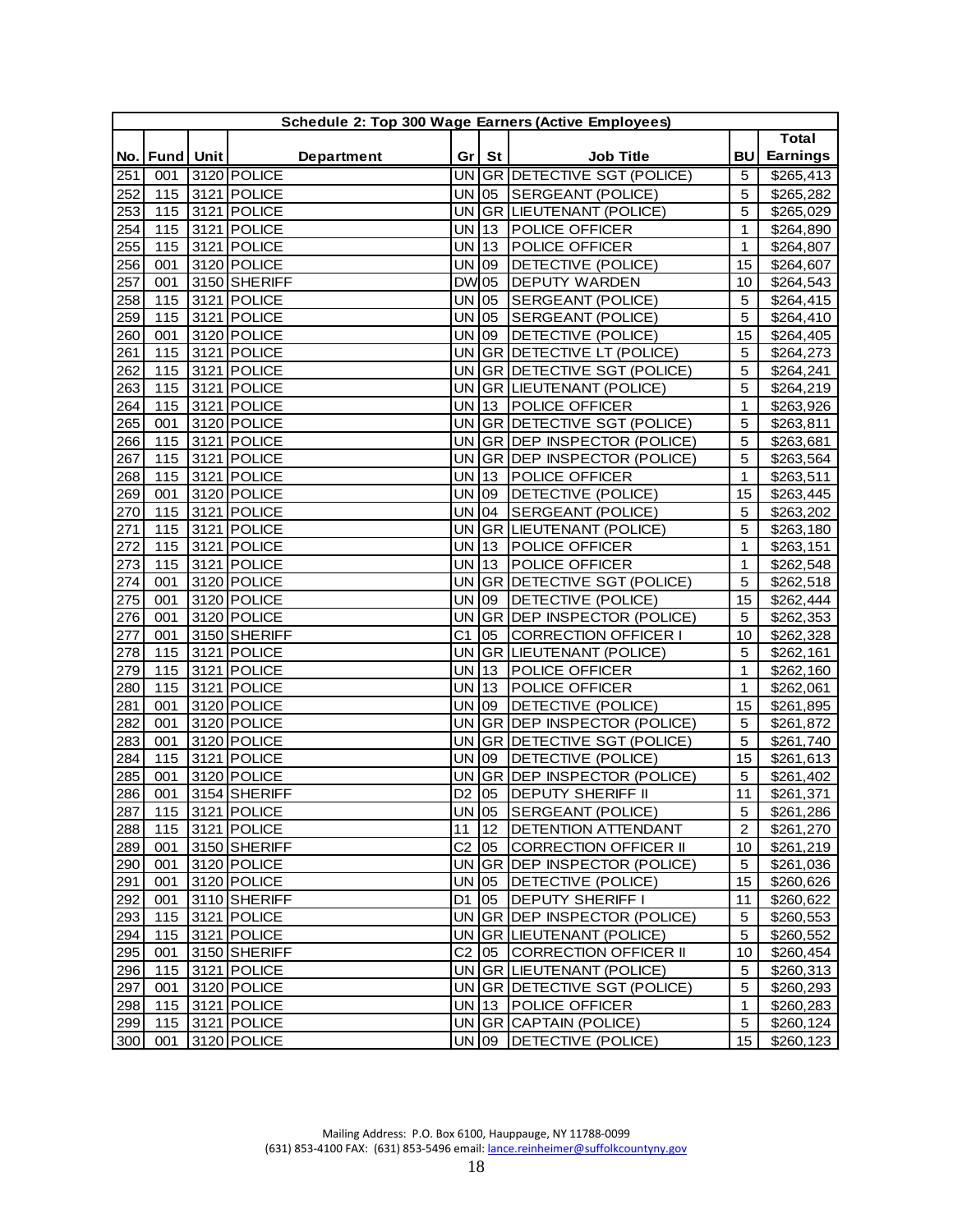| No.   Fund   Unit<br>Department<br>Gr<br>St<br><b>Job Title</b>                   | BU             | Total           |
|-----------------------------------------------------------------------------------|----------------|-----------------|
|                                                                                   |                |                 |
|                                                                                   |                | <b>Earnings</b> |
| UN GR DETECTIVE SGT (POLICE)<br>3120 POLICE<br>251<br>001                         | 5              | \$265,413       |
| <b>UN</b><br>05<br>252<br>115<br>3121 POLICE<br>SERGEANT (POLICE)                 | 5              | \$265,282       |
| 115<br>3121 POLICE<br><b>UN</b><br><b>GR LIEUTENANT (POLICE)</b><br>253           | 5              | \$265,029       |
| 3121 POLICE<br>POLICE OFFICER<br>254<br>115<br><b>UN</b><br>13                    | 1              | \$264,890       |
| 255<br>115<br>3121 POLICE<br><b>UN</b><br>POLICE OFFICER<br>13                    | $\mathbf{1}$   | \$264,807       |
| <b>UN</b><br>3120 POLICE<br>256<br>001<br>09<br>DETECTIVE (POLICE)                | 15             | \$264,607       |
| 3150 SHERIFF<br><b>DW</b><br>05<br>DEPUTY WARDEN<br>257<br>001                    | 10             | \$264,543       |
| 258<br>3121 POLICE<br><b>UN</b><br>SERGEANT (POLICE)<br>115<br>05                 | 5              | \$264,415       |
| 259<br>3121 POLICE<br>UN<br>05<br>SERGEANT (POLICE)<br>115                        | 5              | \$264,410       |
| 260<br>3120 POLICE<br>UN<br>09<br>DETECTIVE (POLICE)<br>001                       | 15             | \$264,405       |
| <b>UN</b><br>GR DETECTIVE LT (POLICE)<br>261<br>115<br>3121 POLICE                | 5              | \$264,273       |
| 262<br>115<br>3121 POLICE<br><b>UN</b><br>GR DETECTIVE SGT (POLICE)               | 5              | \$264,241       |
| 263<br>115<br>3121 POLICE<br>UN<br><b>GR LIEUTENANT (POLICE)</b>                  | 5              | \$264,219       |
| 3121 POLICE<br>POLICE OFFICER<br>264<br>115<br>UN<br> 13                          | $\mathbf{1}$   | \$263,926       |
| UN<br>3120 POLICE<br>GR DETECTIVE SGT (POLICE)<br>265<br>001                      | 5              | \$263,811       |
| 3121 POLICE<br><b>UN</b><br>GR DEP INSPECTOR (POLICE)<br>266<br>115               | 5              | \$263,681       |
| 3121 POLICE<br><b>GR DEP INSPECTOR (POLICE)</b><br>267<br>115<br>UN               | 5              | \$263,564       |
| 268<br>115<br>3121 POLICE<br>UN<br>$ 13\rangle$<br><b>POLICE OFFICER</b>          | $\mathbf{1}$   | \$263,511       |
| 269<br>3120 POLICE<br>UN<br>09<br>DETECTIVE (POLICE)<br>001                       | 15             | \$263,445       |
| 04<br>270<br>115<br>3121 POLICE<br>UN<br>SERGEANT (POLICE)                        | 5              | \$263,202       |
| 115<br>3121 POLICE<br><b>UN</b><br><b>GR LIEUTENANT (POLICE)</b><br>271           | 5              | \$263,180       |
| 3121 POLICE<br><b>UN</b><br>POLICE OFFICER<br>272<br>115<br>13                    | $\mathbf{1}$   | \$263,151       |
| 273<br>3121 POLICE<br><b>UN</b><br>POLICE OFFICER<br>115<br> 13                   | $\mathbf{1}$   | \$262,548       |
| 3120 POLICE<br>UN<br>GR DETECTIVE SGT (POLICE)<br>274<br>001                      | 5              | \$262,518       |
| 3120 POLICE<br><b>UN</b><br>275<br>001<br>09<br>DETECTIVE (POLICE)                | 15             | \$262,444       |
| 276<br>3120 POLICE<br>UN<br>001<br>GR DEP INSPECTOR (POLICE)                      | 5              | \$262,353       |
| 3150 SHERIFF<br>C <sub>1</sub><br>05<br><b>CORRECTION OFFICER I</b><br>277<br>001 | 10             | \$262,328       |
| 278<br>3121 POLICE<br><b>GR</b><br>LIEUTENANT (POLICE)<br>115<br>UN               | 5              | \$262,161       |
| 279<br>UN<br>115<br>3121 POLICE<br> 13<br>POLICE OFFICER                          | 1              | \$262,160       |
| 115<br>3121 POLICE<br><b>UN</b><br>$ 13\rangle$<br>POLICE OFFICER<br>280          | $\mathbf{1}$   | \$262,061       |
| 3120 POLICE<br>UN<br>DETECTIVE (POLICE)<br>281<br>001<br>09                       | 15             | \$261,895       |
| 282<br>3120 POLICE<br>DEP INSPECTOR (POLICE)<br>001<br>UN<br><b>GR</b>            | 5              | \$261,872       |
| 3120 POLICE<br><b>UN</b><br>GR DETECTIVE SGT (POLICE)<br>283<br>001               | 5              | \$261,740       |
| 3121 POLICE<br><b>UN</b><br>284<br>115<br>09<br>DETECTIVE (POLICE)                | 15             | \$261,613       |
| 3120 POLICE<br>285<br><b>GR DEP INSPECTOR (POLICE)</b><br>001<br>UN               | 5              | \$261,402       |
| 286<br>001<br>3154 SHERIFF<br>D <sub>2</sub><br>05<br><b>DEPUTY SHERIFF II</b>    | 11             | \$261,371       |
| 287 <br>115 3121 POLICE<br>UN 105<br><b>SERGEANT (POLICE)</b>                     | 5              | \$261,286       |
| 288<br>3121 POLICE<br>11<br>12<br><b>DETENTION ATTENDANT</b><br>115               | $\overline{2}$ | \$261,270       |
| $C2$ 05<br>289<br>001<br>3150 SHERIFF<br><b>CORRECTION OFFICER II</b>             | 10             | \$261,219       |
| 290<br>3120 POLICE<br>UN GR DEP INSPECTOR (POLICE)<br>001                         | 5              | \$261,036       |
| 3120 POLICE<br>UN 05<br>DETECTIVE (POLICE)<br>291<br>001                          | 15             | \$260,626       |
| 3110 SHERIFF<br><b>DEPUTY SHERIFF I</b><br>292<br>001<br>D1<br>05                 | 11             | \$260,622       |
| UN GR DEP INSPECTOR (POLICE)<br>3121 POLICE<br>293<br>115                         | 5              | \$260,553       |
| UN GR LIEUTENANT (POLICE)<br>294<br>115<br>3121 POLICE                            | 5              | \$260,552       |
| 295<br>3150 SHERIFF<br>$C2$ 05<br><b>CORRECTION OFFICER II</b><br>001             | 10             | \$260,454       |
| 296<br>3121 POLICE<br>UN GR LIEUTENANT (POLICE)<br>115                            | 5              | \$260,313       |
| 297<br>UN GR DETECTIVE SGT (POLICE)<br>001<br>3120 POLICE                         | 5              | \$260,293       |
| 298<br>115<br>3121 POLICE<br>UN 13<br>POLICE OFFICER                              | $\mathbf{1}$   | \$260,283       |
| 3121 POLICE<br>299<br>115<br>UN GR CAPTAIN (POLICE)                               | 5              | \$260,124       |
| 3120 POLICE<br>UN 09<br>DETECTIVE (POLICE)<br>300<br>001                          | 15             | \$260,123       |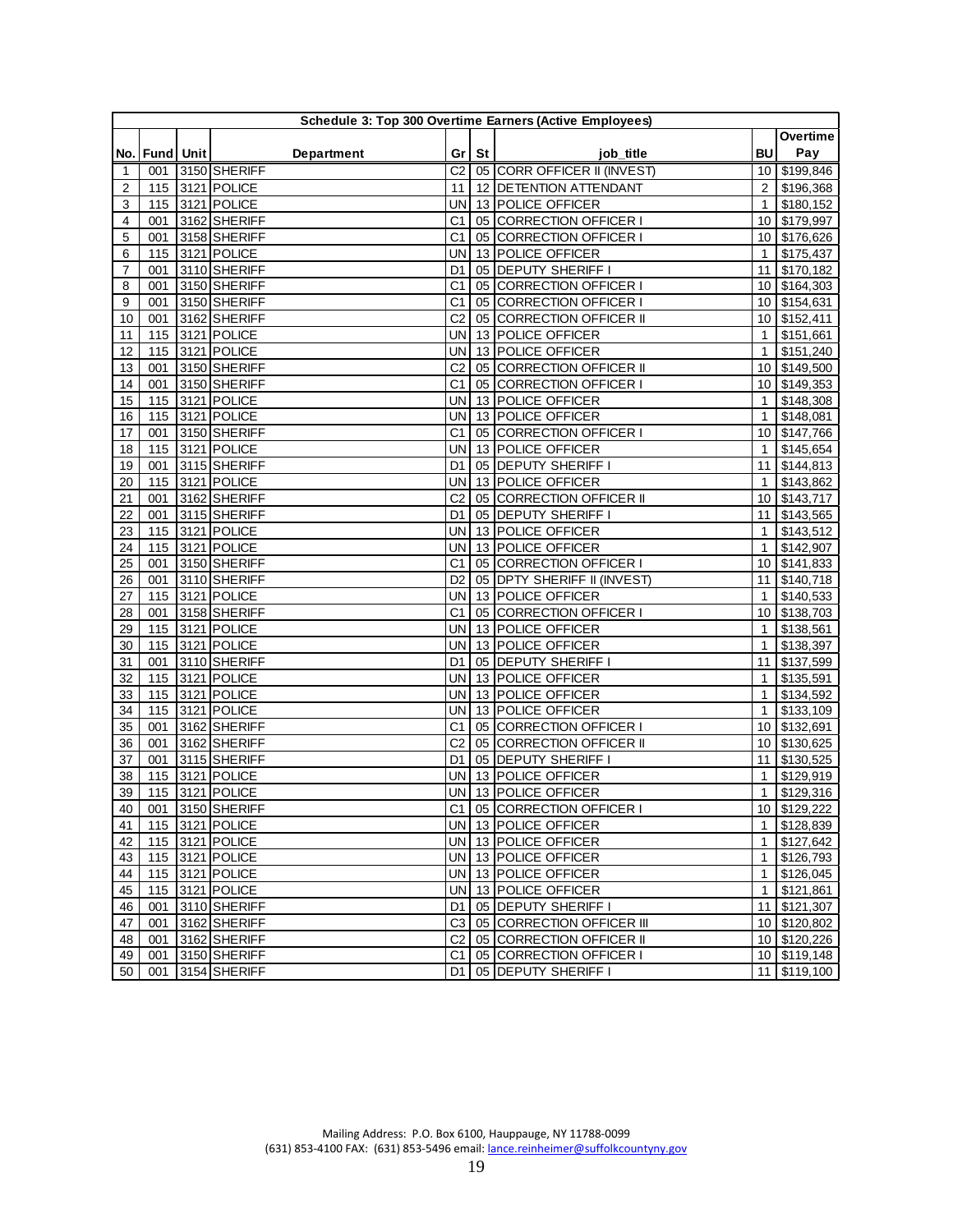| Pay<br><b>BU</b><br>No.   Fund   Unit  <br><b>Department</b><br>Gr   St  <br>job title<br>3150 SHERIFF<br>05 CORR OFFICER II (INVEST)<br>\$199,846<br>001<br>C2<br>10 I<br>1<br>115 3121 POLICE<br>12 DETENTION ATTENDANT<br>2<br>\$196,368<br>2<br>11<br>3121 POLICE<br>13 POLICE OFFICER<br>3<br>115<br>UN<br>$\mathbf{1}$<br>\$180,152<br>3162 SHERIFF<br>05 CORRECTION OFFICER I<br>\$179,997<br>4<br>001<br>C <sub>1</sub><br>10 <sup>°</sup><br>5<br>3158 SHERIFF<br>C <sub>1</sub><br>05 CORRECTION OFFICER I<br>\$176,626<br>001<br>10<br>6<br>3121 POLICE<br>13 POLICE OFFICER<br>115<br>UN<br>$\mathbf{1}$<br>\$175,437<br>05 DEPUTY SHERIFF I<br>3110 SHERIFF<br>7<br>001<br>11<br>\$170,182<br>D1<br>3150 SHERIFF<br>05 CORRECTION OFFICER I<br>\$164,303<br>8<br>001<br>C <sub>1</sub><br>10 <sup>1</sup><br>3150 SHERIFF<br>9<br>001<br>C <sub>1</sub><br>05 CORRECTION OFFICER I<br>\$154,631<br>10<br>001<br>3162 SHERIFF<br>C <sub>2</sub><br>05 CORRECTION OFFICER II<br>\$152,411<br>10<br>10<br>13 POLICE OFFICER<br>115<br>3121 POLICE<br>UN<br>$\mathbf{1}$<br>\$151,661<br>11<br>3121 POLICE<br>13 POLICE OFFICER<br>\$151,240<br>12<br>115<br>UN<br>$\mathbf{1}$<br>\$149,500<br>13<br>001<br>3150 SHERIFF<br>C <sub>2</sub><br>05 CORRECTION OFFICER II<br>10<br>001<br>3150 SHERIFF<br>05 CORRECTION OFFICER I<br>14<br>C1<br>10<br>\$149,353<br>3121 POLICE<br>13 POLICE OFFICER<br>15<br>115<br>UN<br>\$148,308<br>$\mathbf{1}$<br>3121 POLICE<br>13 POLICE OFFICER<br>16<br>115<br>UN<br>$\mathbf{1}$<br>\$148,081<br>05 CORRECTION OFFICER I<br>\$147,766<br>17<br>001<br>3150 SHERIFF<br>C <sub>1</sub><br>10 <sup>°</sup><br>13 POLICE OFFICER<br>18<br>3121 POLICE<br>UN<br>\$145,654<br>115<br>$\mathbf{1}$<br>3115 SHERIFF<br>05 DEPUTY SHERIFF I<br>001<br>11<br>\$144,813<br>19<br>D1<br>13 POLICE OFFICER<br>115<br>3121 POLICE<br>UN<br>$\mathbf{1}$<br>\$143,862<br>20<br>21<br>001<br>3162 SHERIFF<br>C <sub>2</sub><br>05 CORRECTION OFFICER II<br>\$143,717<br>10<br>05 DEPUTY SHERIFF I<br>22<br>001<br>3115 SHERIFF<br>\$143,565<br>D1<br>11<br>13 POLICE OFFICER<br>3121 POLICE<br>\$143,512<br>23<br>115<br>UN<br>$\mathbf{1}$<br>3121 POLICE<br>13 POLICE OFFICER<br>\$142,907<br>24<br>115<br>UN<br>$\mathbf{1}$<br>25<br>3150 SHERIFF<br>C <sub>1</sub><br>05 CORRECTION OFFICER I<br>\$141,833<br>001<br>10<br>26<br>001<br>3110 SHERIFF<br>05 DPTY SHERIFF II (INVEST)<br>\$140,718<br>D <sub>2</sub><br>11<br>13 POLICE OFFICER<br>\$140,533<br>115<br>3121 POLICE<br>UN<br>27<br>$\mathbf{1}$<br>05 CORRECTION OFFICER I<br>\$138,703<br>28<br>001<br>3158 SHERIFF<br>C <sub>1</sub><br>10 <sup>1</sup><br>115<br>3121 POLICE<br>13 POLICE OFFICER<br>\$138,561<br>29<br>UN<br>$\mathbf{1}$<br>115<br>3121 POLICE<br>13 POLICE OFFICER<br>\$138,397<br>30<br>UN<br>$\mathbf{1}$<br>3110 SHERIFF<br>05 DEPUTY SHERIFF I<br>\$137,599<br>31<br>001<br>11<br>D1<br>3121 POLICE<br><b>UN</b><br>13 POLICE OFFICER<br>\$135,591<br>32<br>115<br>$\mathbf{1}$<br>33<br>115<br>3121 POLICE<br>UN<br>13 POLICE OFFICER<br>\$134,592<br>$\mathbf{1}$<br>115<br>3121 POLICE<br>13 POLICE OFFICER<br>\$133,109<br>34<br>UN<br>$\mathbf{1}$<br>35<br>001<br>3162 SHERIFF<br>C <sub>1</sub><br>05 CORRECTION OFFICER I<br>10 <sup>1</sup><br>\$132,691<br>3162 SHERIFF<br>C <sub>2</sub><br>36<br>001<br>05 CORRECTION OFFICER II<br>10 <sup>1</sup><br>\$130,625<br>3115 SHERIFF<br>05 DEPUTY SHERIFF I<br>11<br>\$130,525<br>37<br>001<br>D1<br>13 POLICE OFFICER<br>3121 POLICE<br>\$129,919<br>38<br>115<br>UN<br>$\mathbf{1}$<br>115 3121 POLICE<br>13 POLICE OFFICER<br>39<br>$\mathbf{1}$<br>\$129,316<br>UN  <br>001 3150 SHERIFF<br>C1<br>05 CORRECTION OFFICER I<br>10 \$129,222<br>40<br>115 3121 POLICE<br>1 \$128,839<br>41<br>UN 13 POLICE OFFICER<br>115 3121 POLICE<br>UN 13 POLICE OFFICER<br>1 \$127,642<br>42<br>$1$ \$126,793<br>43<br>115 3121 POLICE<br>UN 13 POLICE OFFICER<br>44<br>115 3121 POLICE<br>UN 13 POLICE OFFICER<br>1 \$126,045<br>115 3121 POLICE<br>UN 13 POLICE OFFICER<br>1 \$121,861<br>45<br>05 DEPUTY SHERIFF I<br>11 \$121,307<br>46<br>001<br>3110 SHERIFF<br>D1 I<br>3162 SHERIFF<br>C3 05 CORRECTION OFFICER III<br>10 \$120,802<br>47<br>001<br>48<br>3162 SHERIFF<br>C <sub>2</sub><br>05 CORRECTION OFFICER II<br>10 \$120,226<br>001<br>001 3150 SHERIFF<br>C1<br>10 \$119,148<br>49<br>05 CORRECTION OFFICER I<br>50 <br>001 3154 SHERIFF<br>D1 05 DEPUTY SHERIFF I<br>11 \$119,100 | Schedule 3: Top 300 Overtime Earners (Active Employees) |  |  |  |  |  |  |          |  |  |  |  |
|---------------------------------------------------------------------------------------------------------------------------------------------------------------------------------------------------------------------------------------------------------------------------------------------------------------------------------------------------------------------------------------------------------------------------------------------------------------------------------------------------------------------------------------------------------------------------------------------------------------------------------------------------------------------------------------------------------------------------------------------------------------------------------------------------------------------------------------------------------------------------------------------------------------------------------------------------------------------------------------------------------------------------------------------------------------------------------------------------------------------------------------------------------------------------------------------------------------------------------------------------------------------------------------------------------------------------------------------------------------------------------------------------------------------------------------------------------------------------------------------------------------------------------------------------------------------------------------------------------------------------------------------------------------------------------------------------------------------------------------------------------------------------------------------------------------------------------------------------------------------------------------------------------------------------------------------------------------------------------------------------------------------------------------------------------------------------------------------------------------------------------------------------------------------------------------------------------------------------------------------------------------------------------------------------------------------------------------------------------------------------------------------------------------------------------------------------------------------------------------------------------------------------------------------------------------------------------------------------------------------------------------------------------------------------------------------------------------------------------------------------------------------------------------------------------------------------------------------------------------------------------------------------------------------------------------------------------------------------------------------------------------------------------------------------------------------------------------------------------------------------------------------------------------------------------------------------------------------------------------------------------------------------------------------------------------------------------------------------------------------------------------------------------------------------------------------------------------------------------------------------------------------------------------------------------------------------------------------------------------------------------------------------------------------------------------------------------------------------------------------------------------------------------------------------------------------------------------------------------------------------------------------------------------------------------------------------------------------------------------------------------------------------------------------------------------------------------------------------------------------------------------------------------------------------------------------------------------------------------------------------------------------------------------------------------------------------------------------------------------------------------------------------------------------------------------------------------------------------------|---------------------------------------------------------|--|--|--|--|--|--|----------|--|--|--|--|
|                                                                                                                                                                                                                                                                                                                                                                                                                                                                                                                                                                                                                                                                                                                                                                                                                                                                                                                                                                                                                                                                                                                                                                                                                                                                                                                                                                                                                                                                                                                                                                                                                                                                                                                                                                                                                                                                                                                                                                                                                                                                                                                                                                                                                                                                                                                                                                                                                                                                                                                                                                                                                                                                                                                                                                                                                                                                                                                                                                                                                                                                                                                                                                                                                                                                                                                                                                                                                                                                                                                                                                                                                                                                                                                                                                                                                                                                                                                                                                                                                                                                                                                                                                                                                                                                                                                                                                                                                                                                                 |                                                         |  |  |  |  |  |  | Overtime |  |  |  |  |
|                                                                                                                                                                                                                                                                                                                                                                                                                                                                                                                                                                                                                                                                                                                                                                                                                                                                                                                                                                                                                                                                                                                                                                                                                                                                                                                                                                                                                                                                                                                                                                                                                                                                                                                                                                                                                                                                                                                                                                                                                                                                                                                                                                                                                                                                                                                                                                                                                                                                                                                                                                                                                                                                                                                                                                                                                                                                                                                                                                                                                                                                                                                                                                                                                                                                                                                                                                                                                                                                                                                                                                                                                                                                                                                                                                                                                                                                                                                                                                                                                                                                                                                                                                                                                                                                                                                                                                                                                                                                                 |                                                         |  |  |  |  |  |  |          |  |  |  |  |
|                                                                                                                                                                                                                                                                                                                                                                                                                                                                                                                                                                                                                                                                                                                                                                                                                                                                                                                                                                                                                                                                                                                                                                                                                                                                                                                                                                                                                                                                                                                                                                                                                                                                                                                                                                                                                                                                                                                                                                                                                                                                                                                                                                                                                                                                                                                                                                                                                                                                                                                                                                                                                                                                                                                                                                                                                                                                                                                                                                                                                                                                                                                                                                                                                                                                                                                                                                                                                                                                                                                                                                                                                                                                                                                                                                                                                                                                                                                                                                                                                                                                                                                                                                                                                                                                                                                                                                                                                                                                                 |                                                         |  |  |  |  |  |  |          |  |  |  |  |
|                                                                                                                                                                                                                                                                                                                                                                                                                                                                                                                                                                                                                                                                                                                                                                                                                                                                                                                                                                                                                                                                                                                                                                                                                                                                                                                                                                                                                                                                                                                                                                                                                                                                                                                                                                                                                                                                                                                                                                                                                                                                                                                                                                                                                                                                                                                                                                                                                                                                                                                                                                                                                                                                                                                                                                                                                                                                                                                                                                                                                                                                                                                                                                                                                                                                                                                                                                                                                                                                                                                                                                                                                                                                                                                                                                                                                                                                                                                                                                                                                                                                                                                                                                                                                                                                                                                                                                                                                                                                                 |                                                         |  |  |  |  |  |  |          |  |  |  |  |
|                                                                                                                                                                                                                                                                                                                                                                                                                                                                                                                                                                                                                                                                                                                                                                                                                                                                                                                                                                                                                                                                                                                                                                                                                                                                                                                                                                                                                                                                                                                                                                                                                                                                                                                                                                                                                                                                                                                                                                                                                                                                                                                                                                                                                                                                                                                                                                                                                                                                                                                                                                                                                                                                                                                                                                                                                                                                                                                                                                                                                                                                                                                                                                                                                                                                                                                                                                                                                                                                                                                                                                                                                                                                                                                                                                                                                                                                                                                                                                                                                                                                                                                                                                                                                                                                                                                                                                                                                                                                                 |                                                         |  |  |  |  |  |  |          |  |  |  |  |
|                                                                                                                                                                                                                                                                                                                                                                                                                                                                                                                                                                                                                                                                                                                                                                                                                                                                                                                                                                                                                                                                                                                                                                                                                                                                                                                                                                                                                                                                                                                                                                                                                                                                                                                                                                                                                                                                                                                                                                                                                                                                                                                                                                                                                                                                                                                                                                                                                                                                                                                                                                                                                                                                                                                                                                                                                                                                                                                                                                                                                                                                                                                                                                                                                                                                                                                                                                                                                                                                                                                                                                                                                                                                                                                                                                                                                                                                                                                                                                                                                                                                                                                                                                                                                                                                                                                                                                                                                                                                                 |                                                         |  |  |  |  |  |  |          |  |  |  |  |
|                                                                                                                                                                                                                                                                                                                                                                                                                                                                                                                                                                                                                                                                                                                                                                                                                                                                                                                                                                                                                                                                                                                                                                                                                                                                                                                                                                                                                                                                                                                                                                                                                                                                                                                                                                                                                                                                                                                                                                                                                                                                                                                                                                                                                                                                                                                                                                                                                                                                                                                                                                                                                                                                                                                                                                                                                                                                                                                                                                                                                                                                                                                                                                                                                                                                                                                                                                                                                                                                                                                                                                                                                                                                                                                                                                                                                                                                                                                                                                                                                                                                                                                                                                                                                                                                                                                                                                                                                                                                                 |                                                         |  |  |  |  |  |  |          |  |  |  |  |
|                                                                                                                                                                                                                                                                                                                                                                                                                                                                                                                                                                                                                                                                                                                                                                                                                                                                                                                                                                                                                                                                                                                                                                                                                                                                                                                                                                                                                                                                                                                                                                                                                                                                                                                                                                                                                                                                                                                                                                                                                                                                                                                                                                                                                                                                                                                                                                                                                                                                                                                                                                                                                                                                                                                                                                                                                                                                                                                                                                                                                                                                                                                                                                                                                                                                                                                                                                                                                                                                                                                                                                                                                                                                                                                                                                                                                                                                                                                                                                                                                                                                                                                                                                                                                                                                                                                                                                                                                                                                                 |                                                         |  |  |  |  |  |  |          |  |  |  |  |
|                                                                                                                                                                                                                                                                                                                                                                                                                                                                                                                                                                                                                                                                                                                                                                                                                                                                                                                                                                                                                                                                                                                                                                                                                                                                                                                                                                                                                                                                                                                                                                                                                                                                                                                                                                                                                                                                                                                                                                                                                                                                                                                                                                                                                                                                                                                                                                                                                                                                                                                                                                                                                                                                                                                                                                                                                                                                                                                                                                                                                                                                                                                                                                                                                                                                                                                                                                                                                                                                                                                                                                                                                                                                                                                                                                                                                                                                                                                                                                                                                                                                                                                                                                                                                                                                                                                                                                                                                                                                                 |                                                         |  |  |  |  |  |  |          |  |  |  |  |
|                                                                                                                                                                                                                                                                                                                                                                                                                                                                                                                                                                                                                                                                                                                                                                                                                                                                                                                                                                                                                                                                                                                                                                                                                                                                                                                                                                                                                                                                                                                                                                                                                                                                                                                                                                                                                                                                                                                                                                                                                                                                                                                                                                                                                                                                                                                                                                                                                                                                                                                                                                                                                                                                                                                                                                                                                                                                                                                                                                                                                                                                                                                                                                                                                                                                                                                                                                                                                                                                                                                                                                                                                                                                                                                                                                                                                                                                                                                                                                                                                                                                                                                                                                                                                                                                                                                                                                                                                                                                                 |                                                         |  |  |  |  |  |  |          |  |  |  |  |
|                                                                                                                                                                                                                                                                                                                                                                                                                                                                                                                                                                                                                                                                                                                                                                                                                                                                                                                                                                                                                                                                                                                                                                                                                                                                                                                                                                                                                                                                                                                                                                                                                                                                                                                                                                                                                                                                                                                                                                                                                                                                                                                                                                                                                                                                                                                                                                                                                                                                                                                                                                                                                                                                                                                                                                                                                                                                                                                                                                                                                                                                                                                                                                                                                                                                                                                                                                                                                                                                                                                                                                                                                                                                                                                                                                                                                                                                                                                                                                                                                                                                                                                                                                                                                                                                                                                                                                                                                                                                                 |                                                         |  |  |  |  |  |  |          |  |  |  |  |
|                                                                                                                                                                                                                                                                                                                                                                                                                                                                                                                                                                                                                                                                                                                                                                                                                                                                                                                                                                                                                                                                                                                                                                                                                                                                                                                                                                                                                                                                                                                                                                                                                                                                                                                                                                                                                                                                                                                                                                                                                                                                                                                                                                                                                                                                                                                                                                                                                                                                                                                                                                                                                                                                                                                                                                                                                                                                                                                                                                                                                                                                                                                                                                                                                                                                                                                                                                                                                                                                                                                                                                                                                                                                                                                                                                                                                                                                                                                                                                                                                                                                                                                                                                                                                                                                                                                                                                                                                                                                                 |                                                         |  |  |  |  |  |  |          |  |  |  |  |
|                                                                                                                                                                                                                                                                                                                                                                                                                                                                                                                                                                                                                                                                                                                                                                                                                                                                                                                                                                                                                                                                                                                                                                                                                                                                                                                                                                                                                                                                                                                                                                                                                                                                                                                                                                                                                                                                                                                                                                                                                                                                                                                                                                                                                                                                                                                                                                                                                                                                                                                                                                                                                                                                                                                                                                                                                                                                                                                                                                                                                                                                                                                                                                                                                                                                                                                                                                                                                                                                                                                                                                                                                                                                                                                                                                                                                                                                                                                                                                                                                                                                                                                                                                                                                                                                                                                                                                                                                                                                                 |                                                         |  |  |  |  |  |  |          |  |  |  |  |
|                                                                                                                                                                                                                                                                                                                                                                                                                                                                                                                                                                                                                                                                                                                                                                                                                                                                                                                                                                                                                                                                                                                                                                                                                                                                                                                                                                                                                                                                                                                                                                                                                                                                                                                                                                                                                                                                                                                                                                                                                                                                                                                                                                                                                                                                                                                                                                                                                                                                                                                                                                                                                                                                                                                                                                                                                                                                                                                                                                                                                                                                                                                                                                                                                                                                                                                                                                                                                                                                                                                                                                                                                                                                                                                                                                                                                                                                                                                                                                                                                                                                                                                                                                                                                                                                                                                                                                                                                                                                                 |                                                         |  |  |  |  |  |  |          |  |  |  |  |
|                                                                                                                                                                                                                                                                                                                                                                                                                                                                                                                                                                                                                                                                                                                                                                                                                                                                                                                                                                                                                                                                                                                                                                                                                                                                                                                                                                                                                                                                                                                                                                                                                                                                                                                                                                                                                                                                                                                                                                                                                                                                                                                                                                                                                                                                                                                                                                                                                                                                                                                                                                                                                                                                                                                                                                                                                                                                                                                                                                                                                                                                                                                                                                                                                                                                                                                                                                                                                                                                                                                                                                                                                                                                                                                                                                                                                                                                                                                                                                                                                                                                                                                                                                                                                                                                                                                                                                                                                                                                                 |                                                         |  |  |  |  |  |  |          |  |  |  |  |
|                                                                                                                                                                                                                                                                                                                                                                                                                                                                                                                                                                                                                                                                                                                                                                                                                                                                                                                                                                                                                                                                                                                                                                                                                                                                                                                                                                                                                                                                                                                                                                                                                                                                                                                                                                                                                                                                                                                                                                                                                                                                                                                                                                                                                                                                                                                                                                                                                                                                                                                                                                                                                                                                                                                                                                                                                                                                                                                                                                                                                                                                                                                                                                                                                                                                                                                                                                                                                                                                                                                                                                                                                                                                                                                                                                                                                                                                                                                                                                                                                                                                                                                                                                                                                                                                                                                                                                                                                                                                                 |                                                         |  |  |  |  |  |  |          |  |  |  |  |
|                                                                                                                                                                                                                                                                                                                                                                                                                                                                                                                                                                                                                                                                                                                                                                                                                                                                                                                                                                                                                                                                                                                                                                                                                                                                                                                                                                                                                                                                                                                                                                                                                                                                                                                                                                                                                                                                                                                                                                                                                                                                                                                                                                                                                                                                                                                                                                                                                                                                                                                                                                                                                                                                                                                                                                                                                                                                                                                                                                                                                                                                                                                                                                                                                                                                                                                                                                                                                                                                                                                                                                                                                                                                                                                                                                                                                                                                                                                                                                                                                                                                                                                                                                                                                                                                                                                                                                                                                                                                                 |                                                         |  |  |  |  |  |  |          |  |  |  |  |
|                                                                                                                                                                                                                                                                                                                                                                                                                                                                                                                                                                                                                                                                                                                                                                                                                                                                                                                                                                                                                                                                                                                                                                                                                                                                                                                                                                                                                                                                                                                                                                                                                                                                                                                                                                                                                                                                                                                                                                                                                                                                                                                                                                                                                                                                                                                                                                                                                                                                                                                                                                                                                                                                                                                                                                                                                                                                                                                                                                                                                                                                                                                                                                                                                                                                                                                                                                                                                                                                                                                                                                                                                                                                                                                                                                                                                                                                                                                                                                                                                                                                                                                                                                                                                                                                                                                                                                                                                                                                                 |                                                         |  |  |  |  |  |  |          |  |  |  |  |
|                                                                                                                                                                                                                                                                                                                                                                                                                                                                                                                                                                                                                                                                                                                                                                                                                                                                                                                                                                                                                                                                                                                                                                                                                                                                                                                                                                                                                                                                                                                                                                                                                                                                                                                                                                                                                                                                                                                                                                                                                                                                                                                                                                                                                                                                                                                                                                                                                                                                                                                                                                                                                                                                                                                                                                                                                                                                                                                                                                                                                                                                                                                                                                                                                                                                                                                                                                                                                                                                                                                                                                                                                                                                                                                                                                                                                                                                                                                                                                                                                                                                                                                                                                                                                                                                                                                                                                                                                                                                                 |                                                         |  |  |  |  |  |  |          |  |  |  |  |
|                                                                                                                                                                                                                                                                                                                                                                                                                                                                                                                                                                                                                                                                                                                                                                                                                                                                                                                                                                                                                                                                                                                                                                                                                                                                                                                                                                                                                                                                                                                                                                                                                                                                                                                                                                                                                                                                                                                                                                                                                                                                                                                                                                                                                                                                                                                                                                                                                                                                                                                                                                                                                                                                                                                                                                                                                                                                                                                                                                                                                                                                                                                                                                                                                                                                                                                                                                                                                                                                                                                                                                                                                                                                                                                                                                                                                                                                                                                                                                                                                                                                                                                                                                                                                                                                                                                                                                                                                                                                                 |                                                         |  |  |  |  |  |  |          |  |  |  |  |
|                                                                                                                                                                                                                                                                                                                                                                                                                                                                                                                                                                                                                                                                                                                                                                                                                                                                                                                                                                                                                                                                                                                                                                                                                                                                                                                                                                                                                                                                                                                                                                                                                                                                                                                                                                                                                                                                                                                                                                                                                                                                                                                                                                                                                                                                                                                                                                                                                                                                                                                                                                                                                                                                                                                                                                                                                                                                                                                                                                                                                                                                                                                                                                                                                                                                                                                                                                                                                                                                                                                                                                                                                                                                                                                                                                                                                                                                                                                                                                                                                                                                                                                                                                                                                                                                                                                                                                                                                                                                                 |                                                         |  |  |  |  |  |  |          |  |  |  |  |
|                                                                                                                                                                                                                                                                                                                                                                                                                                                                                                                                                                                                                                                                                                                                                                                                                                                                                                                                                                                                                                                                                                                                                                                                                                                                                                                                                                                                                                                                                                                                                                                                                                                                                                                                                                                                                                                                                                                                                                                                                                                                                                                                                                                                                                                                                                                                                                                                                                                                                                                                                                                                                                                                                                                                                                                                                                                                                                                                                                                                                                                                                                                                                                                                                                                                                                                                                                                                                                                                                                                                                                                                                                                                                                                                                                                                                                                                                                                                                                                                                                                                                                                                                                                                                                                                                                                                                                                                                                                                                 |                                                         |  |  |  |  |  |  |          |  |  |  |  |
|                                                                                                                                                                                                                                                                                                                                                                                                                                                                                                                                                                                                                                                                                                                                                                                                                                                                                                                                                                                                                                                                                                                                                                                                                                                                                                                                                                                                                                                                                                                                                                                                                                                                                                                                                                                                                                                                                                                                                                                                                                                                                                                                                                                                                                                                                                                                                                                                                                                                                                                                                                                                                                                                                                                                                                                                                                                                                                                                                                                                                                                                                                                                                                                                                                                                                                                                                                                                                                                                                                                                                                                                                                                                                                                                                                                                                                                                                                                                                                                                                                                                                                                                                                                                                                                                                                                                                                                                                                                                                 |                                                         |  |  |  |  |  |  |          |  |  |  |  |
|                                                                                                                                                                                                                                                                                                                                                                                                                                                                                                                                                                                                                                                                                                                                                                                                                                                                                                                                                                                                                                                                                                                                                                                                                                                                                                                                                                                                                                                                                                                                                                                                                                                                                                                                                                                                                                                                                                                                                                                                                                                                                                                                                                                                                                                                                                                                                                                                                                                                                                                                                                                                                                                                                                                                                                                                                                                                                                                                                                                                                                                                                                                                                                                                                                                                                                                                                                                                                                                                                                                                                                                                                                                                                                                                                                                                                                                                                                                                                                                                                                                                                                                                                                                                                                                                                                                                                                                                                                                                                 |                                                         |  |  |  |  |  |  |          |  |  |  |  |
|                                                                                                                                                                                                                                                                                                                                                                                                                                                                                                                                                                                                                                                                                                                                                                                                                                                                                                                                                                                                                                                                                                                                                                                                                                                                                                                                                                                                                                                                                                                                                                                                                                                                                                                                                                                                                                                                                                                                                                                                                                                                                                                                                                                                                                                                                                                                                                                                                                                                                                                                                                                                                                                                                                                                                                                                                                                                                                                                                                                                                                                                                                                                                                                                                                                                                                                                                                                                                                                                                                                                                                                                                                                                                                                                                                                                                                                                                                                                                                                                                                                                                                                                                                                                                                                                                                                                                                                                                                                                                 |                                                         |  |  |  |  |  |  |          |  |  |  |  |
|                                                                                                                                                                                                                                                                                                                                                                                                                                                                                                                                                                                                                                                                                                                                                                                                                                                                                                                                                                                                                                                                                                                                                                                                                                                                                                                                                                                                                                                                                                                                                                                                                                                                                                                                                                                                                                                                                                                                                                                                                                                                                                                                                                                                                                                                                                                                                                                                                                                                                                                                                                                                                                                                                                                                                                                                                                                                                                                                                                                                                                                                                                                                                                                                                                                                                                                                                                                                                                                                                                                                                                                                                                                                                                                                                                                                                                                                                                                                                                                                                                                                                                                                                                                                                                                                                                                                                                                                                                                                                 |                                                         |  |  |  |  |  |  |          |  |  |  |  |
|                                                                                                                                                                                                                                                                                                                                                                                                                                                                                                                                                                                                                                                                                                                                                                                                                                                                                                                                                                                                                                                                                                                                                                                                                                                                                                                                                                                                                                                                                                                                                                                                                                                                                                                                                                                                                                                                                                                                                                                                                                                                                                                                                                                                                                                                                                                                                                                                                                                                                                                                                                                                                                                                                                                                                                                                                                                                                                                                                                                                                                                                                                                                                                                                                                                                                                                                                                                                                                                                                                                                                                                                                                                                                                                                                                                                                                                                                                                                                                                                                                                                                                                                                                                                                                                                                                                                                                                                                                                                                 |                                                         |  |  |  |  |  |  |          |  |  |  |  |
|                                                                                                                                                                                                                                                                                                                                                                                                                                                                                                                                                                                                                                                                                                                                                                                                                                                                                                                                                                                                                                                                                                                                                                                                                                                                                                                                                                                                                                                                                                                                                                                                                                                                                                                                                                                                                                                                                                                                                                                                                                                                                                                                                                                                                                                                                                                                                                                                                                                                                                                                                                                                                                                                                                                                                                                                                                                                                                                                                                                                                                                                                                                                                                                                                                                                                                                                                                                                                                                                                                                                                                                                                                                                                                                                                                                                                                                                                                                                                                                                                                                                                                                                                                                                                                                                                                                                                                                                                                                                                 |                                                         |  |  |  |  |  |  |          |  |  |  |  |
|                                                                                                                                                                                                                                                                                                                                                                                                                                                                                                                                                                                                                                                                                                                                                                                                                                                                                                                                                                                                                                                                                                                                                                                                                                                                                                                                                                                                                                                                                                                                                                                                                                                                                                                                                                                                                                                                                                                                                                                                                                                                                                                                                                                                                                                                                                                                                                                                                                                                                                                                                                                                                                                                                                                                                                                                                                                                                                                                                                                                                                                                                                                                                                                                                                                                                                                                                                                                                                                                                                                                                                                                                                                                                                                                                                                                                                                                                                                                                                                                                                                                                                                                                                                                                                                                                                                                                                                                                                                                                 |                                                         |  |  |  |  |  |  |          |  |  |  |  |
|                                                                                                                                                                                                                                                                                                                                                                                                                                                                                                                                                                                                                                                                                                                                                                                                                                                                                                                                                                                                                                                                                                                                                                                                                                                                                                                                                                                                                                                                                                                                                                                                                                                                                                                                                                                                                                                                                                                                                                                                                                                                                                                                                                                                                                                                                                                                                                                                                                                                                                                                                                                                                                                                                                                                                                                                                                                                                                                                                                                                                                                                                                                                                                                                                                                                                                                                                                                                                                                                                                                                                                                                                                                                                                                                                                                                                                                                                                                                                                                                                                                                                                                                                                                                                                                                                                                                                                                                                                                                                 |                                                         |  |  |  |  |  |  |          |  |  |  |  |
|                                                                                                                                                                                                                                                                                                                                                                                                                                                                                                                                                                                                                                                                                                                                                                                                                                                                                                                                                                                                                                                                                                                                                                                                                                                                                                                                                                                                                                                                                                                                                                                                                                                                                                                                                                                                                                                                                                                                                                                                                                                                                                                                                                                                                                                                                                                                                                                                                                                                                                                                                                                                                                                                                                                                                                                                                                                                                                                                                                                                                                                                                                                                                                                                                                                                                                                                                                                                                                                                                                                                                                                                                                                                                                                                                                                                                                                                                                                                                                                                                                                                                                                                                                                                                                                                                                                                                                                                                                                                                 |                                                         |  |  |  |  |  |  |          |  |  |  |  |
|                                                                                                                                                                                                                                                                                                                                                                                                                                                                                                                                                                                                                                                                                                                                                                                                                                                                                                                                                                                                                                                                                                                                                                                                                                                                                                                                                                                                                                                                                                                                                                                                                                                                                                                                                                                                                                                                                                                                                                                                                                                                                                                                                                                                                                                                                                                                                                                                                                                                                                                                                                                                                                                                                                                                                                                                                                                                                                                                                                                                                                                                                                                                                                                                                                                                                                                                                                                                                                                                                                                                                                                                                                                                                                                                                                                                                                                                                                                                                                                                                                                                                                                                                                                                                                                                                                                                                                                                                                                                                 |                                                         |  |  |  |  |  |  |          |  |  |  |  |
|                                                                                                                                                                                                                                                                                                                                                                                                                                                                                                                                                                                                                                                                                                                                                                                                                                                                                                                                                                                                                                                                                                                                                                                                                                                                                                                                                                                                                                                                                                                                                                                                                                                                                                                                                                                                                                                                                                                                                                                                                                                                                                                                                                                                                                                                                                                                                                                                                                                                                                                                                                                                                                                                                                                                                                                                                                                                                                                                                                                                                                                                                                                                                                                                                                                                                                                                                                                                                                                                                                                                                                                                                                                                                                                                                                                                                                                                                                                                                                                                                                                                                                                                                                                                                                                                                                                                                                                                                                                                                 |                                                         |  |  |  |  |  |  |          |  |  |  |  |
|                                                                                                                                                                                                                                                                                                                                                                                                                                                                                                                                                                                                                                                                                                                                                                                                                                                                                                                                                                                                                                                                                                                                                                                                                                                                                                                                                                                                                                                                                                                                                                                                                                                                                                                                                                                                                                                                                                                                                                                                                                                                                                                                                                                                                                                                                                                                                                                                                                                                                                                                                                                                                                                                                                                                                                                                                                                                                                                                                                                                                                                                                                                                                                                                                                                                                                                                                                                                                                                                                                                                                                                                                                                                                                                                                                                                                                                                                                                                                                                                                                                                                                                                                                                                                                                                                                                                                                                                                                                                                 |                                                         |  |  |  |  |  |  |          |  |  |  |  |
|                                                                                                                                                                                                                                                                                                                                                                                                                                                                                                                                                                                                                                                                                                                                                                                                                                                                                                                                                                                                                                                                                                                                                                                                                                                                                                                                                                                                                                                                                                                                                                                                                                                                                                                                                                                                                                                                                                                                                                                                                                                                                                                                                                                                                                                                                                                                                                                                                                                                                                                                                                                                                                                                                                                                                                                                                                                                                                                                                                                                                                                                                                                                                                                                                                                                                                                                                                                                                                                                                                                                                                                                                                                                                                                                                                                                                                                                                                                                                                                                                                                                                                                                                                                                                                                                                                                                                                                                                                                                                 |                                                         |  |  |  |  |  |  |          |  |  |  |  |
|                                                                                                                                                                                                                                                                                                                                                                                                                                                                                                                                                                                                                                                                                                                                                                                                                                                                                                                                                                                                                                                                                                                                                                                                                                                                                                                                                                                                                                                                                                                                                                                                                                                                                                                                                                                                                                                                                                                                                                                                                                                                                                                                                                                                                                                                                                                                                                                                                                                                                                                                                                                                                                                                                                                                                                                                                                                                                                                                                                                                                                                                                                                                                                                                                                                                                                                                                                                                                                                                                                                                                                                                                                                                                                                                                                                                                                                                                                                                                                                                                                                                                                                                                                                                                                                                                                                                                                                                                                                                                 |                                                         |  |  |  |  |  |  |          |  |  |  |  |
|                                                                                                                                                                                                                                                                                                                                                                                                                                                                                                                                                                                                                                                                                                                                                                                                                                                                                                                                                                                                                                                                                                                                                                                                                                                                                                                                                                                                                                                                                                                                                                                                                                                                                                                                                                                                                                                                                                                                                                                                                                                                                                                                                                                                                                                                                                                                                                                                                                                                                                                                                                                                                                                                                                                                                                                                                                                                                                                                                                                                                                                                                                                                                                                                                                                                                                                                                                                                                                                                                                                                                                                                                                                                                                                                                                                                                                                                                                                                                                                                                                                                                                                                                                                                                                                                                                                                                                                                                                                                                 |                                                         |  |  |  |  |  |  |          |  |  |  |  |
|                                                                                                                                                                                                                                                                                                                                                                                                                                                                                                                                                                                                                                                                                                                                                                                                                                                                                                                                                                                                                                                                                                                                                                                                                                                                                                                                                                                                                                                                                                                                                                                                                                                                                                                                                                                                                                                                                                                                                                                                                                                                                                                                                                                                                                                                                                                                                                                                                                                                                                                                                                                                                                                                                                                                                                                                                                                                                                                                                                                                                                                                                                                                                                                                                                                                                                                                                                                                                                                                                                                                                                                                                                                                                                                                                                                                                                                                                                                                                                                                                                                                                                                                                                                                                                                                                                                                                                                                                                                                                 |                                                         |  |  |  |  |  |  |          |  |  |  |  |
|                                                                                                                                                                                                                                                                                                                                                                                                                                                                                                                                                                                                                                                                                                                                                                                                                                                                                                                                                                                                                                                                                                                                                                                                                                                                                                                                                                                                                                                                                                                                                                                                                                                                                                                                                                                                                                                                                                                                                                                                                                                                                                                                                                                                                                                                                                                                                                                                                                                                                                                                                                                                                                                                                                                                                                                                                                                                                                                                                                                                                                                                                                                                                                                                                                                                                                                                                                                                                                                                                                                                                                                                                                                                                                                                                                                                                                                                                                                                                                                                                                                                                                                                                                                                                                                                                                                                                                                                                                                                                 |                                                         |  |  |  |  |  |  |          |  |  |  |  |
|                                                                                                                                                                                                                                                                                                                                                                                                                                                                                                                                                                                                                                                                                                                                                                                                                                                                                                                                                                                                                                                                                                                                                                                                                                                                                                                                                                                                                                                                                                                                                                                                                                                                                                                                                                                                                                                                                                                                                                                                                                                                                                                                                                                                                                                                                                                                                                                                                                                                                                                                                                                                                                                                                                                                                                                                                                                                                                                                                                                                                                                                                                                                                                                                                                                                                                                                                                                                                                                                                                                                                                                                                                                                                                                                                                                                                                                                                                                                                                                                                                                                                                                                                                                                                                                                                                                                                                                                                                                                                 |                                                         |  |  |  |  |  |  |          |  |  |  |  |
|                                                                                                                                                                                                                                                                                                                                                                                                                                                                                                                                                                                                                                                                                                                                                                                                                                                                                                                                                                                                                                                                                                                                                                                                                                                                                                                                                                                                                                                                                                                                                                                                                                                                                                                                                                                                                                                                                                                                                                                                                                                                                                                                                                                                                                                                                                                                                                                                                                                                                                                                                                                                                                                                                                                                                                                                                                                                                                                                                                                                                                                                                                                                                                                                                                                                                                                                                                                                                                                                                                                                                                                                                                                                                                                                                                                                                                                                                                                                                                                                                                                                                                                                                                                                                                                                                                                                                                                                                                                                                 |                                                         |  |  |  |  |  |  |          |  |  |  |  |
|                                                                                                                                                                                                                                                                                                                                                                                                                                                                                                                                                                                                                                                                                                                                                                                                                                                                                                                                                                                                                                                                                                                                                                                                                                                                                                                                                                                                                                                                                                                                                                                                                                                                                                                                                                                                                                                                                                                                                                                                                                                                                                                                                                                                                                                                                                                                                                                                                                                                                                                                                                                                                                                                                                                                                                                                                                                                                                                                                                                                                                                                                                                                                                                                                                                                                                                                                                                                                                                                                                                                                                                                                                                                                                                                                                                                                                                                                                                                                                                                                                                                                                                                                                                                                                                                                                                                                                                                                                                                                 |                                                         |  |  |  |  |  |  |          |  |  |  |  |
|                                                                                                                                                                                                                                                                                                                                                                                                                                                                                                                                                                                                                                                                                                                                                                                                                                                                                                                                                                                                                                                                                                                                                                                                                                                                                                                                                                                                                                                                                                                                                                                                                                                                                                                                                                                                                                                                                                                                                                                                                                                                                                                                                                                                                                                                                                                                                                                                                                                                                                                                                                                                                                                                                                                                                                                                                                                                                                                                                                                                                                                                                                                                                                                                                                                                                                                                                                                                                                                                                                                                                                                                                                                                                                                                                                                                                                                                                                                                                                                                                                                                                                                                                                                                                                                                                                                                                                                                                                                                                 |                                                         |  |  |  |  |  |  |          |  |  |  |  |
|                                                                                                                                                                                                                                                                                                                                                                                                                                                                                                                                                                                                                                                                                                                                                                                                                                                                                                                                                                                                                                                                                                                                                                                                                                                                                                                                                                                                                                                                                                                                                                                                                                                                                                                                                                                                                                                                                                                                                                                                                                                                                                                                                                                                                                                                                                                                                                                                                                                                                                                                                                                                                                                                                                                                                                                                                                                                                                                                                                                                                                                                                                                                                                                                                                                                                                                                                                                                                                                                                                                                                                                                                                                                                                                                                                                                                                                                                                                                                                                                                                                                                                                                                                                                                                                                                                                                                                                                                                                                                 |                                                         |  |  |  |  |  |  |          |  |  |  |  |
|                                                                                                                                                                                                                                                                                                                                                                                                                                                                                                                                                                                                                                                                                                                                                                                                                                                                                                                                                                                                                                                                                                                                                                                                                                                                                                                                                                                                                                                                                                                                                                                                                                                                                                                                                                                                                                                                                                                                                                                                                                                                                                                                                                                                                                                                                                                                                                                                                                                                                                                                                                                                                                                                                                                                                                                                                                                                                                                                                                                                                                                                                                                                                                                                                                                                                                                                                                                                                                                                                                                                                                                                                                                                                                                                                                                                                                                                                                                                                                                                                                                                                                                                                                                                                                                                                                                                                                                                                                                                                 |                                                         |  |  |  |  |  |  |          |  |  |  |  |
|                                                                                                                                                                                                                                                                                                                                                                                                                                                                                                                                                                                                                                                                                                                                                                                                                                                                                                                                                                                                                                                                                                                                                                                                                                                                                                                                                                                                                                                                                                                                                                                                                                                                                                                                                                                                                                                                                                                                                                                                                                                                                                                                                                                                                                                                                                                                                                                                                                                                                                                                                                                                                                                                                                                                                                                                                                                                                                                                                                                                                                                                                                                                                                                                                                                                                                                                                                                                                                                                                                                                                                                                                                                                                                                                                                                                                                                                                                                                                                                                                                                                                                                                                                                                                                                                                                                                                                                                                                                                                 |                                                         |  |  |  |  |  |  |          |  |  |  |  |
|                                                                                                                                                                                                                                                                                                                                                                                                                                                                                                                                                                                                                                                                                                                                                                                                                                                                                                                                                                                                                                                                                                                                                                                                                                                                                                                                                                                                                                                                                                                                                                                                                                                                                                                                                                                                                                                                                                                                                                                                                                                                                                                                                                                                                                                                                                                                                                                                                                                                                                                                                                                                                                                                                                                                                                                                                                                                                                                                                                                                                                                                                                                                                                                                                                                                                                                                                                                                                                                                                                                                                                                                                                                                                                                                                                                                                                                                                                                                                                                                                                                                                                                                                                                                                                                                                                                                                                                                                                                                                 |                                                         |  |  |  |  |  |  |          |  |  |  |  |
|                                                                                                                                                                                                                                                                                                                                                                                                                                                                                                                                                                                                                                                                                                                                                                                                                                                                                                                                                                                                                                                                                                                                                                                                                                                                                                                                                                                                                                                                                                                                                                                                                                                                                                                                                                                                                                                                                                                                                                                                                                                                                                                                                                                                                                                                                                                                                                                                                                                                                                                                                                                                                                                                                                                                                                                                                                                                                                                                                                                                                                                                                                                                                                                                                                                                                                                                                                                                                                                                                                                                                                                                                                                                                                                                                                                                                                                                                                                                                                                                                                                                                                                                                                                                                                                                                                                                                                                                                                                                                 |                                                         |  |  |  |  |  |  |          |  |  |  |  |
|                                                                                                                                                                                                                                                                                                                                                                                                                                                                                                                                                                                                                                                                                                                                                                                                                                                                                                                                                                                                                                                                                                                                                                                                                                                                                                                                                                                                                                                                                                                                                                                                                                                                                                                                                                                                                                                                                                                                                                                                                                                                                                                                                                                                                                                                                                                                                                                                                                                                                                                                                                                                                                                                                                                                                                                                                                                                                                                                                                                                                                                                                                                                                                                                                                                                                                                                                                                                                                                                                                                                                                                                                                                                                                                                                                                                                                                                                                                                                                                                                                                                                                                                                                                                                                                                                                                                                                                                                                                                                 |                                                         |  |  |  |  |  |  |          |  |  |  |  |
|                                                                                                                                                                                                                                                                                                                                                                                                                                                                                                                                                                                                                                                                                                                                                                                                                                                                                                                                                                                                                                                                                                                                                                                                                                                                                                                                                                                                                                                                                                                                                                                                                                                                                                                                                                                                                                                                                                                                                                                                                                                                                                                                                                                                                                                                                                                                                                                                                                                                                                                                                                                                                                                                                                                                                                                                                                                                                                                                                                                                                                                                                                                                                                                                                                                                                                                                                                                                                                                                                                                                                                                                                                                                                                                                                                                                                                                                                                                                                                                                                                                                                                                                                                                                                                                                                                                                                                                                                                                                                 |                                                         |  |  |  |  |  |  |          |  |  |  |  |
|                                                                                                                                                                                                                                                                                                                                                                                                                                                                                                                                                                                                                                                                                                                                                                                                                                                                                                                                                                                                                                                                                                                                                                                                                                                                                                                                                                                                                                                                                                                                                                                                                                                                                                                                                                                                                                                                                                                                                                                                                                                                                                                                                                                                                                                                                                                                                                                                                                                                                                                                                                                                                                                                                                                                                                                                                                                                                                                                                                                                                                                                                                                                                                                                                                                                                                                                                                                                                                                                                                                                                                                                                                                                                                                                                                                                                                                                                                                                                                                                                                                                                                                                                                                                                                                                                                                                                                                                                                                                                 |                                                         |  |  |  |  |  |  |          |  |  |  |  |
|                                                                                                                                                                                                                                                                                                                                                                                                                                                                                                                                                                                                                                                                                                                                                                                                                                                                                                                                                                                                                                                                                                                                                                                                                                                                                                                                                                                                                                                                                                                                                                                                                                                                                                                                                                                                                                                                                                                                                                                                                                                                                                                                                                                                                                                                                                                                                                                                                                                                                                                                                                                                                                                                                                                                                                                                                                                                                                                                                                                                                                                                                                                                                                                                                                                                                                                                                                                                                                                                                                                                                                                                                                                                                                                                                                                                                                                                                                                                                                                                                                                                                                                                                                                                                                                                                                                                                                                                                                                                                 |                                                         |  |  |  |  |  |  |          |  |  |  |  |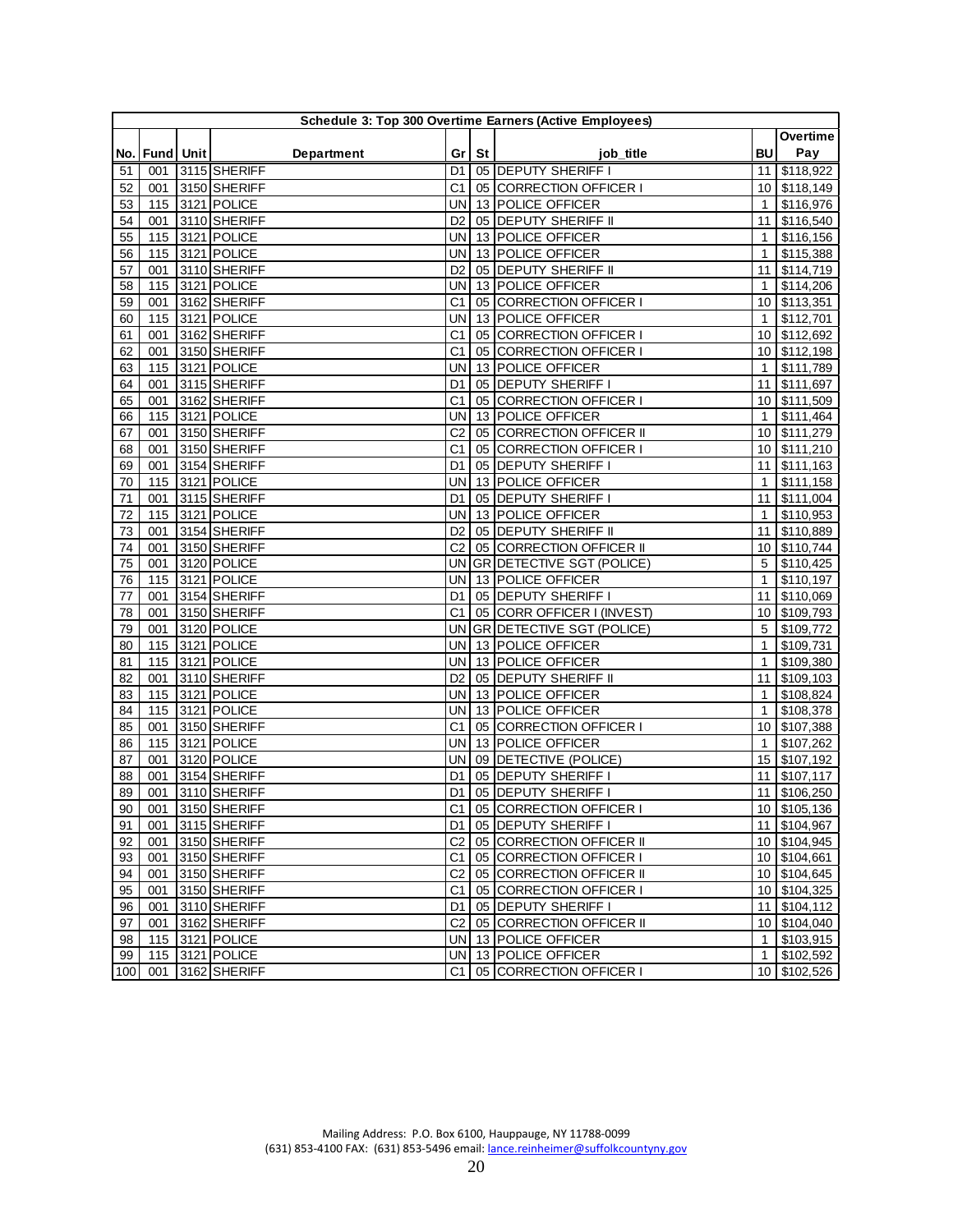|     | Schedule 3: Top 300 Overtime Earners (Active Employees) |  |                   |                |         |                             |                 |              |  |  |
|-----|---------------------------------------------------------|--|-------------------|----------------|---------|-----------------------------|-----------------|--------------|--|--|
|     |                                                         |  |                   |                |         |                             |                 | Overtime     |  |  |
|     | No.   Fund   Unit                                       |  | <b>Department</b> |                | Gr   St | job title                   | <b>BU</b>       | Pay          |  |  |
| 51  | 001                                                     |  | 3115 SHERIFF      | D1 I           |         | 05 DEPUTY SHERIFF I         | 11 <sup>1</sup> | \$118,922    |  |  |
| 52  | 001                                                     |  | 3150 SHERIFF      | C1             |         | 05 CORRECTION OFFICER I     | 10 <sup>1</sup> | \$118,149    |  |  |
| 53  | 115                                                     |  | 3121 POLICE       | <b>UN</b>      |         | 13 POLICE OFFICER           | $\mathbf{1}$    | \$116,976    |  |  |
| 54  | 001                                                     |  | 3110 SHERIFF      | D <sub>2</sub> |         | 05 DEPUTY SHERIFF II        | 11              | \$116,540    |  |  |
| 55  | 115                                                     |  | 3121 POLICE       | UN             |         | 13 POLICE OFFICER           | $\mathbf{1}$    | \$116,156    |  |  |
| 56  | 115                                                     |  | 3121 POLICE       | UN             |         | 13 POLICE OFFICER           | $\mathbf{1}$    | \$115,388    |  |  |
| 57  | 001                                                     |  | 3110 SHERIFF      | D2             |         | 05 DEPUTY SHERIFF II        | 11              | \$114,719    |  |  |
| 58  | 115                                                     |  | 3121 POLICE       | UN             |         | 13 POLICE OFFICER           | $\mathbf{1}$    | \$114,206    |  |  |
| 59  | 001                                                     |  | 3162 SHERIFF      | C <sub>1</sub> |         | 05 CORRECTION OFFICER I     | 10              | \$113,351    |  |  |
| 60  | 115                                                     |  | 3121 POLICE       | UN             |         | 13 POLICE OFFICER           | $\mathbf{1}$    | \$112,701    |  |  |
| 61  | 001                                                     |  | 3162 SHERIFF      | C <sub>1</sub> |         | 05 CORRECTION OFFICER I     | 10 <sup>°</sup> | \$112,692    |  |  |
| 62  | 001                                                     |  | 3150 SHERIFF      | C <sub>1</sub> |         | 05 CORRECTION OFFICER I     | 10              | \$112,198    |  |  |
| 63  | 115                                                     |  | 3121 POLICE       | UN             |         | 13 POLICE OFFICER           | $\mathbf{1}$    | \$111,789    |  |  |
| 64  | 001                                                     |  | 3115 SHERIFF      | D1             |         | 05 DEPUTY SHERIFF I         | 11              | \$111,697    |  |  |
| 65  | 001                                                     |  | 3162 SHERIFF      | C <sub>1</sub> |         | 05 CORRECTION OFFICER I     | 10 <sup>°</sup> | \$111,509    |  |  |
| 66  | 115                                                     |  | 3121 POLICE       | UN             |         | 13 POLICE OFFICER           | $\mathbf{1}$    | \$111,464    |  |  |
| 67  | 001                                                     |  | 3150 SHERIFF      | C <sub>2</sub> |         | 05 CORRECTION OFFICER II    | 10 <sup>1</sup> | \$111,279    |  |  |
| 68  | 001                                                     |  | 3150 SHERIFF      | C <sub>1</sub> |         | 05 CORRECTION OFFICER I     | 10              | \$111,210    |  |  |
| 69  | 001                                                     |  | 3154 SHERIFF      | D1             |         | 05 DEPUTY SHERIFF I         | 11              | \$111,163    |  |  |
| 70  | 115                                                     |  | 3121 POLICE       | UN             |         | 13 POLICE OFFICER           | $\mathbf{1}$    | \$111,158    |  |  |
| 71  | 001                                                     |  | 3115 SHERIFF      | D <sub>1</sub> |         | 05 DEPUTY SHERIFF I         | 11              | \$111,004    |  |  |
| 72  | 115                                                     |  | 3121 POLICE       | UN             |         | 13 POLICE OFFICER           | $\mathbf{1}$    | \$110,953    |  |  |
| 73  | 001                                                     |  | 3154 SHERIFF      | D <sub>2</sub> |         | 05 DEPUTY SHERIFF II        | 11              | \$110,889    |  |  |
| 74  | 001                                                     |  | 3150 SHERIFF      | C <sub>2</sub> |         | 05 CORRECTION OFFICER II    | 10              | \$110,744    |  |  |
| 75  | 001                                                     |  | 3120 POLICE       | UN             |         | GR DETECTIVE SGT (POLICE)   | 5               | \$110,425    |  |  |
| 76  | 115                                                     |  | 3121 POLICE       | UN             |         | 13 POLICE OFFICER           | $\mathbf{1}$    | \$110,197    |  |  |
| 77  | 001                                                     |  | 3154 SHERIFF      | D1             |         | 05 DEPUTY SHERIFF I         | 11              | \$110,069    |  |  |
| 78  | 001                                                     |  | 3150 SHERIFF      | C <sub>1</sub> |         | 05 CORR OFFICER I (INVEST)  | 10 <sup>1</sup> | \$109,793    |  |  |
| 79  | 001                                                     |  | 3120 POLICE       | UN             |         | GR DETECTIVE SGT (POLICE)   | 5               | \$109,772    |  |  |
| 80  | 115                                                     |  | 3121 POLICE       | UN             |         | 13 POLICE OFFICER           | $\mathbf{1}$    | \$109,731    |  |  |
| 81  | 115                                                     |  | 3121 POLICE       | UN             |         | 13 POLICE OFFICER           | $\mathbf{1}$    | \$109,380    |  |  |
| 82  | 001                                                     |  | 3110 SHERIFF      | D <sub>2</sub> |         | 05 DEPUTY SHERIFF II        | 11              | \$109,103    |  |  |
| 83  | 115                                                     |  | 3121 POLICE       | UN             |         | 13 POLICE OFFICER           | $\mathbf{1}$    | \$108,824    |  |  |
| 84  | 115                                                     |  | 3121 POLICE       | UN             |         | 13 POLICE OFFICER           | $\mathbf{1}$    | \$108,378    |  |  |
| 85  | 001                                                     |  | 3150 SHERIFF      | C <sub>1</sub> |         | 05 CORRECTION OFFICER I     | 10 <sup>1</sup> | \$107,388    |  |  |
| 86  | 115                                                     |  | 3121 POLICE       | UN             |         | 13 POLICE OFFICER           | $\mathbf{1}$    | \$107,262    |  |  |
| 87  | 001                                                     |  | 3120 POLICE       | UN             |         | 09 DETECTIVE (POLICE)       | 15              | \$107,192    |  |  |
| 88  | 001                                                     |  | 3154 SHERIFF      | D1             |         | 05 DEPUTY SHERIFF I         | 11              | \$107,117    |  |  |
| 89  | 001                                                     |  | 3110 SHERIFF      | D1             |         | 05 DEPUTY SHERIFF I         | 11              | \$106,250    |  |  |
| 90  |                                                         |  | 001 3150 SHERIFF  | C1             |         | 05 CORRECTION OFFICER I     |                 | 10 \$105,136 |  |  |
| 91  |                                                         |  | 001 3115 SHERIFF  |                |         | D1 05 DEPUTY SHERIFF I      |                 | 11 \$104,967 |  |  |
| 92  | 001                                                     |  | 3150 SHERIFF      | C2             |         | 05 CORRECTION OFFICER II    |                 | 10 \$104,945 |  |  |
| 93  | 001                                                     |  | 3150 SHERIFF      | C1             |         | 05 CORRECTION OFFICER I     |                 | 10 \$104,661 |  |  |
| 94  | 001                                                     |  | 3150 SHERIFF      | C <sub>2</sub> |         | 05 CORRECTION OFFICER II    |                 | 10 \$104,645 |  |  |
| 95  | 001                                                     |  | 3150 SHERIFF      | C1             |         | 05 CORRECTION OFFICER I     |                 | 10 \$104,325 |  |  |
| 96  | 001                                                     |  | 3110 SHERIFF      | D1 I           |         | 05 DEPUTY SHERIFF I         |                 | 11 \$104,112 |  |  |
| 97  | 001                                                     |  | 3162 SHERIFF      |                |         | C2 05 CORRECTION OFFICER II |                 | 10 \$104,040 |  |  |
| 98  |                                                         |  | 115 3121 POLICE   |                |         | UN 13 POLICE OFFICER        |                 | 1 \$103,915  |  |  |
| 99  |                                                         |  | 115 3121 POLICE   |                |         | UN 13 POLICE OFFICER        |                 | 1 \$102,592  |  |  |
| 100 |                                                         |  | 001 3162 SHERIFF  | C1 l           |         | 05 CORRECTION OFFICER I     |                 | 10 \$102,526 |  |  |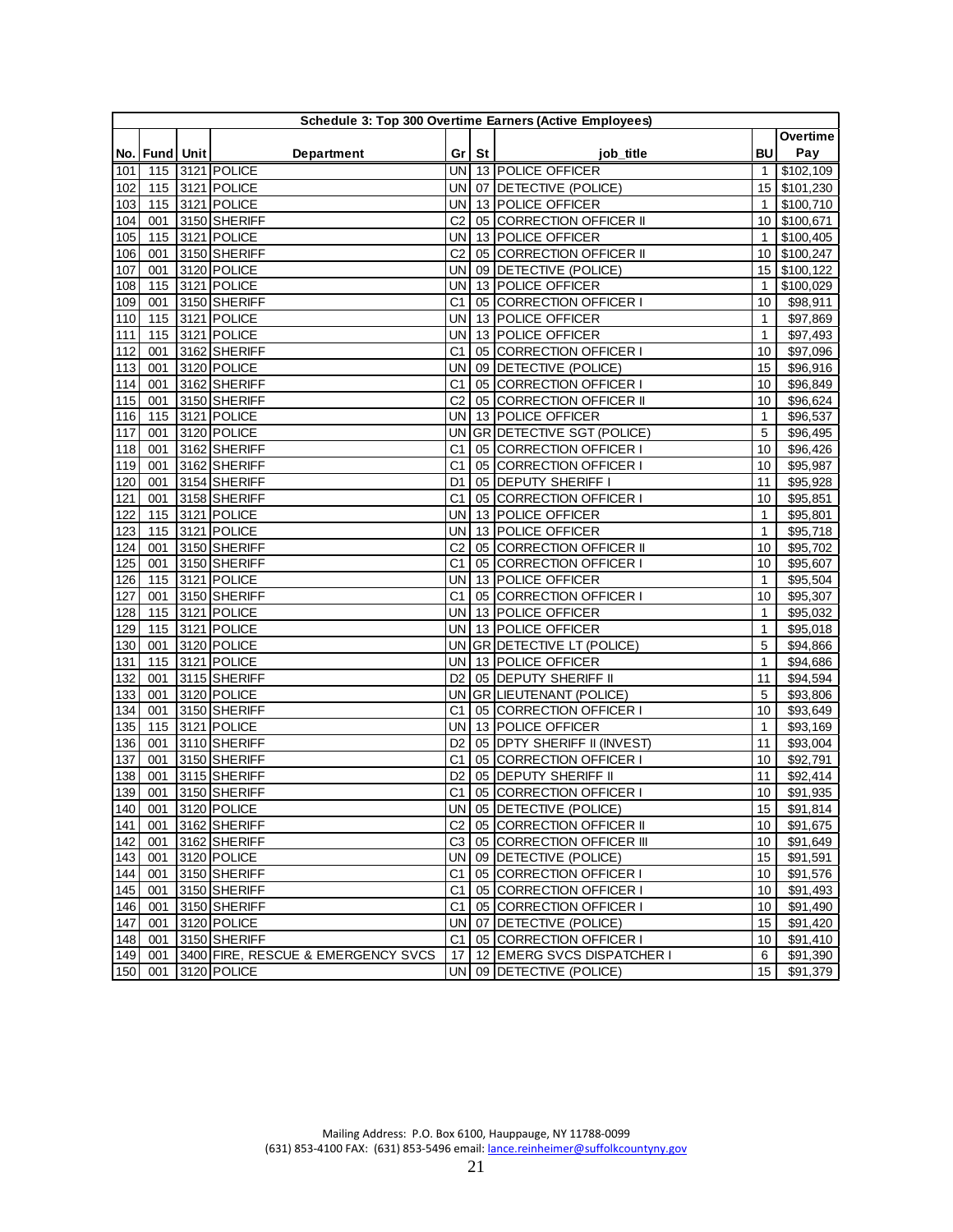|     | Schedule 3: Top 300 Overtime Earners (Active Employees) |  |                                    |                 |         |                                 |                  |                      |  |  |
|-----|---------------------------------------------------------|--|------------------------------------|-----------------|---------|---------------------------------|------------------|----------------------|--|--|
|     |                                                         |  |                                    |                 |         |                                 |                  | Overtime             |  |  |
|     | No.   Fund   Unit                                       |  | Department                         |                 | Gr   St | job title                       | BU               | Pay                  |  |  |
| 101 |                                                         |  | 115 3121 POLICE                    |                 |         | UN 13 POLICE OFFICER            | 1                | \$102,109            |  |  |
| 102 |                                                         |  | 115 3121 POLICE                    | UN <sup>I</sup> |         | 07 DETECTIVE (POLICE)           | 15               | \$101,230            |  |  |
| 103 | 115                                                     |  | 3121 POLICE                        | UNI             |         | 13 POLICE OFFICER               | $\mathbf{1}$     | \$100,710            |  |  |
| 104 | 001                                                     |  | 3150 SHERIFF                       | C <sub>2</sub>  |         | 05 CORRECTION OFFICER II        | 10               | \$100,671            |  |  |
| 105 | 115                                                     |  | 3121 POLICE                        | UN              |         | 13 POLICE OFFICER               | $\mathbf{1}$     | \$100,405            |  |  |
| 106 | 001                                                     |  | 3150 SHERIFF                       | C <sub>2</sub>  |         | 05 CORRECTION OFFICER II        | 10               | \$100,247            |  |  |
| 107 | 001                                                     |  | 3120 POLICE                        | <b>UN</b>       |         | 09 DETECTIVE (POLICE)           | 15               | \$100,122            |  |  |
| 108 | 115                                                     |  | 3121 POLICE                        | UN              |         | 13 POLICE OFFICER               | $\mathbf{1}$     | \$100,029            |  |  |
| 109 | 001                                                     |  | 3150 SHERIFF                       | C <sub>1</sub>  |         | 05 CORRECTION OFFICER I         | 10               | \$98,911             |  |  |
| 110 | 115                                                     |  | 3121 POLICE                        | UN              |         | 13 POLICE OFFICER               | $\mathbf{1}$     | \$97,869             |  |  |
| 111 | 115                                                     |  | 3121 POLICE                        | UN              |         | 13 POLICE OFFICER               | $\mathbf{1}$     | \$97,493             |  |  |
| 112 | 001                                                     |  | 3162 SHERIFF                       | C <sub>1</sub>  |         | 05 CORRECTION OFFICER I         | 10               | \$97,096             |  |  |
| 113 | 001                                                     |  | 3120 POLICE                        | UN              |         | 09 DETECTIVE (POLICE)           | 15               | \$96,916             |  |  |
| 114 | 001                                                     |  | 3162 SHERIFF                       | C <sub>1</sub>  |         | 05 CORRECTION OFFICER I         | 10               | \$96,849             |  |  |
| 115 | 001                                                     |  | 3150 SHERIFF                       | C <sub>2</sub>  |         | 05 CORRECTION OFFICER II        | 10               | \$96,624             |  |  |
| 116 | 115                                                     |  | 3121 POLICE                        | UN              |         | 13 POLICE OFFICER               | $\mathbf{1}$     | \$96,537             |  |  |
| 117 | 001                                                     |  | 3120 POLICE                        | UN              |         | GR DETECTIVE SGT (POLICE)       | 5                | \$96,495             |  |  |
| 118 | 001                                                     |  | 3162 SHERIFF                       | C1              |         | 05 CORRECTION OFFICER I         | 10               | \$96,426             |  |  |
| 119 | 001                                                     |  | 3162 SHERIFF                       | C <sub>1</sub>  |         | 05 CORRECTION OFFICER I         | 10               | \$95,987             |  |  |
| 120 | 001                                                     |  | 3154 SHERIFF                       | D1              |         | 05 DEPUTY SHERIFF I             | 11               | \$95,928             |  |  |
| 121 | 001                                                     |  | 3158 SHERIFF                       | C <sub>1</sub>  |         | 05 CORRECTION OFFICER I         | 10               | \$95,851             |  |  |
| 122 | 115                                                     |  | 3121 POLICE                        | <b>UN</b>       |         | 13 POLICE OFFICER               | $\mathbf{1}$     | \$95,801             |  |  |
| 123 | 115                                                     |  | 3121 POLICE                        | UN              |         | 13 POLICE OFFICER               | $\mathbf{1}$     | \$95,718             |  |  |
| 124 | 001                                                     |  | 3150 SHERIFF                       | C <sub>2</sub>  |         | 05 CORRECTION OFFICER II        | 10               | \$95,702             |  |  |
| 125 | 001                                                     |  | 3150 SHERIFF                       | C <sub>1</sub>  |         | 05 CORRECTION OFFICER I         | 10               | \$95,607             |  |  |
| 126 | 115                                                     |  | 3121 POLICE                        | UN              |         | 13 POLICE OFFICER               | 1                | \$95,504             |  |  |
| 127 | 001                                                     |  | 3150 SHERIFF                       | C1              |         | 05 CORRECTION OFFICER I         | 10               | \$95,307             |  |  |
| 128 | 115                                                     |  | 3121 POLICE                        | UN.             |         | 13 POLICE OFFICER               | $\mathbf{1}$     | \$95,032             |  |  |
| 129 | 115                                                     |  | 3121 POLICE                        | UN              |         | 13 POLICE OFFICER               | 1                | \$95,018             |  |  |
| 130 | 001                                                     |  | 3120 POLICE                        | UN              |         | <b>GR DETECTIVE LT (POLICE)</b> | 5                | \$94,866             |  |  |
| 131 | 115                                                     |  | 3121 POLICE                        | UN              |         | 13 POLICE OFFICER               | $\mathbf{1}$     | \$94,686             |  |  |
| 132 | 001                                                     |  | 3115 SHERIFF                       | D <sub>2</sub>  |         | 05 DEPUTY SHERIFF II            | 11               | \$94,594             |  |  |
| 133 | 001                                                     |  | 3120 POLICE                        | UN              |         | GR LIEUTENANT (POLICE)          | 5                | \$93,806             |  |  |
| 134 | 001                                                     |  | 3150 SHERIFF                       | C1              |         | 05 CORRECTION OFFICER I         | 10               | \$93,649             |  |  |
| 135 | 115                                                     |  | 3121 POLICE                        | UN              |         | 13 POLICE OFFICER               | $\mathbf{1}$     | \$93,169             |  |  |
| 136 | 001                                                     |  | 3110 SHERIFF                       | D <sub>2</sub>  |         | 05 DPTY SHERIFF II (INVEST)     | 11               | \$93,004             |  |  |
| 137 | 001                                                     |  | 3150 SHERIFF                       | C <sub>1</sub>  |         | 05 CORRECTION OFFICER I         | 10               | \$92,791             |  |  |
| 138 | 001                                                     |  | 3115 SHERIFF                       | D2              |         | 05 DEPUTY SHERIFF II            | 11               | \$92,414             |  |  |
| 139 | 001                                                     |  | 3150 SHERIFF                       | C1              |         | 05 CORRECTION OFFICER I         | 10               | \$91,935             |  |  |
| 140 | 001                                                     |  | 3120 POLICE                        |                 |         | UN 05 DETECTIVE (POLICE)        | 15               | \$91,814             |  |  |
|     | $141$ 001                                               |  | 3162 SHERIFF                       |                 |         | C2 05 CORRECTION OFFICER II     | 10               | \$91,675             |  |  |
| 142 | 001                                                     |  | 3162 SHERIFF                       |                 |         | C3 05 CORRECTION OFFICER III    | 10               | \$91,649             |  |  |
| 143 | 001                                                     |  | 3120 POLICE                        |                 |         | UN 09 DETECTIVE (POLICE)        | 15 <sup>15</sup> | \$91,591             |  |  |
| 144 | 001                                                     |  | 3150 SHERIFF                       | C1              |         | 05 CORRECTION OFFICER I         | 10 <sup>1</sup>  | $\overline{$91,576}$ |  |  |
| 145 | 001                                                     |  | 3150 SHERIFF                       | C1              |         | 05 CORRECTION OFFICER I         | 10 <sup>1</sup>  | \$91,493             |  |  |
| 146 | 001                                                     |  | 3150 SHERIFF                       | C1              |         | 05 CORRECTION OFFICER I         | 10 <sup>1</sup>  | \$91,490             |  |  |
| 147 | 001                                                     |  | 3120 POLICE                        |                 |         | UN 07 DETECTIVE (POLICE)        | 15               | \$91,420             |  |  |
| 148 | 001                                                     |  | 3150 SHERIFF                       | C1              |         | 05 CORRECTION OFFICER I         | 10 <sup>1</sup>  | \$91,410             |  |  |
| 149 | 001                                                     |  | 3400 FIRE, RESCUE & EMERGENCY SVCS | 17 <sup>1</sup> |         | 12 EMERG SVCS DISPATCHER I      | 6                | \$91,390             |  |  |
| 150 | 001                                                     |  | 3120 POLICE                        |                 |         | UN 09 DETECTIVE (POLICE)        | 15               | \$91,379             |  |  |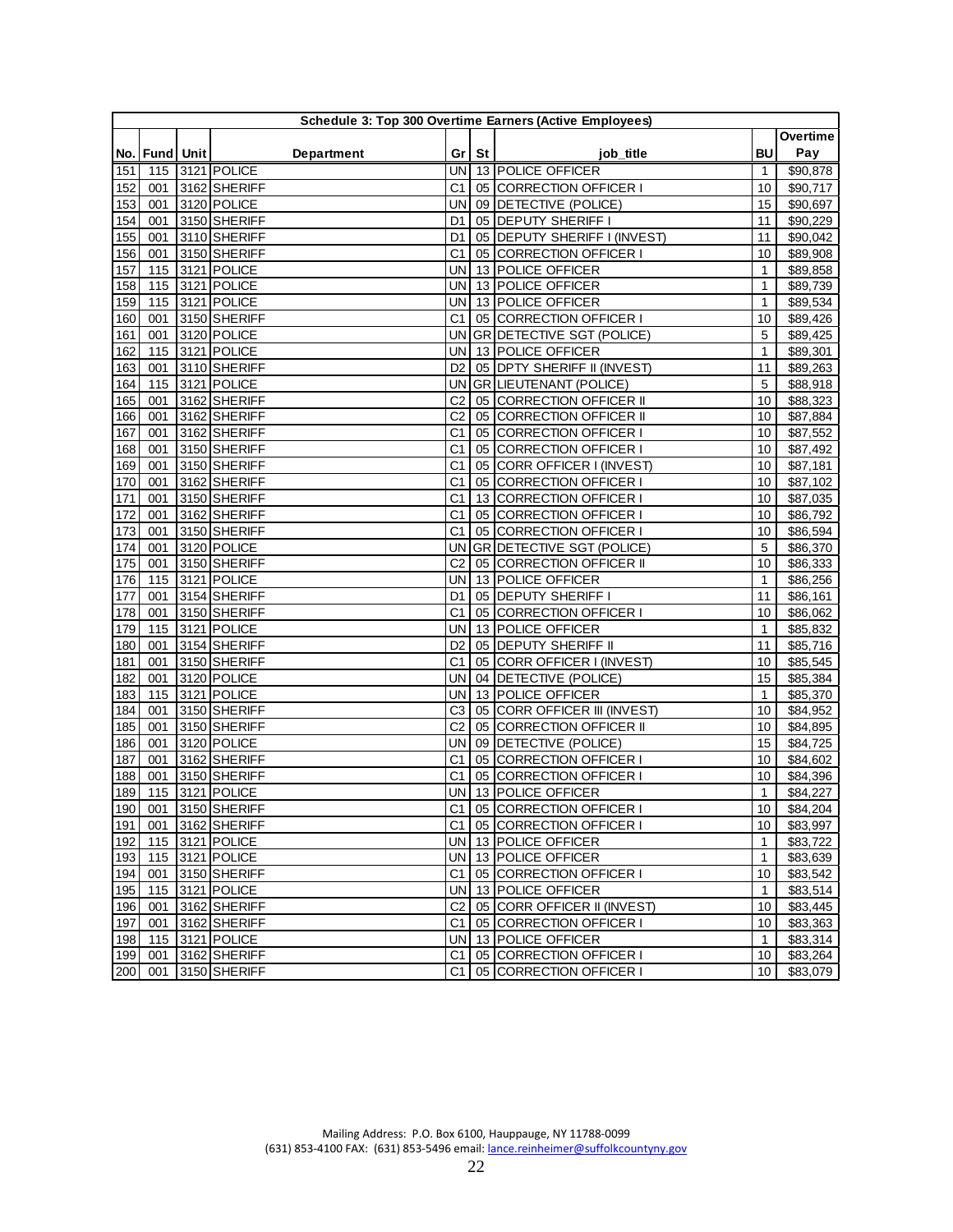| Pay<br><b>BU</b><br>No.   Fund   Unit  <br><b>Department</b><br>Gr   St  <br>job title<br>$\overline{$90,878}$<br>115<br>3121 POLICE<br>UNI<br>13 POLICE OFFICER<br>151<br>1<br>152<br>3162 SHERIFF<br>C1<br>05 CORRECTION OFFICER I<br>$\sqrt{$}90,717$<br>001<br>10<br>09 DETECTIVE (POLICE)<br>153<br>3120 POLICE<br>15<br>\$90,697<br>001<br>UN<br>3150 SHERIFF<br>05 DEPUTY SHERIFF I<br>154<br>001<br>\$90,229<br>D1<br>11<br>155<br>3110 SHERIFF<br>05 DEPUTY SHERIFF I (INVEST)<br>11<br>\$90,042<br>001<br>D1<br>156<br>05 CORRECTION OFFICER I<br>\$89,908<br>001<br>3150 SHERIFF<br>C1<br>10<br>13 POLICE OFFICER<br>115<br>3121 POLICE<br>$\mathbf{1}$<br>\$89,858<br>157<br>UN<br>3121 POLICE<br>13 POLICE OFFICER<br>\$89,739<br>158<br>115<br>UN<br>$\mathbf{1}$<br>\$89,534<br>159<br>115<br>3121 POLICE<br>13 POLICE OFFICER<br>1<br>UN<br>3150 SHERIFF<br>05 CORRECTION OFFICER I<br>\$89,426<br>160<br>001<br>C1<br>10<br><b>GR DETECTIVE SGT (POLICE)</b><br>3120 POLICE<br>5<br>\$89,425<br>161<br>001<br>UN<br>13 POLICE OFFICER<br>162<br>115<br>3121 POLICE<br>UN<br>$\mathbf{1}$<br>\$89,301<br>163<br>3110 SHERIFF<br>D <sub>2</sub><br>05 DPTY SHERIFF II (INVEST)<br>11<br>\$89,263<br>001<br>3121 POLICE<br>GR LIEUTENANT (POLICE)<br>5<br>\$88,918<br>164<br>115<br>UN<br>05 CORRECTION OFFICER II<br>165<br>001<br>3162 SHERIFF<br>C <sub>2</sub><br>10<br>\$88,323<br>3162 SHERIFF<br>C <sub>2</sub><br>\$87,884<br>166<br>001<br>05 CORRECTION OFFICER II<br>10<br>\$87,552<br>167<br>3162 SHERIFF<br>C1<br>05 CORRECTION OFFICER I<br>001<br>10<br>\$87,492<br>168<br>3150 SHERIFF<br>C <sub>1</sub><br>05 CORRECTION OFFICER I<br>001<br>10<br>\$87,181<br>169<br>3150 SHERIFF<br>C <sub>1</sub><br>05 CORR OFFICER I (INVEST)<br>001<br>10<br>170<br>001<br>3162 SHERIFF<br>C <sub>1</sub><br>05 CORRECTION OFFICER I<br>\$87,102<br>10<br>171<br>3150 SHERIFF<br>C <sub>1</sub><br>13 CORRECTION OFFICER I<br>\$87,035<br>001<br>10<br>172<br>001<br>3162 SHERIFF<br>C <sub>1</sub><br>05 CORRECTION OFFICER I<br>\$86,792<br>10<br>05 CORRECTION OFFICER I<br>\$86,594<br>173<br>3150 SHERIFF<br>C <sub>1</sub><br>001<br>10<br>3120 POLICE<br>\$86,370<br>174<br>001<br>UN<br>GR DETECTIVE SGT (POLICE)<br>5<br>175<br>3150 SHERIFF<br>C <sub>2</sub><br>05 CORRECTION OFFICER II<br>\$86,333<br>001<br>10<br>176<br>3121 POLICE<br>13 POLICE OFFICER<br>\$86,256<br>115<br>UN<br>$\mathbf{1}$<br>05 DEPUTY SHERIFF I<br>\$86,161<br>001<br>3154 SHERIFF<br>11<br>177<br>D1<br>178<br>001<br>3150 SHERIFF<br>C <sub>1</sub><br>05 CORRECTION OFFICER I<br>\$86,062<br>10<br>115<br>3121 POLICE<br>13 POLICE OFFICER<br>$\mathbf{1}$<br>\$85,832<br>179<br>UN<br>180<br>001<br>3154 SHERIFF<br>05 DEPUTY SHERIFF II<br>11<br>\$85,716<br>D <sub>2</sub><br>05 CORR OFFICER I (INVEST)<br>\$85,545<br>001<br>3150 SHERIFF<br>C <sub>1</sub><br>10<br>181<br>\$85,384<br>182<br>001<br>3120 POLICE<br>UN<br>04 DETECTIVE (POLICE)<br>15<br>183<br>3121 POLICE<br>13 POLICE OFFICER<br>\$85,370<br>115<br>UN<br>$\mathbf{1}$<br>184<br>3150 SHERIFF<br>C3<br>05 CORR OFFICER III (INVEST)<br>10<br>\$84,952<br>001<br>185<br>001<br>3150 SHERIFF<br>C <sub>2</sub><br>05 CORRECTION OFFICER II<br>10<br>\$84,895<br>186<br>001<br>3120 POLICE<br><b>UN</b><br>09 DETECTIVE (POLICE)<br>\$84,725<br>15<br>3162 SHERIFF<br>C <sub>1</sub><br>05 CORRECTION OFFICER I<br>\$84,602<br>187<br>001<br>10<br>188<br>3150 SHERIFF<br>05 CORRECTION OFFICER I<br>\$84,396<br>001<br>C1<br>10<br>3121 POLICE<br>13 POLICE OFFICER<br>189<br>115<br>UN<br>\$84,227<br>$\mathbf{1}$<br>190<br>001 3150 SHERIFF<br>C1<br>05 CORRECTION OFFICER I<br>10<br>\$84,204<br>191 001 3162 SHERIFF<br>C1 05 CORRECTION OFFICER I<br>10<br>\$83,997<br>115 3121 POLICE<br>UN 13 POLICE OFFICER<br>\$83,722<br>192<br>$\mathbf{1}$<br>193<br>115 3121 POLICE<br>UN 13 POLICE OFFICER<br>$\mathbf{1}$<br>\$83,639<br>194<br>001<br>3150 SHERIFF<br>C1<br>05 CORRECTION OFFICER I<br>\$83,542<br>10<br>195<br>115 3121 POLICE<br>13 POLICE OFFICER<br>\$83,514<br>UNI<br>$\mathbf{1}$<br>196<br>C <sub>2</sub><br>05 CORR OFFICER II (INVEST)<br>\$83,445<br>001<br>3162 SHERIFF<br>10<br>3162 SHERIFF<br>05 CORRECTION OFFICER I<br>\$83,363<br>197<br>001<br>C1<br>10<br>198<br>115 3121 POLICE<br>UN 13 POLICE OFFICER<br>\$83,314<br>$\mathbf{1}$<br>199<br>001 3162 SHERIFF<br>C1 05 CORRECTION OFFICER I<br>\$83,264<br>10 <sub>1</sub><br>001 3150 SHERIFF<br>05 CORRECTION OFFICER I<br>200<br>C1 l<br>10 <sup>1</sup><br>\$83,079 |  |  |  | Schedule 3: Top 300 Overtime Earners (Active Employees) |          |
|------------------------------------------------------------------------------------------------------------------------------------------------------------------------------------------------------------------------------------------------------------------------------------------------------------------------------------------------------------------------------------------------------------------------------------------------------------------------------------------------------------------------------------------------------------------------------------------------------------------------------------------------------------------------------------------------------------------------------------------------------------------------------------------------------------------------------------------------------------------------------------------------------------------------------------------------------------------------------------------------------------------------------------------------------------------------------------------------------------------------------------------------------------------------------------------------------------------------------------------------------------------------------------------------------------------------------------------------------------------------------------------------------------------------------------------------------------------------------------------------------------------------------------------------------------------------------------------------------------------------------------------------------------------------------------------------------------------------------------------------------------------------------------------------------------------------------------------------------------------------------------------------------------------------------------------------------------------------------------------------------------------------------------------------------------------------------------------------------------------------------------------------------------------------------------------------------------------------------------------------------------------------------------------------------------------------------------------------------------------------------------------------------------------------------------------------------------------------------------------------------------------------------------------------------------------------------------------------------------------------------------------------------------------------------------------------------------------------------------------------------------------------------------------------------------------------------------------------------------------------------------------------------------------------------------------------------------------------------------------------------------------------------------------------------------------------------------------------------------------------------------------------------------------------------------------------------------------------------------------------------------------------------------------------------------------------------------------------------------------------------------------------------------------------------------------------------------------------------------------------------------------------------------------------------------------------------------------------------------------------------------------------------------------------------------------------------------------------------------------------------------------------------------------------------------------------------------------------------------------------------------------------------------------------------------------------------------------------------------------------------------------------------------------------------------------------------------------------------------------------------------------------------------------------------------------------------------------------------------------------------------------------------------------------------------------------------------------------------------------------------------------------------------------------------------------------------------------------------------------------------------------------------------------------------|--|--|--|---------------------------------------------------------|----------|
|                                                                                                                                                                                                                                                                                                                                                                                                                                                                                                                                                                                                                                                                                                                                                                                                                                                                                                                                                                                                                                                                                                                                                                                                                                                                                                                                                                                                                                                                                                                                                                                                                                                                                                                                                                                                                                                                                                                                                                                                                                                                                                                                                                                                                                                                                                                                                                                                                                                                                                                                                                                                                                                                                                                                                                                                                                                                                                                                                                                                                                                                                                                                                                                                                                                                                                                                                                                                                                                                                                                                                                                                                                                                                                                                                                                                                                                                                                                                                                                                                                                                                                                                                                                                                                                                                                                                                                                                                                                                                                                                                      |  |  |  |                                                         | Overtime |
|                                                                                                                                                                                                                                                                                                                                                                                                                                                                                                                                                                                                                                                                                                                                                                                                                                                                                                                                                                                                                                                                                                                                                                                                                                                                                                                                                                                                                                                                                                                                                                                                                                                                                                                                                                                                                                                                                                                                                                                                                                                                                                                                                                                                                                                                                                                                                                                                                                                                                                                                                                                                                                                                                                                                                                                                                                                                                                                                                                                                                                                                                                                                                                                                                                                                                                                                                                                                                                                                                                                                                                                                                                                                                                                                                                                                                                                                                                                                                                                                                                                                                                                                                                                                                                                                                                                                                                                                                                                                                                                                                      |  |  |  |                                                         |          |
|                                                                                                                                                                                                                                                                                                                                                                                                                                                                                                                                                                                                                                                                                                                                                                                                                                                                                                                                                                                                                                                                                                                                                                                                                                                                                                                                                                                                                                                                                                                                                                                                                                                                                                                                                                                                                                                                                                                                                                                                                                                                                                                                                                                                                                                                                                                                                                                                                                                                                                                                                                                                                                                                                                                                                                                                                                                                                                                                                                                                                                                                                                                                                                                                                                                                                                                                                                                                                                                                                                                                                                                                                                                                                                                                                                                                                                                                                                                                                                                                                                                                                                                                                                                                                                                                                                                                                                                                                                                                                                                                                      |  |  |  |                                                         |          |
|                                                                                                                                                                                                                                                                                                                                                                                                                                                                                                                                                                                                                                                                                                                                                                                                                                                                                                                                                                                                                                                                                                                                                                                                                                                                                                                                                                                                                                                                                                                                                                                                                                                                                                                                                                                                                                                                                                                                                                                                                                                                                                                                                                                                                                                                                                                                                                                                                                                                                                                                                                                                                                                                                                                                                                                                                                                                                                                                                                                                                                                                                                                                                                                                                                                                                                                                                                                                                                                                                                                                                                                                                                                                                                                                                                                                                                                                                                                                                                                                                                                                                                                                                                                                                                                                                                                                                                                                                                                                                                                                                      |  |  |  |                                                         |          |
|                                                                                                                                                                                                                                                                                                                                                                                                                                                                                                                                                                                                                                                                                                                                                                                                                                                                                                                                                                                                                                                                                                                                                                                                                                                                                                                                                                                                                                                                                                                                                                                                                                                                                                                                                                                                                                                                                                                                                                                                                                                                                                                                                                                                                                                                                                                                                                                                                                                                                                                                                                                                                                                                                                                                                                                                                                                                                                                                                                                                                                                                                                                                                                                                                                                                                                                                                                                                                                                                                                                                                                                                                                                                                                                                                                                                                                                                                                                                                                                                                                                                                                                                                                                                                                                                                                                                                                                                                                                                                                                                                      |  |  |  |                                                         |          |
|                                                                                                                                                                                                                                                                                                                                                                                                                                                                                                                                                                                                                                                                                                                                                                                                                                                                                                                                                                                                                                                                                                                                                                                                                                                                                                                                                                                                                                                                                                                                                                                                                                                                                                                                                                                                                                                                                                                                                                                                                                                                                                                                                                                                                                                                                                                                                                                                                                                                                                                                                                                                                                                                                                                                                                                                                                                                                                                                                                                                                                                                                                                                                                                                                                                                                                                                                                                                                                                                                                                                                                                                                                                                                                                                                                                                                                                                                                                                                                                                                                                                                                                                                                                                                                                                                                                                                                                                                                                                                                                                                      |  |  |  |                                                         |          |
|                                                                                                                                                                                                                                                                                                                                                                                                                                                                                                                                                                                                                                                                                                                                                                                                                                                                                                                                                                                                                                                                                                                                                                                                                                                                                                                                                                                                                                                                                                                                                                                                                                                                                                                                                                                                                                                                                                                                                                                                                                                                                                                                                                                                                                                                                                                                                                                                                                                                                                                                                                                                                                                                                                                                                                                                                                                                                                                                                                                                                                                                                                                                                                                                                                                                                                                                                                                                                                                                                                                                                                                                                                                                                                                                                                                                                                                                                                                                                                                                                                                                                                                                                                                                                                                                                                                                                                                                                                                                                                                                                      |  |  |  |                                                         |          |
|                                                                                                                                                                                                                                                                                                                                                                                                                                                                                                                                                                                                                                                                                                                                                                                                                                                                                                                                                                                                                                                                                                                                                                                                                                                                                                                                                                                                                                                                                                                                                                                                                                                                                                                                                                                                                                                                                                                                                                                                                                                                                                                                                                                                                                                                                                                                                                                                                                                                                                                                                                                                                                                                                                                                                                                                                                                                                                                                                                                                                                                                                                                                                                                                                                                                                                                                                                                                                                                                                                                                                                                                                                                                                                                                                                                                                                                                                                                                                                                                                                                                                                                                                                                                                                                                                                                                                                                                                                                                                                                                                      |  |  |  |                                                         |          |
|                                                                                                                                                                                                                                                                                                                                                                                                                                                                                                                                                                                                                                                                                                                                                                                                                                                                                                                                                                                                                                                                                                                                                                                                                                                                                                                                                                                                                                                                                                                                                                                                                                                                                                                                                                                                                                                                                                                                                                                                                                                                                                                                                                                                                                                                                                                                                                                                                                                                                                                                                                                                                                                                                                                                                                                                                                                                                                                                                                                                                                                                                                                                                                                                                                                                                                                                                                                                                                                                                                                                                                                                                                                                                                                                                                                                                                                                                                                                                                                                                                                                                                                                                                                                                                                                                                                                                                                                                                                                                                                                                      |  |  |  |                                                         |          |
|                                                                                                                                                                                                                                                                                                                                                                                                                                                                                                                                                                                                                                                                                                                                                                                                                                                                                                                                                                                                                                                                                                                                                                                                                                                                                                                                                                                                                                                                                                                                                                                                                                                                                                                                                                                                                                                                                                                                                                                                                                                                                                                                                                                                                                                                                                                                                                                                                                                                                                                                                                                                                                                                                                                                                                                                                                                                                                                                                                                                                                                                                                                                                                                                                                                                                                                                                                                                                                                                                                                                                                                                                                                                                                                                                                                                                                                                                                                                                                                                                                                                                                                                                                                                                                                                                                                                                                                                                                                                                                                                                      |  |  |  |                                                         |          |
|                                                                                                                                                                                                                                                                                                                                                                                                                                                                                                                                                                                                                                                                                                                                                                                                                                                                                                                                                                                                                                                                                                                                                                                                                                                                                                                                                                                                                                                                                                                                                                                                                                                                                                                                                                                                                                                                                                                                                                                                                                                                                                                                                                                                                                                                                                                                                                                                                                                                                                                                                                                                                                                                                                                                                                                                                                                                                                                                                                                                                                                                                                                                                                                                                                                                                                                                                                                                                                                                                                                                                                                                                                                                                                                                                                                                                                                                                                                                                                                                                                                                                                                                                                                                                                                                                                                                                                                                                                                                                                                                                      |  |  |  |                                                         |          |
|                                                                                                                                                                                                                                                                                                                                                                                                                                                                                                                                                                                                                                                                                                                                                                                                                                                                                                                                                                                                                                                                                                                                                                                                                                                                                                                                                                                                                                                                                                                                                                                                                                                                                                                                                                                                                                                                                                                                                                                                                                                                                                                                                                                                                                                                                                                                                                                                                                                                                                                                                                                                                                                                                                                                                                                                                                                                                                                                                                                                                                                                                                                                                                                                                                                                                                                                                                                                                                                                                                                                                                                                                                                                                                                                                                                                                                                                                                                                                                                                                                                                                                                                                                                                                                                                                                                                                                                                                                                                                                                                                      |  |  |  |                                                         |          |
|                                                                                                                                                                                                                                                                                                                                                                                                                                                                                                                                                                                                                                                                                                                                                                                                                                                                                                                                                                                                                                                                                                                                                                                                                                                                                                                                                                                                                                                                                                                                                                                                                                                                                                                                                                                                                                                                                                                                                                                                                                                                                                                                                                                                                                                                                                                                                                                                                                                                                                                                                                                                                                                                                                                                                                                                                                                                                                                                                                                                                                                                                                                                                                                                                                                                                                                                                                                                                                                                                                                                                                                                                                                                                                                                                                                                                                                                                                                                                                                                                                                                                                                                                                                                                                                                                                                                                                                                                                                                                                                                                      |  |  |  |                                                         |          |
|                                                                                                                                                                                                                                                                                                                                                                                                                                                                                                                                                                                                                                                                                                                                                                                                                                                                                                                                                                                                                                                                                                                                                                                                                                                                                                                                                                                                                                                                                                                                                                                                                                                                                                                                                                                                                                                                                                                                                                                                                                                                                                                                                                                                                                                                                                                                                                                                                                                                                                                                                                                                                                                                                                                                                                                                                                                                                                                                                                                                                                                                                                                                                                                                                                                                                                                                                                                                                                                                                                                                                                                                                                                                                                                                                                                                                                                                                                                                                                                                                                                                                                                                                                                                                                                                                                                                                                                                                                                                                                                                                      |  |  |  |                                                         |          |
|                                                                                                                                                                                                                                                                                                                                                                                                                                                                                                                                                                                                                                                                                                                                                                                                                                                                                                                                                                                                                                                                                                                                                                                                                                                                                                                                                                                                                                                                                                                                                                                                                                                                                                                                                                                                                                                                                                                                                                                                                                                                                                                                                                                                                                                                                                                                                                                                                                                                                                                                                                                                                                                                                                                                                                                                                                                                                                                                                                                                                                                                                                                                                                                                                                                                                                                                                                                                                                                                                                                                                                                                                                                                                                                                                                                                                                                                                                                                                                                                                                                                                                                                                                                                                                                                                                                                                                                                                                                                                                                                                      |  |  |  |                                                         |          |
|                                                                                                                                                                                                                                                                                                                                                                                                                                                                                                                                                                                                                                                                                                                                                                                                                                                                                                                                                                                                                                                                                                                                                                                                                                                                                                                                                                                                                                                                                                                                                                                                                                                                                                                                                                                                                                                                                                                                                                                                                                                                                                                                                                                                                                                                                                                                                                                                                                                                                                                                                                                                                                                                                                                                                                                                                                                                                                                                                                                                                                                                                                                                                                                                                                                                                                                                                                                                                                                                                                                                                                                                                                                                                                                                                                                                                                                                                                                                                                                                                                                                                                                                                                                                                                                                                                                                                                                                                                                                                                                                                      |  |  |  |                                                         |          |
|                                                                                                                                                                                                                                                                                                                                                                                                                                                                                                                                                                                                                                                                                                                                                                                                                                                                                                                                                                                                                                                                                                                                                                                                                                                                                                                                                                                                                                                                                                                                                                                                                                                                                                                                                                                                                                                                                                                                                                                                                                                                                                                                                                                                                                                                                                                                                                                                                                                                                                                                                                                                                                                                                                                                                                                                                                                                                                                                                                                                                                                                                                                                                                                                                                                                                                                                                                                                                                                                                                                                                                                                                                                                                                                                                                                                                                                                                                                                                                                                                                                                                                                                                                                                                                                                                                                                                                                                                                                                                                                                                      |  |  |  |                                                         |          |
|                                                                                                                                                                                                                                                                                                                                                                                                                                                                                                                                                                                                                                                                                                                                                                                                                                                                                                                                                                                                                                                                                                                                                                                                                                                                                                                                                                                                                                                                                                                                                                                                                                                                                                                                                                                                                                                                                                                                                                                                                                                                                                                                                                                                                                                                                                                                                                                                                                                                                                                                                                                                                                                                                                                                                                                                                                                                                                                                                                                                                                                                                                                                                                                                                                                                                                                                                                                                                                                                                                                                                                                                                                                                                                                                                                                                                                                                                                                                                                                                                                                                                                                                                                                                                                                                                                                                                                                                                                                                                                                                                      |  |  |  |                                                         |          |
|                                                                                                                                                                                                                                                                                                                                                                                                                                                                                                                                                                                                                                                                                                                                                                                                                                                                                                                                                                                                                                                                                                                                                                                                                                                                                                                                                                                                                                                                                                                                                                                                                                                                                                                                                                                                                                                                                                                                                                                                                                                                                                                                                                                                                                                                                                                                                                                                                                                                                                                                                                                                                                                                                                                                                                                                                                                                                                                                                                                                                                                                                                                                                                                                                                                                                                                                                                                                                                                                                                                                                                                                                                                                                                                                                                                                                                                                                                                                                                                                                                                                                                                                                                                                                                                                                                                                                                                                                                                                                                                                                      |  |  |  |                                                         |          |
|                                                                                                                                                                                                                                                                                                                                                                                                                                                                                                                                                                                                                                                                                                                                                                                                                                                                                                                                                                                                                                                                                                                                                                                                                                                                                                                                                                                                                                                                                                                                                                                                                                                                                                                                                                                                                                                                                                                                                                                                                                                                                                                                                                                                                                                                                                                                                                                                                                                                                                                                                                                                                                                                                                                                                                                                                                                                                                                                                                                                                                                                                                                                                                                                                                                                                                                                                                                                                                                                                                                                                                                                                                                                                                                                                                                                                                                                                                                                                                                                                                                                                                                                                                                                                                                                                                                                                                                                                                                                                                                                                      |  |  |  |                                                         |          |
|                                                                                                                                                                                                                                                                                                                                                                                                                                                                                                                                                                                                                                                                                                                                                                                                                                                                                                                                                                                                                                                                                                                                                                                                                                                                                                                                                                                                                                                                                                                                                                                                                                                                                                                                                                                                                                                                                                                                                                                                                                                                                                                                                                                                                                                                                                                                                                                                                                                                                                                                                                                                                                                                                                                                                                                                                                                                                                                                                                                                                                                                                                                                                                                                                                                                                                                                                                                                                                                                                                                                                                                                                                                                                                                                                                                                                                                                                                                                                                                                                                                                                                                                                                                                                                                                                                                                                                                                                                                                                                                                                      |  |  |  |                                                         |          |
|                                                                                                                                                                                                                                                                                                                                                                                                                                                                                                                                                                                                                                                                                                                                                                                                                                                                                                                                                                                                                                                                                                                                                                                                                                                                                                                                                                                                                                                                                                                                                                                                                                                                                                                                                                                                                                                                                                                                                                                                                                                                                                                                                                                                                                                                                                                                                                                                                                                                                                                                                                                                                                                                                                                                                                                                                                                                                                                                                                                                                                                                                                                                                                                                                                                                                                                                                                                                                                                                                                                                                                                                                                                                                                                                                                                                                                                                                                                                                                                                                                                                                                                                                                                                                                                                                                                                                                                                                                                                                                                                                      |  |  |  |                                                         |          |
|                                                                                                                                                                                                                                                                                                                                                                                                                                                                                                                                                                                                                                                                                                                                                                                                                                                                                                                                                                                                                                                                                                                                                                                                                                                                                                                                                                                                                                                                                                                                                                                                                                                                                                                                                                                                                                                                                                                                                                                                                                                                                                                                                                                                                                                                                                                                                                                                                                                                                                                                                                                                                                                                                                                                                                                                                                                                                                                                                                                                                                                                                                                                                                                                                                                                                                                                                                                                                                                                                                                                                                                                                                                                                                                                                                                                                                                                                                                                                                                                                                                                                                                                                                                                                                                                                                                                                                                                                                                                                                                                                      |  |  |  |                                                         |          |
|                                                                                                                                                                                                                                                                                                                                                                                                                                                                                                                                                                                                                                                                                                                                                                                                                                                                                                                                                                                                                                                                                                                                                                                                                                                                                                                                                                                                                                                                                                                                                                                                                                                                                                                                                                                                                                                                                                                                                                                                                                                                                                                                                                                                                                                                                                                                                                                                                                                                                                                                                                                                                                                                                                                                                                                                                                                                                                                                                                                                                                                                                                                                                                                                                                                                                                                                                                                                                                                                                                                                                                                                                                                                                                                                                                                                                                                                                                                                                                                                                                                                                                                                                                                                                                                                                                                                                                                                                                                                                                                                                      |  |  |  |                                                         |          |
|                                                                                                                                                                                                                                                                                                                                                                                                                                                                                                                                                                                                                                                                                                                                                                                                                                                                                                                                                                                                                                                                                                                                                                                                                                                                                                                                                                                                                                                                                                                                                                                                                                                                                                                                                                                                                                                                                                                                                                                                                                                                                                                                                                                                                                                                                                                                                                                                                                                                                                                                                                                                                                                                                                                                                                                                                                                                                                                                                                                                                                                                                                                                                                                                                                                                                                                                                                                                                                                                                                                                                                                                                                                                                                                                                                                                                                                                                                                                                                                                                                                                                                                                                                                                                                                                                                                                                                                                                                                                                                                                                      |  |  |  |                                                         |          |
|                                                                                                                                                                                                                                                                                                                                                                                                                                                                                                                                                                                                                                                                                                                                                                                                                                                                                                                                                                                                                                                                                                                                                                                                                                                                                                                                                                                                                                                                                                                                                                                                                                                                                                                                                                                                                                                                                                                                                                                                                                                                                                                                                                                                                                                                                                                                                                                                                                                                                                                                                                                                                                                                                                                                                                                                                                                                                                                                                                                                                                                                                                                                                                                                                                                                                                                                                                                                                                                                                                                                                                                                                                                                                                                                                                                                                                                                                                                                                                                                                                                                                                                                                                                                                                                                                                                                                                                                                                                                                                                                                      |  |  |  |                                                         |          |
|                                                                                                                                                                                                                                                                                                                                                                                                                                                                                                                                                                                                                                                                                                                                                                                                                                                                                                                                                                                                                                                                                                                                                                                                                                                                                                                                                                                                                                                                                                                                                                                                                                                                                                                                                                                                                                                                                                                                                                                                                                                                                                                                                                                                                                                                                                                                                                                                                                                                                                                                                                                                                                                                                                                                                                                                                                                                                                                                                                                                                                                                                                                                                                                                                                                                                                                                                                                                                                                                                                                                                                                                                                                                                                                                                                                                                                                                                                                                                                                                                                                                                                                                                                                                                                                                                                                                                                                                                                                                                                                                                      |  |  |  |                                                         |          |
|                                                                                                                                                                                                                                                                                                                                                                                                                                                                                                                                                                                                                                                                                                                                                                                                                                                                                                                                                                                                                                                                                                                                                                                                                                                                                                                                                                                                                                                                                                                                                                                                                                                                                                                                                                                                                                                                                                                                                                                                                                                                                                                                                                                                                                                                                                                                                                                                                                                                                                                                                                                                                                                                                                                                                                                                                                                                                                                                                                                                                                                                                                                                                                                                                                                                                                                                                                                                                                                                                                                                                                                                                                                                                                                                                                                                                                                                                                                                                                                                                                                                                                                                                                                                                                                                                                                                                                                                                                                                                                                                                      |  |  |  |                                                         |          |
|                                                                                                                                                                                                                                                                                                                                                                                                                                                                                                                                                                                                                                                                                                                                                                                                                                                                                                                                                                                                                                                                                                                                                                                                                                                                                                                                                                                                                                                                                                                                                                                                                                                                                                                                                                                                                                                                                                                                                                                                                                                                                                                                                                                                                                                                                                                                                                                                                                                                                                                                                                                                                                                                                                                                                                                                                                                                                                                                                                                                                                                                                                                                                                                                                                                                                                                                                                                                                                                                                                                                                                                                                                                                                                                                                                                                                                                                                                                                                                                                                                                                                                                                                                                                                                                                                                                                                                                                                                                                                                                                                      |  |  |  |                                                         |          |
|                                                                                                                                                                                                                                                                                                                                                                                                                                                                                                                                                                                                                                                                                                                                                                                                                                                                                                                                                                                                                                                                                                                                                                                                                                                                                                                                                                                                                                                                                                                                                                                                                                                                                                                                                                                                                                                                                                                                                                                                                                                                                                                                                                                                                                                                                                                                                                                                                                                                                                                                                                                                                                                                                                                                                                                                                                                                                                                                                                                                                                                                                                                                                                                                                                                                                                                                                                                                                                                                                                                                                                                                                                                                                                                                                                                                                                                                                                                                                                                                                                                                                                                                                                                                                                                                                                                                                                                                                                                                                                                                                      |  |  |  |                                                         |          |
|                                                                                                                                                                                                                                                                                                                                                                                                                                                                                                                                                                                                                                                                                                                                                                                                                                                                                                                                                                                                                                                                                                                                                                                                                                                                                                                                                                                                                                                                                                                                                                                                                                                                                                                                                                                                                                                                                                                                                                                                                                                                                                                                                                                                                                                                                                                                                                                                                                                                                                                                                                                                                                                                                                                                                                                                                                                                                                                                                                                                                                                                                                                                                                                                                                                                                                                                                                                                                                                                                                                                                                                                                                                                                                                                                                                                                                                                                                                                                                                                                                                                                                                                                                                                                                                                                                                                                                                                                                                                                                                                                      |  |  |  |                                                         |          |
|                                                                                                                                                                                                                                                                                                                                                                                                                                                                                                                                                                                                                                                                                                                                                                                                                                                                                                                                                                                                                                                                                                                                                                                                                                                                                                                                                                                                                                                                                                                                                                                                                                                                                                                                                                                                                                                                                                                                                                                                                                                                                                                                                                                                                                                                                                                                                                                                                                                                                                                                                                                                                                                                                                                                                                                                                                                                                                                                                                                                                                                                                                                                                                                                                                                                                                                                                                                                                                                                                                                                                                                                                                                                                                                                                                                                                                                                                                                                                                                                                                                                                                                                                                                                                                                                                                                                                                                                                                                                                                                                                      |  |  |  |                                                         |          |
|                                                                                                                                                                                                                                                                                                                                                                                                                                                                                                                                                                                                                                                                                                                                                                                                                                                                                                                                                                                                                                                                                                                                                                                                                                                                                                                                                                                                                                                                                                                                                                                                                                                                                                                                                                                                                                                                                                                                                                                                                                                                                                                                                                                                                                                                                                                                                                                                                                                                                                                                                                                                                                                                                                                                                                                                                                                                                                                                                                                                                                                                                                                                                                                                                                                                                                                                                                                                                                                                                                                                                                                                                                                                                                                                                                                                                                                                                                                                                                                                                                                                                                                                                                                                                                                                                                                                                                                                                                                                                                                                                      |  |  |  |                                                         |          |
|                                                                                                                                                                                                                                                                                                                                                                                                                                                                                                                                                                                                                                                                                                                                                                                                                                                                                                                                                                                                                                                                                                                                                                                                                                                                                                                                                                                                                                                                                                                                                                                                                                                                                                                                                                                                                                                                                                                                                                                                                                                                                                                                                                                                                                                                                                                                                                                                                                                                                                                                                                                                                                                                                                                                                                                                                                                                                                                                                                                                                                                                                                                                                                                                                                                                                                                                                                                                                                                                                                                                                                                                                                                                                                                                                                                                                                                                                                                                                                                                                                                                                                                                                                                                                                                                                                                                                                                                                                                                                                                                                      |  |  |  |                                                         |          |
|                                                                                                                                                                                                                                                                                                                                                                                                                                                                                                                                                                                                                                                                                                                                                                                                                                                                                                                                                                                                                                                                                                                                                                                                                                                                                                                                                                                                                                                                                                                                                                                                                                                                                                                                                                                                                                                                                                                                                                                                                                                                                                                                                                                                                                                                                                                                                                                                                                                                                                                                                                                                                                                                                                                                                                                                                                                                                                                                                                                                                                                                                                                                                                                                                                                                                                                                                                                                                                                                                                                                                                                                                                                                                                                                                                                                                                                                                                                                                                                                                                                                                                                                                                                                                                                                                                                                                                                                                                                                                                                                                      |  |  |  |                                                         |          |
|                                                                                                                                                                                                                                                                                                                                                                                                                                                                                                                                                                                                                                                                                                                                                                                                                                                                                                                                                                                                                                                                                                                                                                                                                                                                                                                                                                                                                                                                                                                                                                                                                                                                                                                                                                                                                                                                                                                                                                                                                                                                                                                                                                                                                                                                                                                                                                                                                                                                                                                                                                                                                                                                                                                                                                                                                                                                                                                                                                                                                                                                                                                                                                                                                                                                                                                                                                                                                                                                                                                                                                                                                                                                                                                                                                                                                                                                                                                                                                                                                                                                                                                                                                                                                                                                                                                                                                                                                                                                                                                                                      |  |  |  |                                                         |          |
|                                                                                                                                                                                                                                                                                                                                                                                                                                                                                                                                                                                                                                                                                                                                                                                                                                                                                                                                                                                                                                                                                                                                                                                                                                                                                                                                                                                                                                                                                                                                                                                                                                                                                                                                                                                                                                                                                                                                                                                                                                                                                                                                                                                                                                                                                                                                                                                                                                                                                                                                                                                                                                                                                                                                                                                                                                                                                                                                                                                                                                                                                                                                                                                                                                                                                                                                                                                                                                                                                                                                                                                                                                                                                                                                                                                                                                                                                                                                                                                                                                                                                                                                                                                                                                                                                                                                                                                                                                                                                                                                                      |  |  |  |                                                         |          |
|                                                                                                                                                                                                                                                                                                                                                                                                                                                                                                                                                                                                                                                                                                                                                                                                                                                                                                                                                                                                                                                                                                                                                                                                                                                                                                                                                                                                                                                                                                                                                                                                                                                                                                                                                                                                                                                                                                                                                                                                                                                                                                                                                                                                                                                                                                                                                                                                                                                                                                                                                                                                                                                                                                                                                                                                                                                                                                                                                                                                                                                                                                                                                                                                                                                                                                                                                                                                                                                                                                                                                                                                                                                                                                                                                                                                                                                                                                                                                                                                                                                                                                                                                                                                                                                                                                                                                                                                                                                                                                                                                      |  |  |  |                                                         |          |
|                                                                                                                                                                                                                                                                                                                                                                                                                                                                                                                                                                                                                                                                                                                                                                                                                                                                                                                                                                                                                                                                                                                                                                                                                                                                                                                                                                                                                                                                                                                                                                                                                                                                                                                                                                                                                                                                                                                                                                                                                                                                                                                                                                                                                                                                                                                                                                                                                                                                                                                                                                                                                                                                                                                                                                                                                                                                                                                                                                                                                                                                                                                                                                                                                                                                                                                                                                                                                                                                                                                                                                                                                                                                                                                                                                                                                                                                                                                                                                                                                                                                                                                                                                                                                                                                                                                                                                                                                                                                                                                                                      |  |  |  |                                                         |          |
|                                                                                                                                                                                                                                                                                                                                                                                                                                                                                                                                                                                                                                                                                                                                                                                                                                                                                                                                                                                                                                                                                                                                                                                                                                                                                                                                                                                                                                                                                                                                                                                                                                                                                                                                                                                                                                                                                                                                                                                                                                                                                                                                                                                                                                                                                                                                                                                                                                                                                                                                                                                                                                                                                                                                                                                                                                                                                                                                                                                                                                                                                                                                                                                                                                                                                                                                                                                                                                                                                                                                                                                                                                                                                                                                                                                                                                                                                                                                                                                                                                                                                                                                                                                                                                                                                                                                                                                                                                                                                                                                                      |  |  |  |                                                         |          |
|                                                                                                                                                                                                                                                                                                                                                                                                                                                                                                                                                                                                                                                                                                                                                                                                                                                                                                                                                                                                                                                                                                                                                                                                                                                                                                                                                                                                                                                                                                                                                                                                                                                                                                                                                                                                                                                                                                                                                                                                                                                                                                                                                                                                                                                                                                                                                                                                                                                                                                                                                                                                                                                                                                                                                                                                                                                                                                                                                                                                                                                                                                                                                                                                                                                                                                                                                                                                                                                                                                                                                                                                                                                                                                                                                                                                                                                                                                                                                                                                                                                                                                                                                                                                                                                                                                                                                                                                                                                                                                                                                      |  |  |  |                                                         |          |
|                                                                                                                                                                                                                                                                                                                                                                                                                                                                                                                                                                                                                                                                                                                                                                                                                                                                                                                                                                                                                                                                                                                                                                                                                                                                                                                                                                                                                                                                                                                                                                                                                                                                                                                                                                                                                                                                                                                                                                                                                                                                                                                                                                                                                                                                                                                                                                                                                                                                                                                                                                                                                                                                                                                                                                                                                                                                                                                                                                                                                                                                                                                                                                                                                                                                                                                                                                                                                                                                                                                                                                                                                                                                                                                                                                                                                                                                                                                                                                                                                                                                                                                                                                                                                                                                                                                                                                                                                                                                                                                                                      |  |  |  |                                                         |          |
|                                                                                                                                                                                                                                                                                                                                                                                                                                                                                                                                                                                                                                                                                                                                                                                                                                                                                                                                                                                                                                                                                                                                                                                                                                                                                                                                                                                                                                                                                                                                                                                                                                                                                                                                                                                                                                                                                                                                                                                                                                                                                                                                                                                                                                                                                                                                                                                                                                                                                                                                                                                                                                                                                                                                                                                                                                                                                                                                                                                                                                                                                                                                                                                                                                                                                                                                                                                                                                                                                                                                                                                                                                                                                                                                                                                                                                                                                                                                                                                                                                                                                                                                                                                                                                                                                                                                                                                                                                                                                                                                                      |  |  |  |                                                         |          |
|                                                                                                                                                                                                                                                                                                                                                                                                                                                                                                                                                                                                                                                                                                                                                                                                                                                                                                                                                                                                                                                                                                                                                                                                                                                                                                                                                                                                                                                                                                                                                                                                                                                                                                                                                                                                                                                                                                                                                                                                                                                                                                                                                                                                                                                                                                                                                                                                                                                                                                                                                                                                                                                                                                                                                                                                                                                                                                                                                                                                                                                                                                                                                                                                                                                                                                                                                                                                                                                                                                                                                                                                                                                                                                                                                                                                                                                                                                                                                                                                                                                                                                                                                                                                                                                                                                                                                                                                                                                                                                                                                      |  |  |  |                                                         |          |
|                                                                                                                                                                                                                                                                                                                                                                                                                                                                                                                                                                                                                                                                                                                                                                                                                                                                                                                                                                                                                                                                                                                                                                                                                                                                                                                                                                                                                                                                                                                                                                                                                                                                                                                                                                                                                                                                                                                                                                                                                                                                                                                                                                                                                                                                                                                                                                                                                                                                                                                                                                                                                                                                                                                                                                                                                                                                                                                                                                                                                                                                                                                                                                                                                                                                                                                                                                                                                                                                                                                                                                                                                                                                                                                                                                                                                                                                                                                                                                                                                                                                                                                                                                                                                                                                                                                                                                                                                                                                                                                                                      |  |  |  |                                                         |          |
|                                                                                                                                                                                                                                                                                                                                                                                                                                                                                                                                                                                                                                                                                                                                                                                                                                                                                                                                                                                                                                                                                                                                                                                                                                                                                                                                                                                                                                                                                                                                                                                                                                                                                                                                                                                                                                                                                                                                                                                                                                                                                                                                                                                                                                                                                                                                                                                                                                                                                                                                                                                                                                                                                                                                                                                                                                                                                                                                                                                                                                                                                                                                                                                                                                                                                                                                                                                                                                                                                                                                                                                                                                                                                                                                                                                                                                                                                                                                                                                                                                                                                                                                                                                                                                                                                                                                                                                                                                                                                                                                                      |  |  |  |                                                         |          |
|                                                                                                                                                                                                                                                                                                                                                                                                                                                                                                                                                                                                                                                                                                                                                                                                                                                                                                                                                                                                                                                                                                                                                                                                                                                                                                                                                                                                                                                                                                                                                                                                                                                                                                                                                                                                                                                                                                                                                                                                                                                                                                                                                                                                                                                                                                                                                                                                                                                                                                                                                                                                                                                                                                                                                                                                                                                                                                                                                                                                                                                                                                                                                                                                                                                                                                                                                                                                                                                                                                                                                                                                                                                                                                                                                                                                                                                                                                                                                                                                                                                                                                                                                                                                                                                                                                                                                                                                                                                                                                                                                      |  |  |  |                                                         |          |
|                                                                                                                                                                                                                                                                                                                                                                                                                                                                                                                                                                                                                                                                                                                                                                                                                                                                                                                                                                                                                                                                                                                                                                                                                                                                                                                                                                                                                                                                                                                                                                                                                                                                                                                                                                                                                                                                                                                                                                                                                                                                                                                                                                                                                                                                                                                                                                                                                                                                                                                                                                                                                                                                                                                                                                                                                                                                                                                                                                                                                                                                                                                                                                                                                                                                                                                                                                                                                                                                                                                                                                                                                                                                                                                                                                                                                                                                                                                                                                                                                                                                                                                                                                                                                                                                                                                                                                                                                                                                                                                                                      |  |  |  |                                                         |          |
|                                                                                                                                                                                                                                                                                                                                                                                                                                                                                                                                                                                                                                                                                                                                                                                                                                                                                                                                                                                                                                                                                                                                                                                                                                                                                                                                                                                                                                                                                                                                                                                                                                                                                                                                                                                                                                                                                                                                                                                                                                                                                                                                                                                                                                                                                                                                                                                                                                                                                                                                                                                                                                                                                                                                                                                                                                                                                                                                                                                                                                                                                                                                                                                                                                                                                                                                                                                                                                                                                                                                                                                                                                                                                                                                                                                                                                                                                                                                                                                                                                                                                                                                                                                                                                                                                                                                                                                                                                                                                                                                                      |  |  |  |                                                         |          |
|                                                                                                                                                                                                                                                                                                                                                                                                                                                                                                                                                                                                                                                                                                                                                                                                                                                                                                                                                                                                                                                                                                                                                                                                                                                                                                                                                                                                                                                                                                                                                                                                                                                                                                                                                                                                                                                                                                                                                                                                                                                                                                                                                                                                                                                                                                                                                                                                                                                                                                                                                                                                                                                                                                                                                                                                                                                                                                                                                                                                                                                                                                                                                                                                                                                                                                                                                                                                                                                                                                                                                                                                                                                                                                                                                                                                                                                                                                                                                                                                                                                                                                                                                                                                                                                                                                                                                                                                                                                                                                                                                      |  |  |  |                                                         |          |
|                                                                                                                                                                                                                                                                                                                                                                                                                                                                                                                                                                                                                                                                                                                                                                                                                                                                                                                                                                                                                                                                                                                                                                                                                                                                                                                                                                                                                                                                                                                                                                                                                                                                                                                                                                                                                                                                                                                                                                                                                                                                                                                                                                                                                                                                                                                                                                                                                                                                                                                                                                                                                                                                                                                                                                                                                                                                                                                                                                                                                                                                                                                                                                                                                                                                                                                                                                                                                                                                                                                                                                                                                                                                                                                                                                                                                                                                                                                                                                                                                                                                                                                                                                                                                                                                                                                                                                                                                                                                                                                                                      |  |  |  |                                                         |          |
|                                                                                                                                                                                                                                                                                                                                                                                                                                                                                                                                                                                                                                                                                                                                                                                                                                                                                                                                                                                                                                                                                                                                                                                                                                                                                                                                                                                                                                                                                                                                                                                                                                                                                                                                                                                                                                                                                                                                                                                                                                                                                                                                                                                                                                                                                                                                                                                                                                                                                                                                                                                                                                                                                                                                                                                                                                                                                                                                                                                                                                                                                                                                                                                                                                                                                                                                                                                                                                                                                                                                                                                                                                                                                                                                                                                                                                                                                                                                                                                                                                                                                                                                                                                                                                                                                                                                                                                                                                                                                                                                                      |  |  |  |                                                         |          |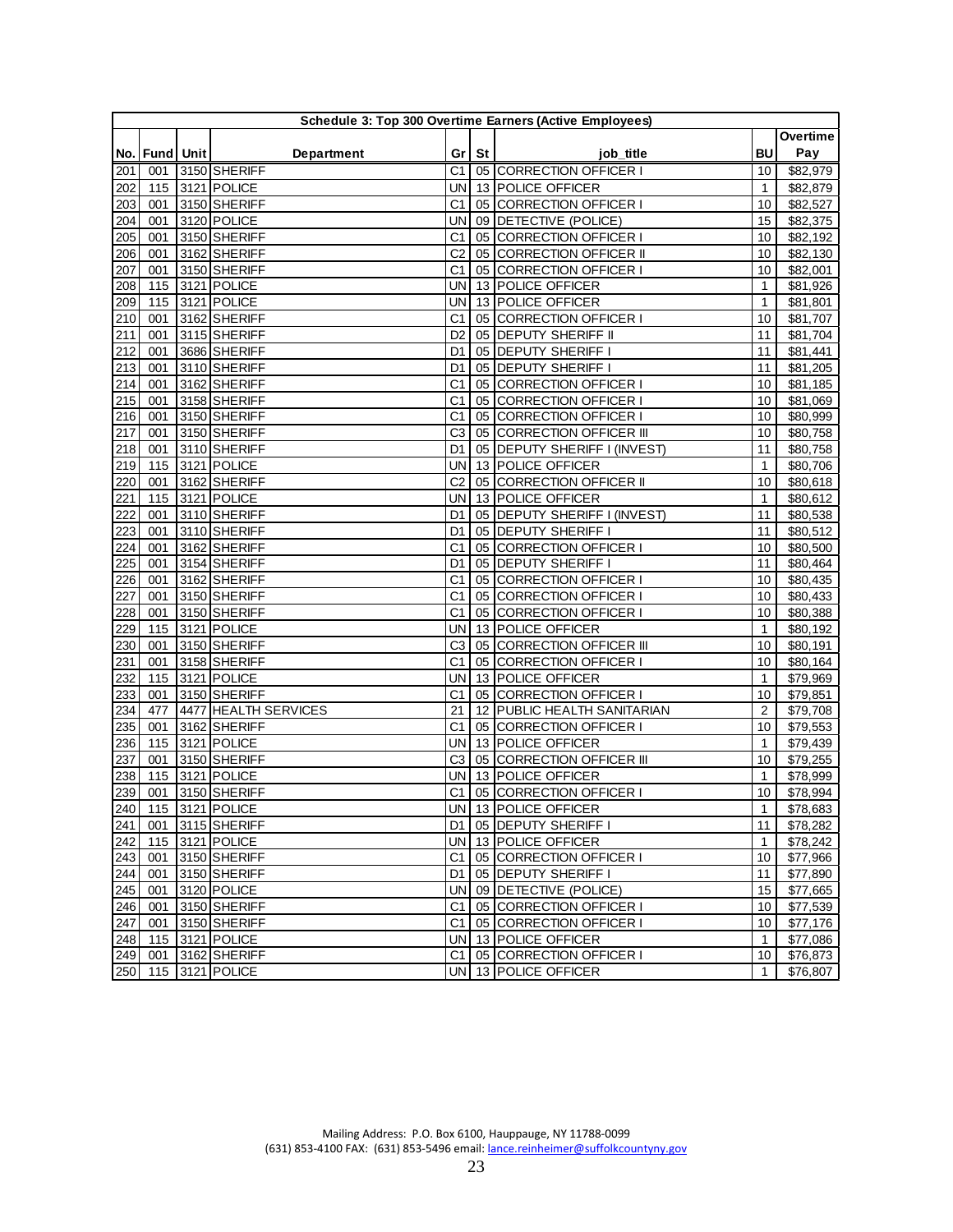|     |                   |                      |                |         | Schedule 3: Top 300 Overtime Earners (Active Employees) |                 |          |
|-----|-------------------|----------------------|----------------|---------|---------------------------------------------------------|-----------------|----------|
|     |                   |                      |                |         |                                                         |                 | Overtime |
|     | No.   Fund   Unit | Department           |                | Gr   St | job_title                                               | BU              | Pay      |
| 201 | 001               | 3150 SHERIFF         | C1             |         | 05 CORRECTION OFFICER I                                 | 10              | \$82,979 |
| 202 | 115               | 3121 POLICE          | UN             |         | 13 POLICE OFFICER                                       | $\mathbf{1}$    | \$82,879 |
| 203 | 001               | 3150 SHERIFF         | C1             |         | 05 CORRECTION OFFICER I                                 | 10              | \$82,527 |
| 204 | 001               | 3120 POLICE          | UN             |         | 09 DETECTIVE (POLICE)                                   | 15              | \$82,375 |
| 205 | 001               | 3150 SHERIFF         | C <sub>1</sub> |         | 05 CORRECTION OFFICER I                                 | 10              | \$82,192 |
| 206 | 001               | 3162 SHERIFF         | C <sub>2</sub> |         | 05 CORRECTION OFFICER II                                | 10              | \$82,130 |
| 207 | 001               | 3150 SHERIFF         | C <sub>1</sub> |         | 05 CORRECTION OFFICER I                                 | 10              | \$82,001 |
| 208 | 115               | 3121 POLICE          | UN             |         | 13 POLICE OFFICER                                       | $\mathbf{1}$    | \$81,926 |
| 209 | 115               | 3121 POLICE          | UN             |         | 13 POLICE OFFICER                                       | $\mathbf{1}$    | \$81,801 |
| 210 | 001               | 3162 SHERIFF         | C1             |         | 05 CORRECTION OFFICER I                                 | 10              | \$81,707 |
| 211 | 001               | 3115 SHERIFF         | D <sub>2</sub> |         | 05 DEPUTY SHERIFF II                                    | 11              | \$81,704 |
| 212 | 001               | 3686 SHERIFF         | D1             |         | 05 DEPUTY SHERIFF I                                     | 11              | \$81,441 |
| 213 | 001               | 3110 SHERIFF         | D1             |         | 05 DEPUTY SHERIFF I                                     | 11              | \$81,205 |
| 214 | 001               | 3162 SHERIFF         | C1             |         | 05 CORRECTION OFFICER I                                 | 10              | \$81,185 |
| 215 | 001               | 3158 SHERIFF         | C <sub>1</sub> |         | 05 CORRECTION OFFICER I                                 | 10              | \$81,069 |
| 216 | 001               | 3150 SHERIFF         | C <sub>1</sub> |         | 05 CORRECTION OFFICER I                                 | 10              | \$80,999 |
| 217 | 001               | 3150 SHERIFF         | C <sub>3</sub> |         | 05 CORRECTION OFFICER III                               | 10              | \$80,758 |
| 218 | 001               | 3110 SHERIFF         | D1             |         | 05 DEPUTY SHERIFF I (INVEST)                            | 11              | \$80,758 |
| 219 | 115               | 3121 POLICE          | UN             |         | 13 POLICE OFFICER                                       | $\mathbf{1}$    | \$80,706 |
| 220 | 001               | 3162 SHERIFF         | C <sub>2</sub> |         | 05 CORRECTION OFFICER II                                | 10              | \$80,618 |
| 221 | 115               | 3121 POLICE          | UN             |         | 13 POLICE OFFICER                                       | $\mathbf{1}$    | \$80,612 |
| 222 | 001               | 3110 SHERIFF         | D1             |         | 05 DEPUTY SHERIFF I (INVEST)                            | 11              | \$80,538 |
| 223 | 001               | 3110 SHERIFF         | D <sub>1</sub> |         | 05 DEPUTY SHERIFF I                                     | 11              | \$80,512 |
| 224 | 001               | 3162 SHERIFF         | C <sub>1</sub> |         | 05 CORRECTION OFFICER I                                 | 10              | \$80,500 |
| 225 | 001               | 3154 SHERIFF         | D1             |         | 05 DEPUTY SHERIFF I                                     | 11              | \$80,464 |
| 226 | 001               | 3162 SHERIFF         | C1             |         | 05 CORRECTION OFFICER I                                 | 10              | \$80,435 |
| 227 | 001               | 3150 SHERIFF         | C <sub>1</sub> |         | 05 CORRECTION OFFICER I                                 | 10              | \$80,433 |
| 228 | 001               | 3150 SHERIFF         | C1             |         | 05 CORRECTION OFFICER I                                 | 10              | \$80,388 |
| 229 | 115               | 3121 POLICE          | UN             |         | 13 POLICE OFFICER                                       | $\mathbf{1}$    | \$80,192 |
| 230 | 001               | 3150 SHERIFF         | C <sub>3</sub> |         | 05 CORRECTION OFFICER III                               | 10              | \$80,191 |
| 231 | 001               | 3158 SHERIFF         | C1             |         | 05 CORRECTION OFFICER I                                 | 10              | \$80,164 |
| 232 | 115               | 3121 POLICE          | UN             |         | 13 POLICE OFFICER                                       | $\mathbf{1}$    | \$79,969 |
| 233 | 001               | 3150 SHERIFF         | C <sub>1</sub> |         | 05 CORRECTION OFFICER I                                 | 10              | \$79,851 |
| 234 | 477               | 4477 HEALTH SERVICES | 21             |         | 12 PUBLIC HEALTH SANITARIAN                             | 2               | \$79,708 |
| 235 | 001               | 3162 SHERIFF         | C1             |         | 05 CORRECTION OFFICER I                                 | 10              | \$79,553 |
| 236 | 115               | 3121 POLICE          | UN             |         | 13 POLICE OFFICER                                       | $\mathbf{1}$    | \$79,439 |
| 237 | 001               | 3150 SHERIFF         | C <sub>3</sub> |         | 05 CORRECTION OFFICER III                               | 10              | \$79,255 |
| 238 | 115               | 3121 POLICE          | UN             |         | 13 POLICE OFFICER                                       | $\mathbf{1}$    | \$78,999 |
| 239 | 001               | 3150 SHERIFF         | C1             |         | 05 CORRECTION OFFICER I                                 | 10              | \$78,994 |
|     |                   | 240 115 3121 POLICE  |                |         | UN 13 POLICE OFFICER                                    | $\overline{1}$  | \$78,683 |
| 241 |                   | 001 3115 SHERIFF     |                |         | D1   05   DEPUTY SHERIFF I                              | 11              | \$78,282 |
| 242 |                   | 115 3121 POLICE      |                |         | UN 13 POLICE OFFICER                                    | $\mathbf{1}$    | \$78,242 |
| 243 |                   | 001 3150 SHERIFF     |                |         | C1 05 CORRECTION OFFICER I                              | 10 <sup>°</sup> | \$77,966 |
| 244 | 001               | 3150 SHERIFF         | D1             |         | 05 DEPUTY SHERIFF I                                     | 11              | \$77,890 |
| 245 | 001               | 3120 POLICE          |                |         | UN 09 DETECTIVE (POLICE)                                | 15              | \$77,665 |
| 246 | 001               | 3150 SHERIFF         | C <sub>1</sub> |         | 05 CORRECTION OFFICER I                                 | 10              | \$77,539 |
| 247 | 001               | 3150 SHERIFF         |                |         | C1   05 CORRECTION OFFICER I                            | 10              | \$77,176 |
| 248 |                   | 115 3121 POLICE      |                |         | UN 13 POLICE OFFICER                                    | $\mathbf{1}$    | \$77,086 |
| 249 |                   | 001 3162 SHERIFF     |                |         | C1 05 CORRECTION OFFICER I                              | 10              | \$76,873 |
|     |                   | 250 115 3121 POLICE  |                |         | UN 13 POLICE OFFICER                                    | $\mathbf{1}$    | \$76,807 |
|     |                   |                      |                |         |                                                         |                 |          |